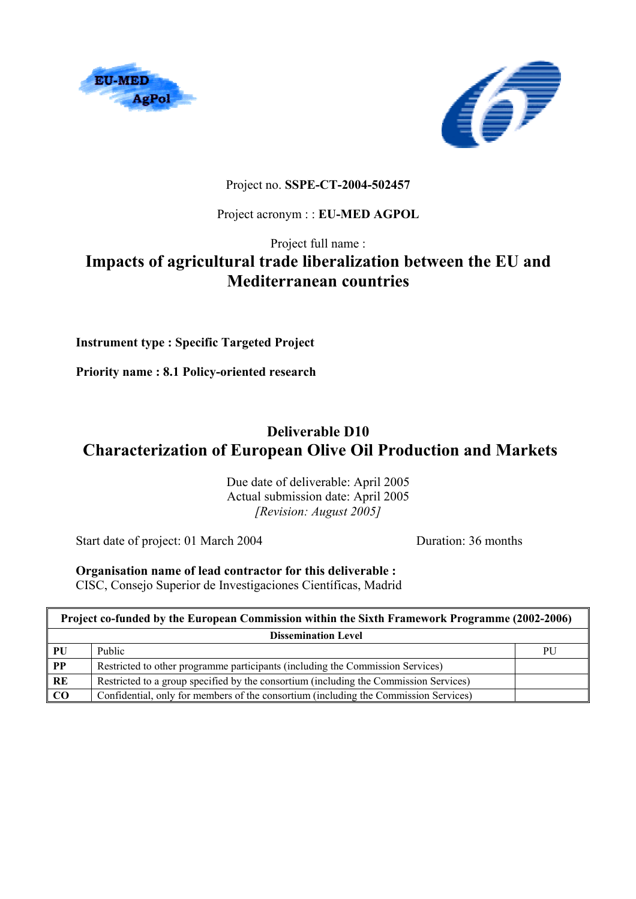



#### Project no. **SSPE-CT-2004-502457**

#### Project acronym : : **EU-MED AGPOL**

# Project full name : **Impacts of agricultural trade liberalization between the EU and Mediterranean countries**

**Instrument type : Specific Targeted Project** 

**Priority name : 8.1 Policy-oriented research** 

# **Deliverable D10 Characterization of European Olive Oil Production and Markets**

Due date of deliverable: April 2005 Actual submission date: April 2005 *[Revision: August 2005]* 

Start date of project: 01 March 2004 Duration: 36 months

**Organisation name of lead contractor for this deliverable :** 

CISC, Consejo Superior de Investigaciones Científicas, Madrid

|    | Project co-funded by the European Commission within the Sixth Framework Programme (2002-2006) |    |  |  |  |  |  |
|----|-----------------------------------------------------------------------------------------------|----|--|--|--|--|--|
|    | <b>Dissemination Level</b>                                                                    |    |  |  |  |  |  |
| PU | Public                                                                                        | PU |  |  |  |  |  |
| PP | Restricted to other programme participants (including the Commission Services)                |    |  |  |  |  |  |
| RE | Restricted to a group specified by the consortium (including the Commission Services)         |    |  |  |  |  |  |
| CO | Confidential, only for members of the consortium (including the Commission Services)          |    |  |  |  |  |  |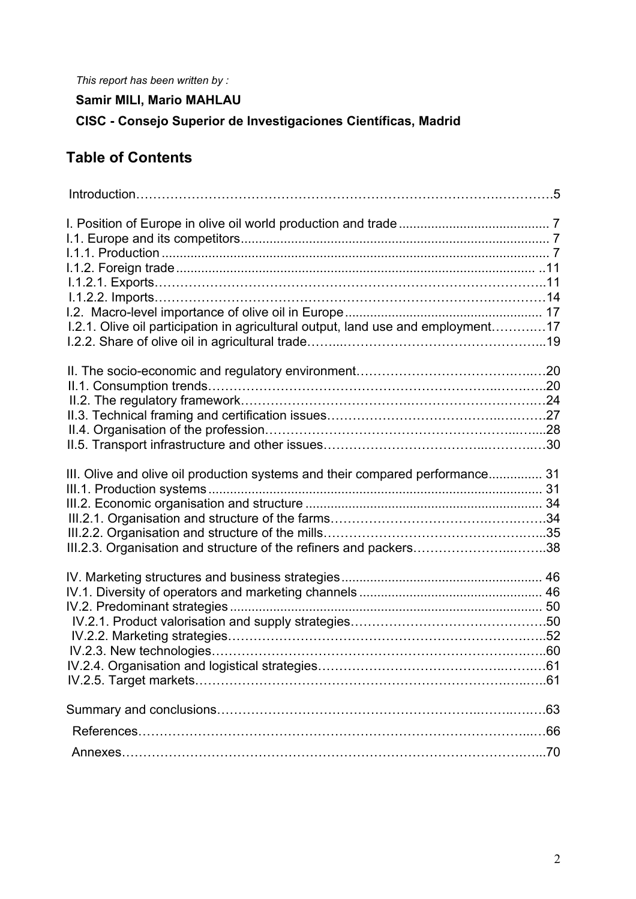*This report has been written by :*

**Samir MILI, Mario MAHLAU** 

**CISC - Consejo Superior de Investigaciones Científicas, Madrid** 

# **Table of Contents**

| 1.2.1. Olive oil participation in agricultural output, land use and employment17 |  |
|----------------------------------------------------------------------------------|--|
|                                                                                  |  |
|                                                                                  |  |
|                                                                                  |  |
|                                                                                  |  |
|                                                                                  |  |
|                                                                                  |  |
|                                                                                  |  |
| III. Olive and olive oil production systems and their compared performance 31    |  |
|                                                                                  |  |
|                                                                                  |  |
|                                                                                  |  |
|                                                                                  |  |
| III.2.3. Organisation and structure of the refiners and packers38                |  |
|                                                                                  |  |
|                                                                                  |  |
|                                                                                  |  |
|                                                                                  |  |
|                                                                                  |  |
|                                                                                  |  |
|                                                                                  |  |
|                                                                                  |  |
|                                                                                  |  |
|                                                                                  |  |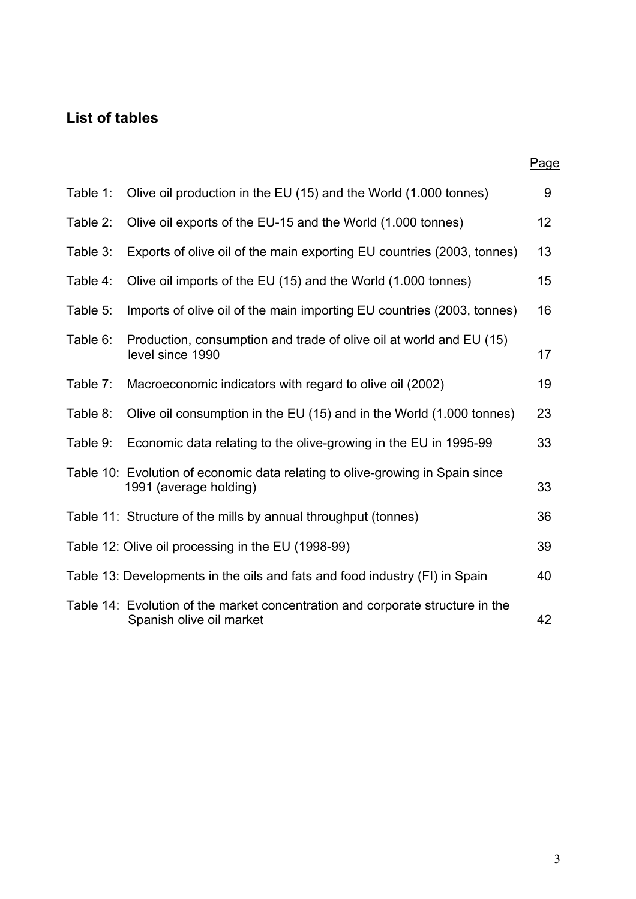# **List of tables**

|          |                                                                                                            | <b>Page</b> |
|----------|------------------------------------------------------------------------------------------------------------|-------------|
| Table 1: | Olive oil production in the EU (15) and the World (1.000 tonnes)                                           | 9           |
| Table 2: | Olive oil exports of the EU-15 and the World (1.000 tonnes)                                                | 12          |
| Table 3: | Exports of olive oil of the main exporting EU countries (2003, tonnes)                                     | 13          |
| Table 4: | Olive oil imports of the EU (15) and the World (1.000 tonnes)                                              | 15          |
| Table 5: | Imports of olive oil of the main importing EU countries (2003, tonnes)                                     | 16          |
| Table 6: | Production, consumption and trade of olive oil at world and EU (15)<br>level since 1990                    | 17          |
| Table 7: | Macroeconomic indicators with regard to olive oil (2002)                                                   | 19          |
| Table 8: | Olive oil consumption in the EU (15) and in the World (1.000 tonnes)                                       | 23          |
| Table 9: | Economic data relating to the olive-growing in the EU in 1995-99                                           | 33          |
|          | Table 10: Evolution of economic data relating to olive-growing in Spain since<br>1991 (average holding)    | 33          |
|          | Table 11: Structure of the mills by annual throughput (tonnes)                                             | 36          |
|          | Table 12: Olive oil processing in the EU (1998-99)                                                         | 39          |
|          | Table 13: Developments in the oils and fats and food industry (FI) in Spain                                | 40          |
|          | Table 14: Evolution of the market concentration and corporate structure in the<br>Spanish olive oil market | 42          |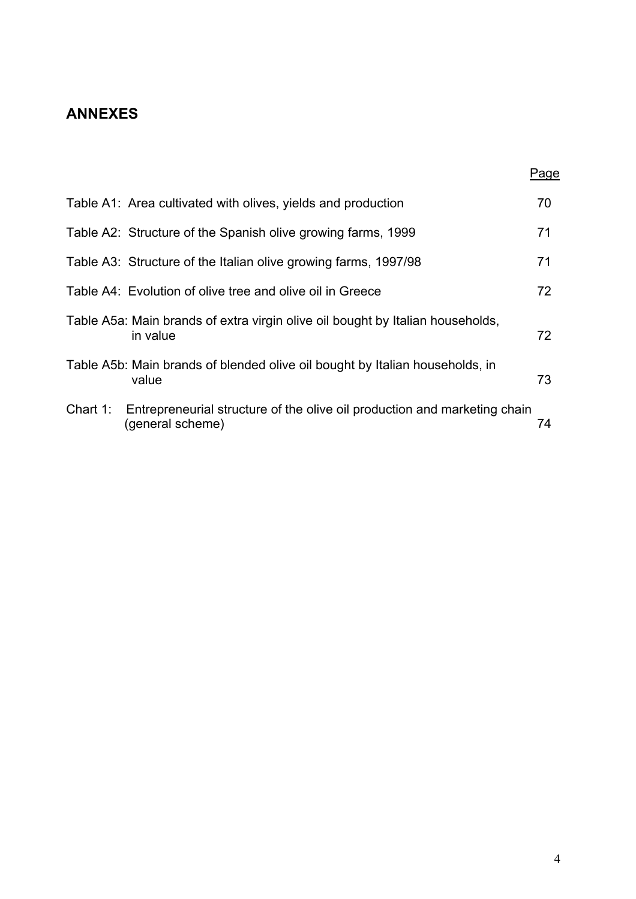# **ANNEXES**

|                                                                 |                                                                                | Page |
|-----------------------------------------------------------------|--------------------------------------------------------------------------------|------|
| Table A1: Area cultivated with olives, yields and production    |                                                                                | 70   |
| Table A2: Structure of the Spanish olive growing farms, 1999    |                                                                                | 71   |
| Table A3: Structure of the Italian olive growing farms, 1997/98 |                                                                                | 71   |
| Table A4: Evolution of olive tree and olive oil in Greece       |                                                                                | 72   |
| in value                                                        | Table A5a: Main brands of extra virgin olive oil bought by Italian households, | 72   |
| value                                                           | Table A5b: Main brands of blended olive oil bought by Italian households, in   | 73   |
| Chart $1$ :<br>(general scheme)                                 | Entrepreneurial structure of the olive oil production and marketing chain      | 74   |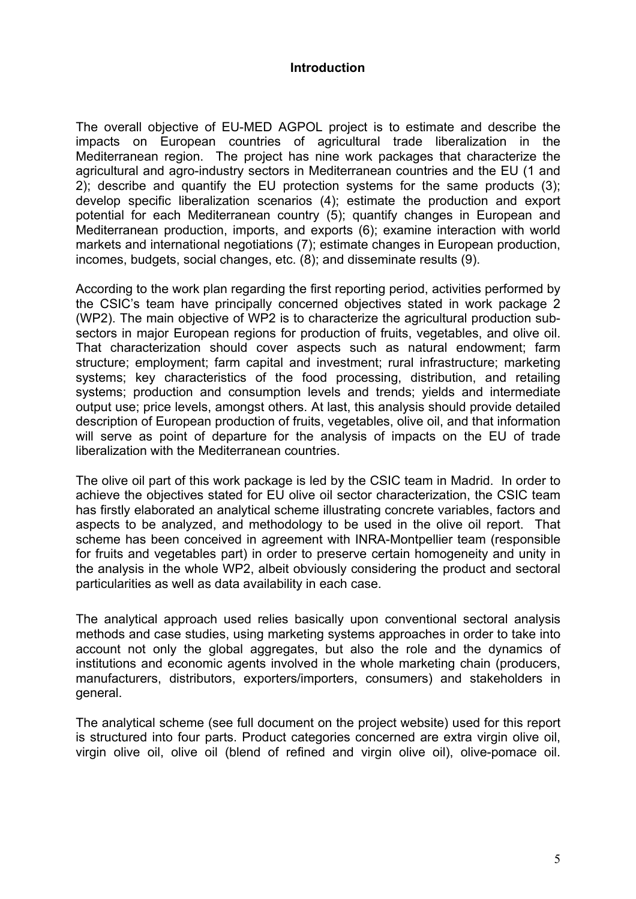#### **Introduction**

The overall objective of EU-MED AGPOL project is to estimate and describe the impacts on European countries of agricultural trade liberalization in the Mediterranean region. The project has nine work packages that characterize the agricultural and agro-industry sectors in Mediterranean countries and the EU (1 and 2); describe and quantify the EU protection systems for the same products (3); develop specific liberalization scenarios (4); estimate the production and export potential for each Mediterranean country (5); quantify changes in European and Mediterranean production, imports, and exports (6); examine interaction with world markets and international negotiations (7); estimate changes in European production, incomes, budgets, social changes, etc. (8); and disseminate results (9).

According to the work plan regarding the first reporting period, activities performed by the CSIC's team have principally concerned objectives stated in work package 2 (WP2). The main objective of WP2 is to characterize the agricultural production subsectors in major European regions for production of fruits, vegetables, and olive oil. That characterization should cover aspects such as natural endowment; farm structure; employment; farm capital and investment; rural infrastructure; marketing systems; key characteristics of the food processing, distribution, and retailing systems; production and consumption levels and trends; yields and intermediate output use; price levels, amongst others. At last, this analysis should provide detailed description of European production of fruits, vegetables, olive oil, and that information will serve as point of departure for the analysis of impacts on the EU of trade liberalization with the Mediterranean countries.

The olive oil part of this work package is led by the CSIC team in Madrid. In order to achieve the objectives stated for EU olive oil sector characterization, the CSIC team has firstly elaborated an analytical scheme illustrating concrete variables, factors and aspects to be analyzed, and methodology to be used in the olive oil report. That scheme has been conceived in agreement with INRA-Montpellier team (responsible for fruits and vegetables part) in order to preserve certain homogeneity and unity in the analysis in the whole WP2, albeit obviously considering the product and sectoral particularities as well as data availability in each case.

The analytical approach used relies basically upon conventional sectoral analysis methods and case studies, using marketing systems approaches in order to take into account not only the global aggregates, but also the role and the dynamics of institutions and economic agents involved in the whole marketing chain (producers, manufacturers, distributors, exporters/importers, consumers) and stakeholders in general.

The analytical scheme (see full document on the project website) used for this report is structured into four parts. Product categories concerned are extra virgin olive oil, virgin olive oil, olive oil (blend of refined and virgin olive oil), olive-pomace oil.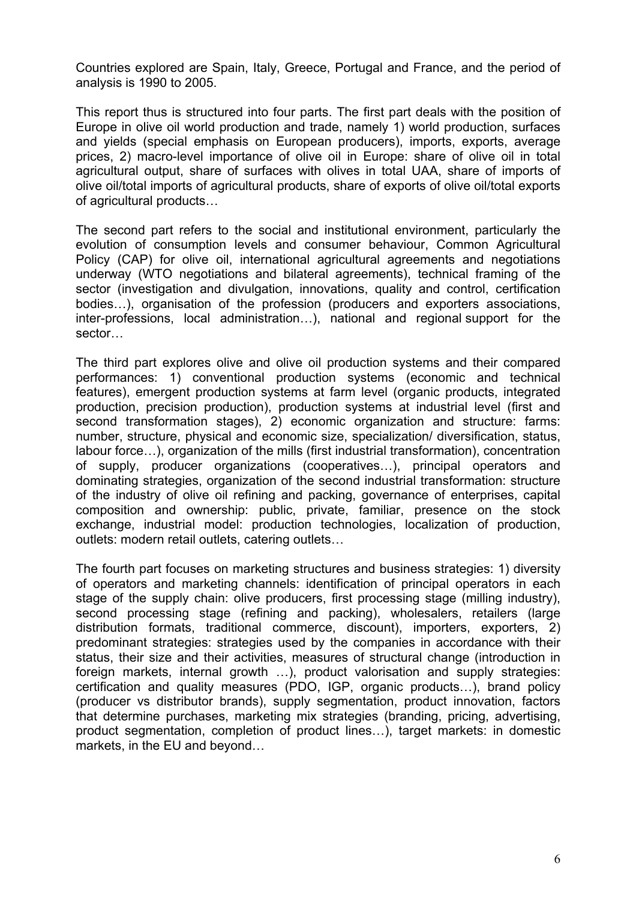Countries explored are Spain, Italy, Greece, Portugal and France, and the period of analysis is 1990 to 2005.

This report thus is structured into four parts. The first part deals with the position of Europe in olive oil world production and trade, namely 1) world production, surfaces and yields (special emphasis on European producers), imports, exports, average prices, 2) macro-level importance of olive oil in Europe: share of olive oil in total agricultural output, share of surfaces with olives in total UAA, share of imports of olive oil/total imports of agricultural products, share of exports of olive oil/total exports of agricultural products…

The second part refers to the social and institutional environment, particularly the evolution of consumption levels and consumer behaviour, Common Agricultural Policy (CAP) for olive oil, international agricultural agreements and negotiations underway (WTO negotiations and bilateral agreements), technical framing of the sector (investigation and divulgation, innovations, quality and control, certification bodies…), organisation of the profession (producers and exporters associations, inter-professions, local administration…), national and regional support for the sector…

The third part explores olive and olive oil production systems and their compared performances: 1) conventional production systems (economic and technical features), emergent production systems at farm level (organic products, integrated production, precision production), production systems at industrial level (first and second transformation stages), 2) economic organization and structure: farms: number, structure, physical and economic size, specialization/ diversification, status, labour force…), organization of the mills (first industrial transformation), concentration of supply, producer organizations (cooperatives…), principal operators and dominating strategies, organization of the second industrial transformation: structure of the industry of olive oil refining and packing, governance of enterprises, capital composition and ownership: public, private, familiar, presence on the stock exchange, industrial model: production technologies, localization of production, outlets: modern retail outlets, catering outlets…

The fourth part focuses on marketing structures and business strategies: 1) diversity of operators and marketing channels: identification of principal operators in each stage of the supply chain: olive producers, first processing stage (milling industry), second processing stage (refining and packing), wholesalers, retailers (large distribution formats, traditional commerce, discount), importers, exporters, 2) predominant strategies: strategies used by the companies in accordance with their status, their size and their activities, measures of structural change (introduction in foreign markets, internal growth …), product valorisation and supply strategies: certification and quality measures (PDO, IGP, organic products…), brand policy (producer vs distributor brands), supply segmentation, product innovation, factors that determine purchases, marketing mix strategies (branding, pricing, advertising, product segmentation, completion of product lines…), target markets: in domestic markets, in the EU and beyond…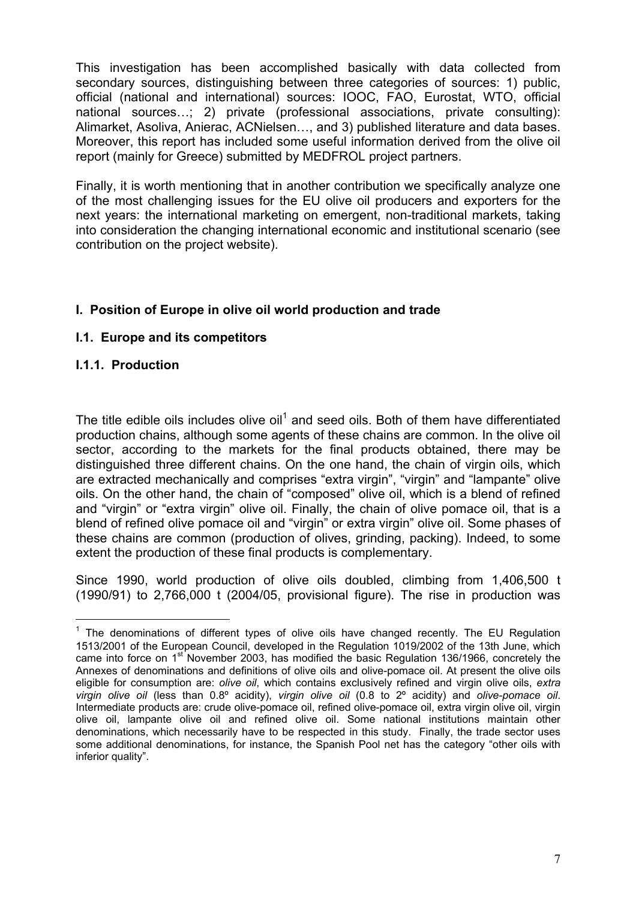This investigation has been accomplished basically with data collected from secondary sources, distinguishing between three categories of sources: 1) public, official (national and international) sources: IOOC, FAO, Eurostat, WTO, official national sources…; 2) private (professional associations, private consulting): Alimarket, Asoliva, Anierac, ACNielsen…, and 3) published literature and data bases. Moreover, this report has included some useful information derived from the olive oil report (mainly for Greece) submitted by MEDFROL project partners.

Finally, it is worth mentioning that in another contribution we specifically analyze one of the most challenging issues for the EU olive oil producers and exporters for the next years: the international marketing on emergent, non-traditional markets, taking into consideration the changing international economic and institutional scenario (see contribution on the project website).

# **I. Position of Europe in olive oil world production and trade**

#### **I.1. Europe and its competitors**

#### **I.1.1. Production**

 $\overline{a}$ 

The title edible oils includes olive oil<sup>1</sup> and seed oils. Both of them have differentiated production chains, although some agents of these chains are common. In the olive oil sector, according to the markets for the final products obtained, there may be distinguished three different chains. On the one hand, the chain of virgin oils, which are extracted mechanically and comprises "extra virgin", "virgin" and "lampante" olive oils. On the other hand, the chain of "composed" olive oil, which is a blend of refined and "virgin" or "extra virgin" olive oil. Finally, the chain of olive pomace oil, that is a blend of refined olive pomace oil and "virgin" or extra virgin" olive oil. Some phases of these chains are common (production of olives, grinding, packing). Indeed, to some extent the production of these final products is complementary.

Since 1990, world production of olive oils doubled, climbing from 1,406,500 t (1990/91) to 2,766,000 t (2004/05, provisional figure). The rise in production was

 $1$  The denominations of different types of olive oils have changed recently. The EU Regulation 1513/2001 of the European Council, developed in the Regulation 1019/2002 of the 13th June, which came into force on 1<sup>st</sup> November 2003, has modified the basic Regulation 136/1966, concretely the Annexes of denominations and definitions of olive oils and olive-pomace oil. At present the olive oils eligible for consumption are: *olive oil*, which contains exclusively refined and virgin olive oils, *extra virgin olive oil* (less than 0.8º acidity), *virgin olive oil* (0.8 to 2º acidity) and *olive-pomace oil*. Intermediate products are: crude olive-pomace oil, refined olive-pomace oil, extra virgin olive oil, virgin olive oil, lampante olive oil and refined olive oil. Some national institutions maintain other denominations, which necessarily have to be respected in this study. Finally, the trade sector uses some additional denominations, for instance, the Spanish Pool net has the category "other oils with inferior quality".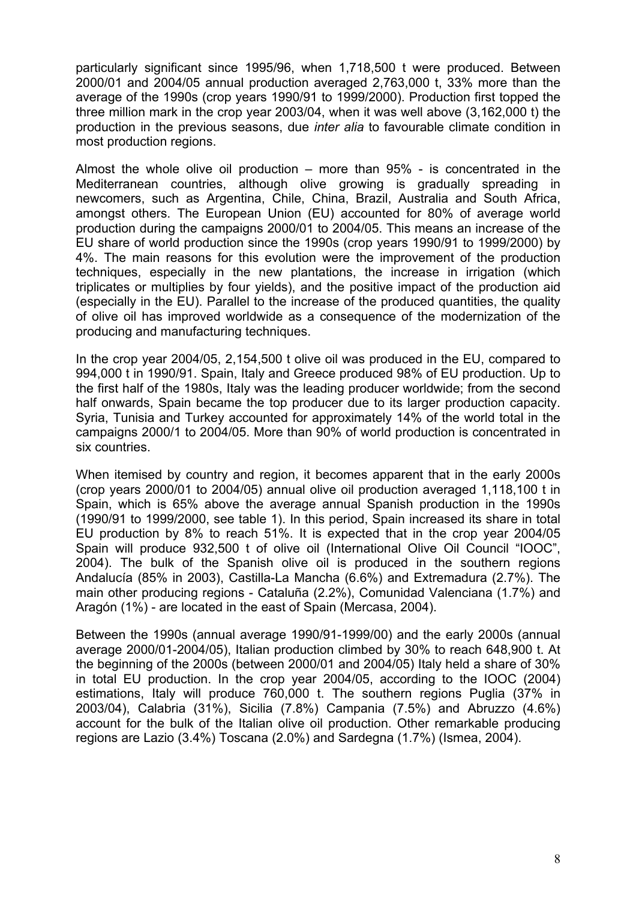particularly significant since 1995/96, when 1,718,500 t were produced. Between 2000/01 and 2004/05 annual production averaged 2,763,000 t, 33% more than the average of the 1990s (crop years 1990/91 to 1999/2000). Production first topped the three million mark in the crop year 2003/04, when it was well above (3,162,000 t) the production in the previous seasons, due *inter alia* to favourable climate condition in most production regions.

Almost the whole olive oil production – more than 95% - is concentrated in the Mediterranean countries, although olive growing is gradually spreading in newcomers, such as Argentina, Chile, China, Brazil, Australia and South Africa, amongst others. The European Union (EU) accounted for 80% of average world production during the campaigns 2000/01 to 2004/05. This means an increase of the EU share of world production since the 1990s (crop years 1990/91 to 1999/2000) by 4%. The main reasons for this evolution were the improvement of the production techniques, especially in the new plantations, the increase in irrigation (which triplicates or multiplies by four yields), and the positive impact of the production aid (especially in the EU). Parallel to the increase of the produced quantities, the quality of olive oil has improved worldwide as a consequence of the modernization of the producing and manufacturing techniques.

In the crop year 2004/05, 2,154,500 t olive oil was produced in the EU, compared to 994,000 t in 1990/91. Spain, Italy and Greece produced 98% of EU production. Up to the first half of the 1980s, Italy was the leading producer worldwide; from the second half onwards, Spain became the top producer due to its larger production capacity. Syria, Tunisia and Turkey accounted for approximately 14% of the world total in the campaigns 2000/1 to 2004/05. More than 90% of world production is concentrated in six countries.

When itemised by country and region, it becomes apparent that in the early 2000s (crop years 2000/01 to 2004/05) annual olive oil production averaged 1,118,100 t in Spain, which is 65% above the average annual Spanish production in the 1990s (1990/91 to 1999/2000, see table 1). In this period, Spain increased its share in total EU production by 8% to reach 51%. It is expected that in the crop year 2004/05 Spain will produce 932,500 t of olive oil (International Olive Oil Council "IOOC", 2004). The bulk of the Spanish olive oil is produced in the southern regions Andalucía (85% in 2003), Castilla-La Mancha (6.6%) and Extremadura (2.7%). The main other producing regions - Cataluña (2.2%), Comunidad Valenciana (1.7%) and Aragón (1%) - are located in the east of Spain (Mercasa, 2004).

Between the 1990s (annual average 1990/91-1999/00) and the early 2000s (annual average 2000/01-2004/05), Italian production climbed by 30% to reach 648,900 t. At the beginning of the 2000s (between 2000/01 and 2004/05) Italy held a share of 30% in total EU production. In the crop year 2004/05, according to the IOOC (2004) estimations, Italy will produce 760,000 t. The southern regions Puglia (37% in 2003/04), Calabria (31%), Sicilia (7.8%) Campania (7.5%) and Abruzzo (4.6%) account for the bulk of the Italian olive oil production. Other remarkable producing regions are Lazio (3.4%) Toscana (2.0%) and Sardegna (1.7%) (Ismea, 2004).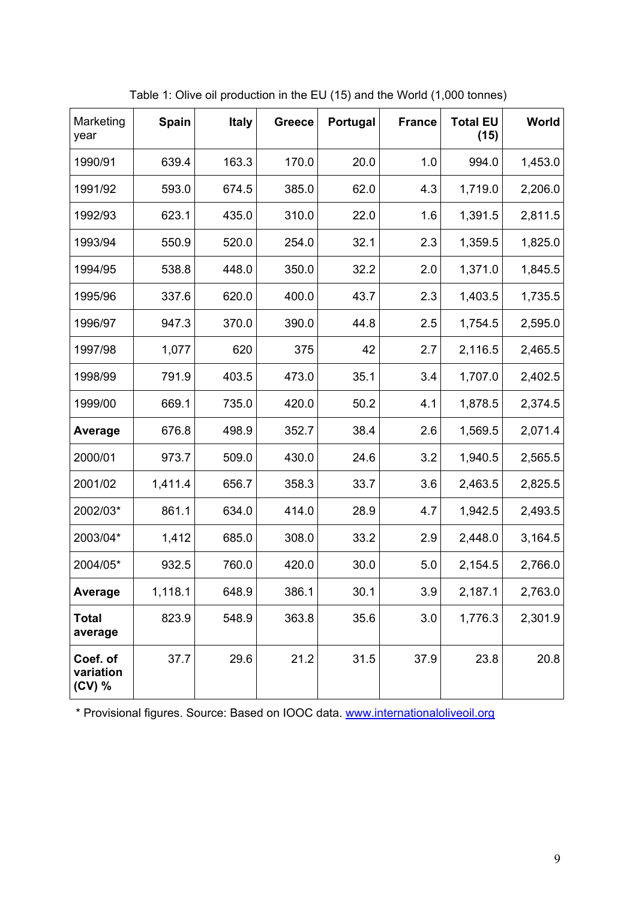| Marketing<br>year                 | <b>Spain</b> | <b>Italy</b> | <b>Greece</b> | Portugal | <b>France</b> | <b>Total EU</b><br>(15) | World   |
|-----------------------------------|--------------|--------------|---------------|----------|---------------|-------------------------|---------|
| 1990/91                           | 639.4        | 163.3        | 170.0         | 20.0     | 1.0           | 994.0                   | 1,453.0 |
| 1991/92                           | 593.0        | 674.5        | 385.0         | 62.0     | 4.3           | 1,719.0                 | 2,206.0 |
| 1992/93                           | 623.1        | 435.0        | 310.0         | 22.0     | 1.6           | 1,391.5                 | 2,811.5 |
| 1993/94                           | 550.9        | 520.0        | 254.0         | 32.1     | 2.3           | 1,359.5                 | 1,825.0 |
| 1994/95                           | 538.8        | 448.0        | 350.0         | 32.2     | 2.0           | 1,371.0                 | 1,845.5 |
| 1995/96                           | 337.6        | 620.0        | 400.0         | 43.7     | 2.3           | 1,403.5                 | 1,735.5 |
| 1996/97                           | 947.3        | 370.0        | 390.0         | 44.8     | 2.5           | 1,754.5                 | 2,595.0 |
| 1997/98                           | 1,077        | 620          | 375           | 42       | 2.7           | 2,116.5                 | 2,465.5 |
| 1998/99                           | 791.9        | 403.5        | 473.0         | 35.1     | 3.4           | 1,707.0                 | 2,402.5 |
| 1999/00                           | 669.1        | 735.0        | 420.0         | 50.2     | 4.1           | 1,878.5                 | 2,374.5 |
| Average                           | 676.8        | 498.9        | 352.7         | 38.4     | 2.6           | 1,569.5                 | 2,071.4 |
| 2000/01                           | 973.7        | 509.0        | 430.0         | 24.6     | 3.2           | 1,940.5                 | 2,565.5 |
| 2001/02                           | 1,411.4      | 656.7        | 358.3         | 33.7     | 3.6           | 2,463.5                 | 2,825.5 |
| 2002/03*                          | 861.1        | 634.0        | 414.0         | 28.9     | 4.7           | 1,942.5                 | 2,493.5 |
| 2003/04*                          | 1,412        | 685.0        | 308.0         | 33.2     | 2.9           | 2,448.0                 | 3,164.5 |
| 2004/05*                          | 932.5        | 760.0        | 420.0         | 30.0     | 5.0           | 2,154.5                 | 2,766.0 |
| Average                           | 1,118.1      | 648.9        | 386.1         | 30.1     | 3.9           | 2,187.1                 | 2,763.0 |
| <b>Total</b><br>average           | 823.9        | 548.9        | 363.8         | 35.6     | 3.0           | 1,776.3                 | 2,301.9 |
| Coef. of<br>variation<br>$(CV)$ % | 37.7         | 29.6         | 21.2          | 31.5     | 37.9          | 23.8                    | 20.8    |

Table 1: Olive oil production in the EU (15) and the World (1,000 tonnes)

\* Provisional figures. Source: Based on IOOC data. www.internationaloliveoil.org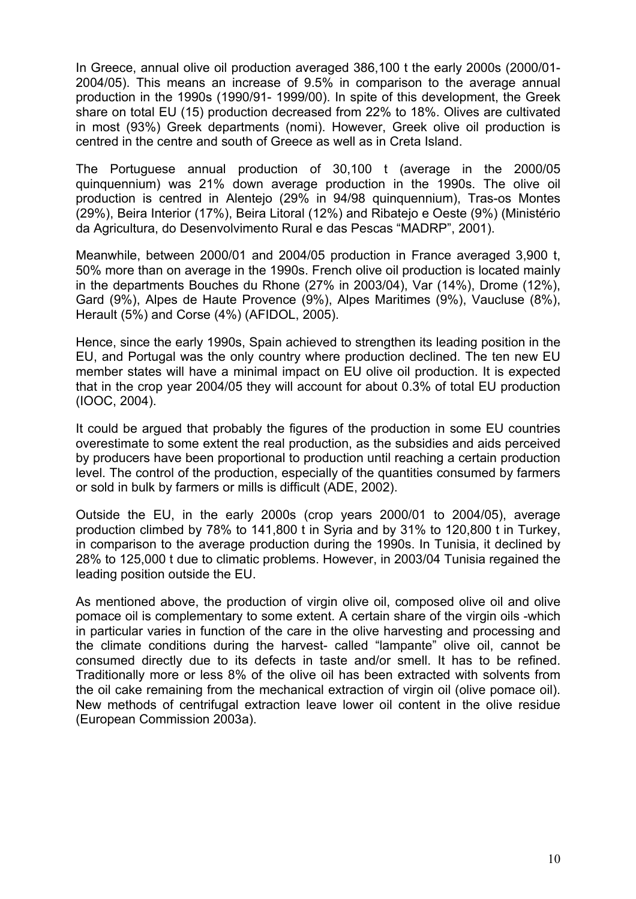In Greece, annual olive oil production averaged 386,100 t the early 2000s (2000/01-2004/05). This means an increase of 9.5% in comparison to the average annual production in the 1990s (1990/91- 1999/00). In spite of this development, the Greek share on total EU (15) production decreased from 22% to 18%. Olives are cultivated in most (93%) Greek departments (nomi). However, Greek olive oil production is centred in the centre and south of Greece as well as in Creta Island.

The Portuguese annual production of 30,100 t (average in the 2000/05 quinquennium) was 21% down average production in the 1990s. The olive oil production is centred in Alentejo (29% in 94/98 quinquennium), Tras-os Montes (29%), Beira Interior (17%), Beira Litoral (12%) and Ribatejo e Oeste (9%) (Ministério da Agricultura, do Desenvolvimento Rural e das Pescas "MADRP", 2001).

Meanwhile, between 2000/01 and 2004/05 production in France averaged 3,900 t, 50% more than on average in the 1990s. French olive oil production is located mainly in the departments Bouches du Rhone (27% in 2003/04), Var (14%), Drome (12%), Gard (9%), Alpes de Haute Provence (9%), Alpes Maritimes (9%), Vaucluse (8%), Herault (5%) and Corse (4%) (AFIDOL, 2005).

Hence, since the early 1990s, Spain achieved to strengthen its leading position in the EU, and Portugal was the only country where production declined. The ten new EU member states will have a minimal impact on EU olive oil production. It is expected that in the crop year 2004/05 they will account for about 0.3% of total EU production (IOOC, 2004).

It could be argued that probably the figures of the production in some EU countries overestimate to some extent the real production, as the subsidies and aids perceived by producers have been proportional to production until reaching a certain production level. The control of the production, especially of the quantities consumed by farmers or sold in bulk by farmers or mills is difficult (ADE, 2002).

Outside the EU, in the early 2000s (crop years 2000/01 to 2004/05), average production climbed by 78% to 141,800 t in Syria and by 31% to 120,800 t in Turkey, in comparison to the average production during the 1990s. In Tunisia, it declined by 28% to 125,000 t due to climatic problems. However, in 2003/04 Tunisia regained the leading position outside the EU.

As mentioned above, the production of virgin olive oil, composed olive oil and olive pomace oil is complementary to some extent. A certain share of the virgin oils -which in particular varies in function of the care in the olive harvesting and processing and the climate conditions during the harvest- called "lampante" olive oil, cannot be consumed directly due to its defects in taste and/or smell. It has to be refined. Traditionally more or less 8% of the olive oil has been extracted with solvents from the oil cake remaining from the mechanical extraction of virgin oil (olive pomace oil). New methods of centrifugal extraction leave lower oil content in the olive residue (European Commission 2003a).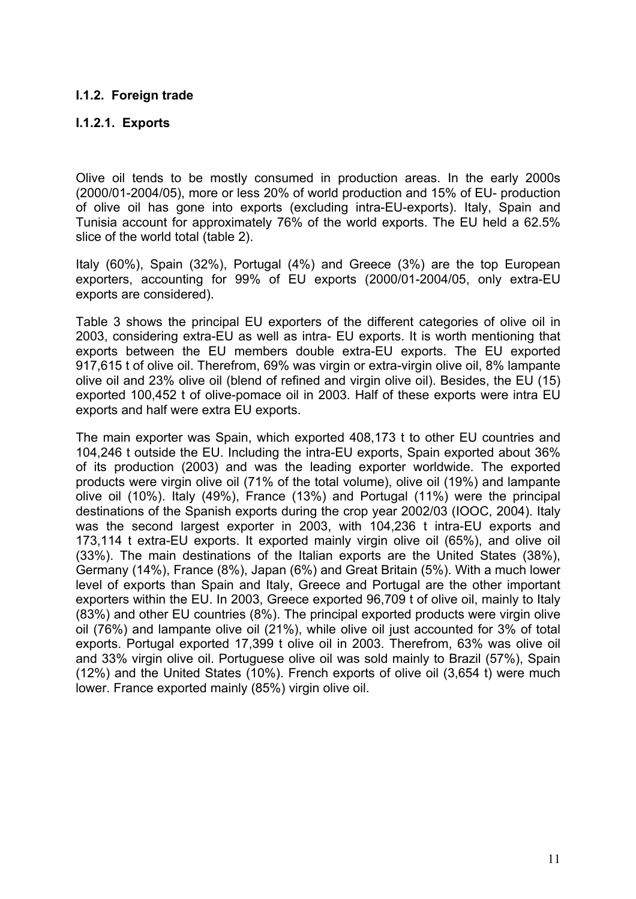# **I.1.2. Foreign trade**

# **I.1.2.1. Exports**

Olive oil tends to be mostly consumed in production areas. In the early 2000s (2000/01-2004/05), more or less 20% of world production and 15% of EU- production of olive oil has gone into exports (excluding intra-EU-exports). Italy, Spain and Tunisia account for approximately 76% of the world exports. The EU held a 62.5% slice of the world total (table 2).

Italy (60%), Spain (32%), Portugal (4%) and Greece (3%) are the top European exporters, accounting for 99% of EU exports (2000/01-2004/05, only extra-EU exports are considered).

Table 3 shows the principal EU exporters of the different categories of olive oil in 2003, considering extra-EU as well as intra- EU exports. It is worth mentioning that exports between the EU members double extra-EU exports. The EU exported 917,615 t of olive oil. Therefrom, 69% was virgin or extra-virgin olive oil, 8% lampante olive oil and 23% olive oil (blend of refined and virgin olive oil). Besides, the EU (15) exported 100,452 t of olive-pomace oil in 2003. Half of these exports were intra EU exports and half were extra EU exports.

The main exporter was Spain, which exported 408,173 t to other EU countries and 104,246 t outside the EU. Including the intra-EU exports, Spain exported about 36% of its production (2003) and was the leading exporter worldwide. The exported products were virgin olive oil (71% of the total volume), olive oil (19%) and lampante olive oil (10%). Italy (49%), France (13%) and Portugal (11%) were the principal destinations of the Spanish exports during the crop year 2002/03 (IOOC, 2004). Italy was the second largest exporter in 2003, with 104,236 t intra-EU exports and 173,114 t extra-EU exports. It exported mainly virgin olive oil (65%), and olive oil (33%). The main destinations of the Italian exports are the United States (38%), Germany (14%), France (8%), Japan (6%) and Great Britain (5%). With a much lower level of exports than Spain and Italy, Greece and Portugal are the other important exporters within the EU. In 2003, Greece exported 96,709 t of olive oil, mainly to Italy (83%) and other EU countries (8%). The principal exported products were virgin olive oil (76%) and lampante olive oil (21%), while olive oil just accounted for 3% of total exports. Portugal exported 17,399 t olive oil in 2003. Therefrom, 63% was olive oil and 33% virgin olive oil. Portuguese olive oil was sold mainly to Brazil (57%), Spain (12%) and the United States (10%). French exports of olive oil (3,654 t) were much lower. France exported mainly (85%) virgin olive oil.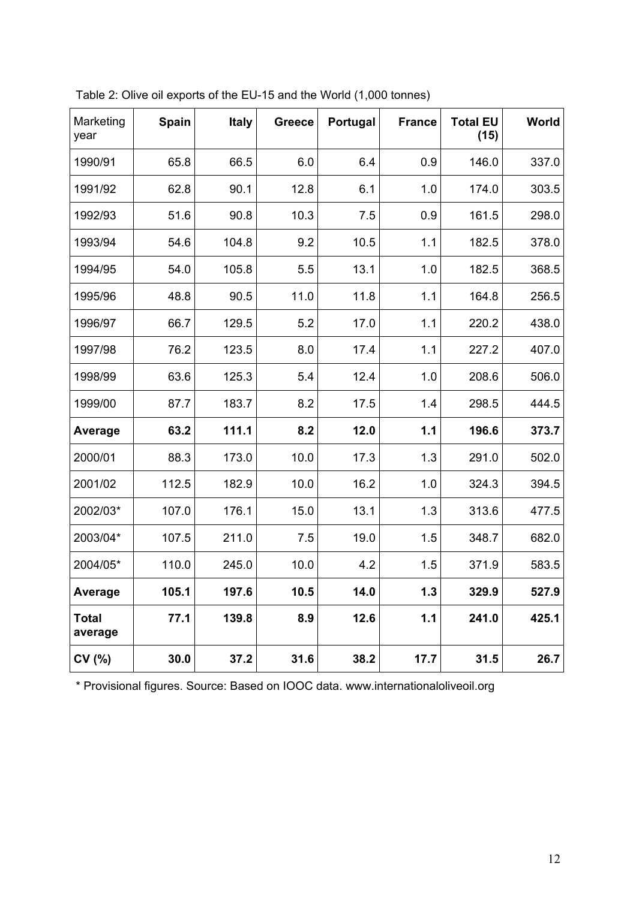| Marketing<br>year       | <b>Spain</b> | <b>Italy</b> | <b>Greece</b> | Portugal | <b>France</b> | <b>Total EU</b><br>(15) | World |
|-------------------------|--------------|--------------|---------------|----------|---------------|-------------------------|-------|
| 1990/91                 | 65.8         | 66.5         | 6.0           | 6.4      | 0.9           | 146.0                   | 337.0 |
| 1991/92                 | 62.8         | 90.1         | 12.8          | 6.1      | 1.0           | 174.0                   | 303.5 |
| 1992/93                 | 51.6         | 90.8         | 10.3          | 7.5      | 0.9           | 161.5                   | 298.0 |
| 1993/94                 | 54.6         | 104.8        | 9.2           | 10.5     | 1.1           | 182.5                   | 378.0 |
| 1994/95                 | 54.0         | 105.8        | 5.5           | 13.1     | 1.0           | 182.5                   | 368.5 |
| 1995/96                 | 48.8         | 90.5         | 11.0          | 11.8     | 1.1           | 164.8                   | 256.5 |
| 1996/97                 | 66.7         | 129.5        | 5.2           | 17.0     | 1.1           | 220.2                   | 438.0 |
| 1997/98                 | 76.2         | 123.5        | 8.0           | 17.4     | 1.1           | 227.2                   | 407.0 |
| 1998/99                 | 63.6         | 125.3        | 5.4           | 12.4     | 1.0           | 208.6                   | 506.0 |
| 1999/00                 | 87.7         | 183.7        | 8.2           | 17.5     | 1.4           | 298.5                   | 444.5 |
| Average                 | 63.2         | 111.1        | 8.2           | 12.0     | 1.1           | 196.6                   | 373.7 |
| 2000/01                 | 88.3         | 173.0        | 10.0          | 17.3     | 1.3           | 291.0                   | 502.0 |
| 2001/02                 | 112.5        | 182.9        | 10.0          | 16.2     | 1.0           | 324.3                   | 394.5 |
| 2002/03*                | 107.0        | 176.1        | 15.0          | 13.1     | 1.3           | 313.6                   | 477.5 |
| 2003/04*                | 107.5        | 211.0        | 7.5           | 19.0     | 1.5           | 348.7                   | 682.0 |
| 2004/05*                | 110.0        | 245.0        | 10.0          | 4.2      | 1.5           | 371.9                   | 583.5 |
| Average                 | 105.1        | 197.6        | 10.5          | 14.0     | 1.3           | 329.9                   | 527.9 |
| <b>Total</b><br>average | 77.1         | 139.8        | 8.9           | 12.6     | 1.1           | 241.0                   | 425.1 |
| CV (%)                  | 30.0         | 37.2         | 31.6          | 38.2     | 17.7          | 31.5                    | 26.7  |

Table 2: Olive oil exports of the EU-15 and the World (1,000 tonnes)

\* Provisional figures. Source: Based on IOOC data. www.internationaloliveoil.org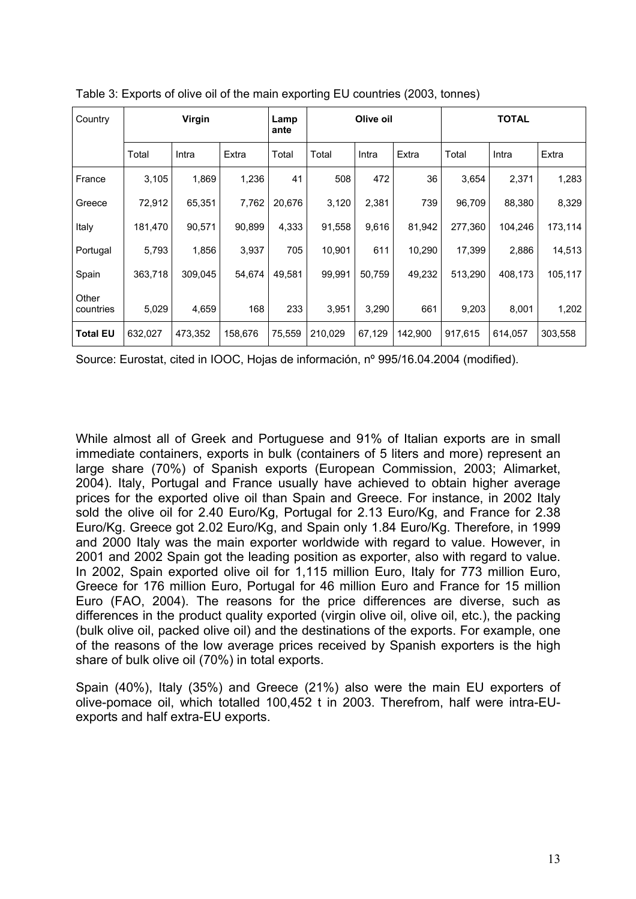| Country            | Virgin  |         |         | Lamp<br>ante |         | Olive oil |         | <b>TOTAL</b> |         |         |  |
|--------------------|---------|---------|---------|--------------|---------|-----------|---------|--------------|---------|---------|--|
|                    | Total   | Intra   | Extra   | Total        | Total   | Intra     | Extra   | Total        | Intra   | Extra   |  |
| France             | 3,105   | 1,869   | 1,236   | 41           | 508     | 472       | 36      | 3,654        | 2,371   | 1,283   |  |
| Greece             | 72,912  | 65,351  | 7,762   | 20,676       | 3,120   | 2,381     | 739     | 96,709       | 88,380  | 8,329   |  |
| Italy              | 181,470 | 90,571  | 90,899  | 4,333        | 91,558  | 9,616     | 81,942  | 277,360      | 104,246 | 173,114 |  |
| Portugal           | 5,793   | 1,856   | 3,937   | 705          | 10,901  | 611       | 10,290  | 17,399       | 2,886   | 14,513  |  |
| Spain              | 363,718 | 309,045 | 54,674  | 49,581       | 99,991  | 50,759    | 49,232  | 513,290      | 408,173 | 105,117 |  |
| Other<br>countries | 5,029   | 4,659   | 168     | 233          | 3,951   | 3,290     | 661     | 9,203        | 8,001   | 1,202   |  |
| <b>Total EU</b>    | 632,027 | 473,352 | 158,676 | 75,559       | 210,029 | 67,129    | 142,900 | 917,615      | 614,057 | 303,558 |  |

Table 3: Exports of olive oil of the main exporting EU countries (2003, tonnes)

Source: Eurostat, cited in IOOC, Hojas de información, nº 995/16.04.2004 (modified).

While almost all of Greek and Portuguese and 91% of Italian exports are in small immediate containers, exports in bulk (containers of 5 liters and more) represent an large share (70%) of Spanish exports (European Commission, 2003; Alimarket, 2004). Italy, Portugal and France usually have achieved to obtain higher average prices for the exported olive oil than Spain and Greece. For instance, in 2002 Italy sold the olive oil for 2.40 Euro/Kg, Portugal for 2.13 Euro/Kg, and France for 2.38 Euro/Kg. Greece got 2.02 Euro/Kg, and Spain only 1.84 Euro/Kg. Therefore, in 1999 and 2000 Italy was the main exporter worldwide with regard to value. However, in 2001 and 2002 Spain got the leading position as exporter, also with regard to value. In 2002, Spain exported olive oil for 1,115 million Euro, Italy for 773 million Euro, Greece for 176 million Euro, Portugal for 46 million Euro and France for 15 million Euro (FAO, 2004). The reasons for the price differences are diverse, such as differences in the product quality exported (virgin olive oil, olive oil, etc.), the packing (bulk olive oil, packed olive oil) and the destinations of the exports. For example, one of the reasons of the low average prices received by Spanish exporters is the high share of bulk olive oil (70%) in total exports.

Spain (40%), Italy (35%) and Greece (21%) also were the main EU exporters of olive-pomace oil, which totalled 100,452 t in 2003. Therefrom, half were intra-EUexports and half extra-EU exports.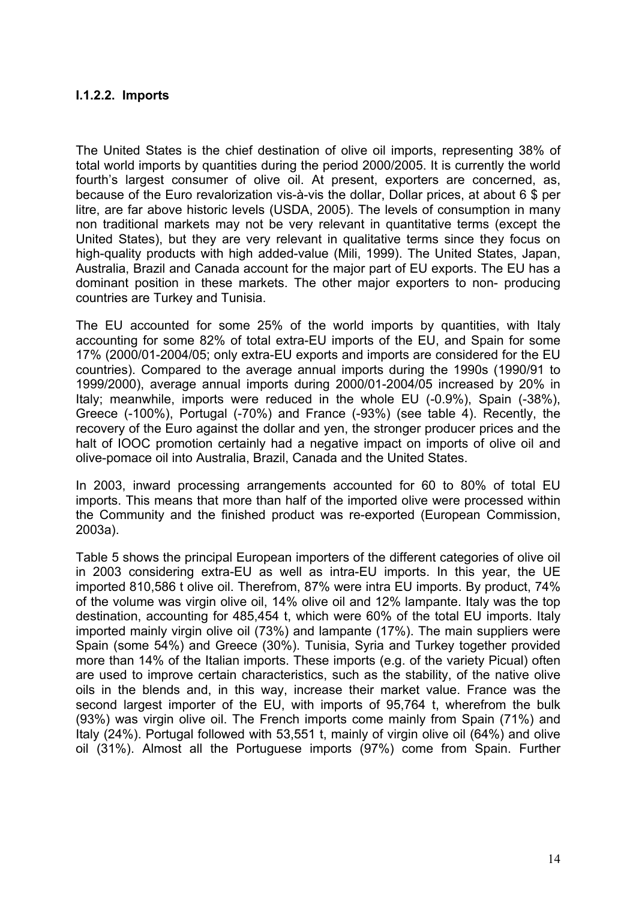# **I.1.2.2. Imports**

The United States is the chief destination of olive oil imports, representing 38% of total world imports by quantities during the period 2000/2005. It is currently the world fourth's largest consumer of olive oil. At present, exporters are concerned, as, because of the Euro revalorization vis-à-vis the dollar, Dollar prices, at about 6 \$ per litre, are far above historic levels (USDA, 2005). The levels of consumption in many non traditional markets may not be very relevant in quantitative terms (except the United States), but they are very relevant in qualitative terms since they focus on high-quality products with high added-value (Mili, 1999). The United States, Japan, Australia, Brazil and Canada account for the major part of EU exports. The EU has a dominant position in these markets. The other major exporters to non- producing countries are Turkey and Tunisia.

The EU accounted for some 25% of the world imports by quantities, with Italy accounting for some 82% of total extra-EU imports of the EU, and Spain for some 17% (2000/01-2004/05; only extra-EU exports and imports are considered for the EU countries). Compared to the average annual imports during the 1990s (1990/91 to 1999/2000), average annual imports during 2000/01-2004/05 increased by 20% in Italy; meanwhile, imports were reduced in the whole EU (-0.9%), Spain (-38%), Greece (-100%), Portugal (-70%) and France (-93%) (see table 4). Recently, the recovery of the Euro against the dollar and yen, the stronger producer prices and the halt of IOOC promotion certainly had a negative impact on imports of olive oil and olive-pomace oil into Australia, Brazil, Canada and the United States.

In 2003, inward processing arrangements accounted for 60 to 80% of total EU imports. This means that more than half of the imported olive were processed within the Community and the finished product was re-exported (European Commission, 2003a).

Table 5 shows the principal European importers of the different categories of olive oil in 2003 considering extra-EU as well as intra-EU imports. In this year, the UE imported 810,586 t olive oil. Therefrom, 87% were intra EU imports. By product, 74% of the volume was virgin olive oil, 14% olive oil and 12% lampante. Italy was the top destination, accounting for 485,454 t, which were 60% of the total EU imports. Italy imported mainly virgin olive oil (73%) and lampante (17%). The main suppliers were Spain (some 54%) and Greece (30%). Tunisia, Syria and Turkey together provided more than 14% of the Italian imports. These imports (e.g. of the variety Picual) often are used to improve certain characteristics, such as the stability, of the native olive oils in the blends and, in this way, increase their market value. France was the second largest importer of the EU, with imports of 95,764 t, wherefrom the bulk (93%) was virgin olive oil. The French imports come mainly from Spain (71%) and Italy (24%). Portugal followed with 53,551 t, mainly of virgin olive oil (64%) and olive oil (31%). Almost all the Portuguese imports (97%) come from Spain. Further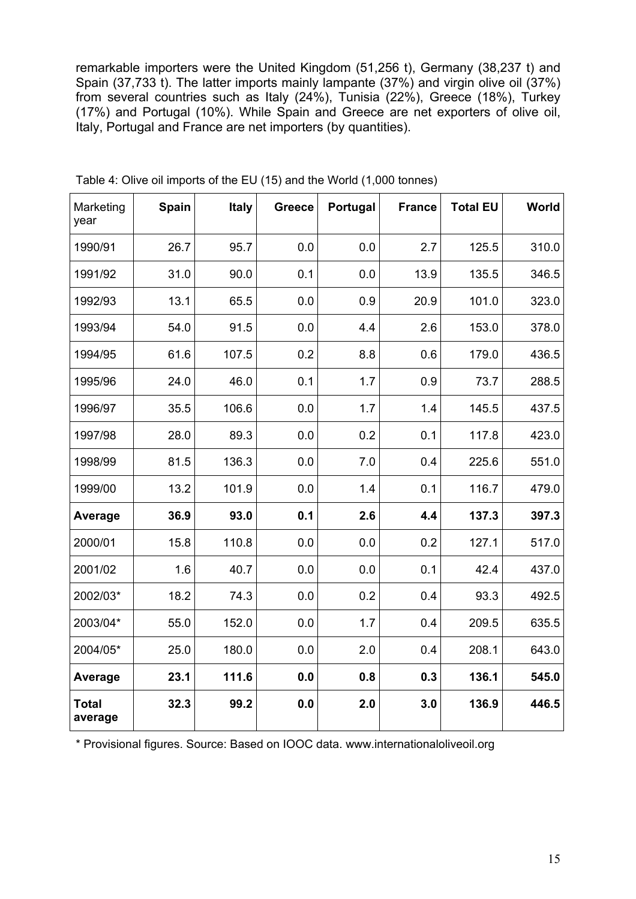remarkable importers were the United Kingdom (51,256 t), Germany (38,237 t) and Spain (37,733 t). The latter imports mainly lampante (37%) and virgin olive oil (37%) from several countries such as Italy (24%), Tunisia (22%), Greece (18%), Turkey (17%) and Portugal (10%). While Spain and Greece are net exporters of olive oil, Italy, Portugal and France are net importers (by quantities).

| Marketing<br>year       | <b>Spain</b> | <b>Italy</b> | <b>Greece</b> | Portugal | <b>France</b> | <b>Total EU</b> | World |
|-------------------------|--------------|--------------|---------------|----------|---------------|-----------------|-------|
| 1990/91                 | 26.7         | 95.7         | 0.0           | 0.0      | 2.7           | 125.5           | 310.0 |
| 1991/92                 | 31.0         | 90.0         | 0.1           | 0.0      | 13.9          | 135.5           | 346.5 |
| 1992/93                 | 13.1         | 65.5         | 0.0           | 0.9      | 20.9          | 101.0           | 323.0 |
| 1993/94                 | 54.0         | 91.5         | 0.0           | 4.4      | 2.6           | 153.0           | 378.0 |
| 1994/95                 | 61.6         | 107.5        | 0.2           | 8.8      | 0.6           | 179.0           | 436.5 |
| 1995/96                 | 24.0         | 46.0         | 0.1           | 1.7      | 0.9           | 73.7            | 288.5 |
| 1996/97                 | 35.5         | 106.6        | 0.0           | 1.7      | 1.4           | 145.5           | 437.5 |
| 1997/98                 | 28.0         | 89.3         | 0.0           | 0.2      | 0.1           | 117.8           | 423.0 |
| 1998/99                 | 81.5         | 136.3        | 0.0           | 7.0      | 0.4           | 225.6           | 551.0 |
| 1999/00                 | 13.2         | 101.9        | 0.0           | 1.4      | 0.1           | 116.7           | 479.0 |
| Average                 | 36.9         | 93.0         | 0.1           | 2.6      | 4.4           | 137.3           | 397.3 |
| 2000/01                 | 15.8         | 110.8        | 0.0           | 0.0      | 0.2           | 127.1           | 517.0 |
| 2001/02                 | 1.6          | 40.7         | 0.0           | 0.0      | 0.1           | 42.4            | 437.0 |
| 2002/03*                | 18.2         | 74.3         | 0.0           | 0.2      | 0.4           | 93.3            | 492.5 |
| 2003/04*                | 55.0         | 152.0        | 0.0           | 1.7      | 0.4           | 209.5           | 635.5 |
| 2004/05*                | 25.0         | 180.0        | 0.0           | 2.0      | 0.4           | 208.1           | 643.0 |
| Average                 | 23.1         | 111.6        | 0.0           | 0.8      | 0.3           | 136.1           | 545.0 |
| <b>Total</b><br>average | 32.3         | 99.2         | 0.0           | 2.0      | 3.0           | 136.9           | 446.5 |

Table 4: Olive oil imports of the EU (15) and the World (1,000 tonnes)

\* Provisional figures. Source: Based on IOOC data. www.internationaloliveoil.org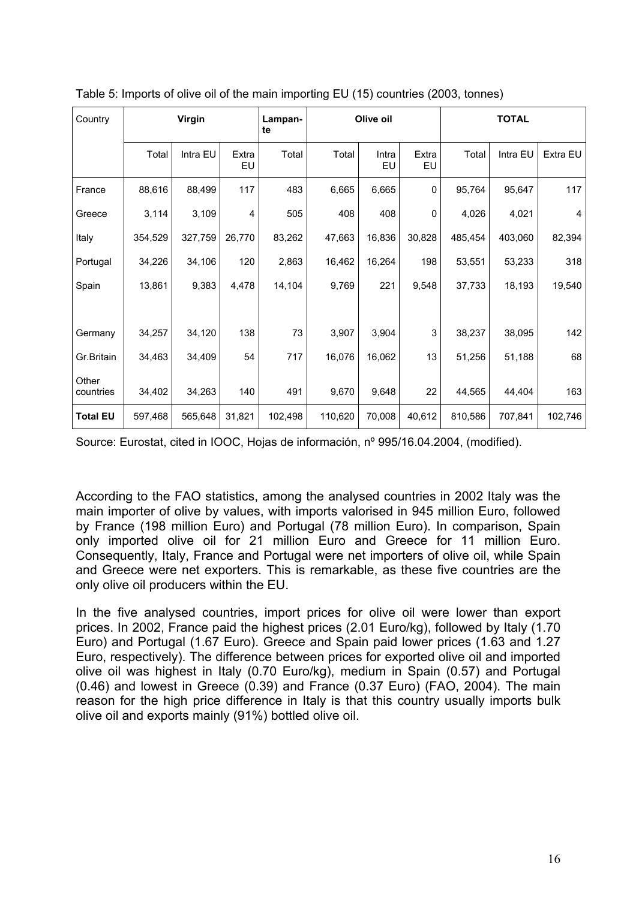| Country            | Virgin  |          |             | Lampan-<br>te |         | Olive oil   |             | <b>TOTAL</b> |          |          |  |
|--------------------|---------|----------|-------------|---------------|---------|-------------|-------------|--------------|----------|----------|--|
|                    | Total   | Intra EU | Extra<br>EU | Total         | Total   | Intra<br>EU | Extra<br>EU | Total        | Intra EU | Extra EU |  |
| France             | 88,616  | 88,499   | 117         | 483           | 6,665   | 6,665       | 0           | 95,764       | 95,647   | 117      |  |
| Greece             | 3,114   | 3,109    | 4           | 505           | 408     | 408         | 0           | 4,026        | 4,021    | 4        |  |
| Italy              | 354,529 | 327,759  | 26,770      | 83,262        | 47,663  | 16,836      | 30,828      | 485,454      | 403,060  | 82,394   |  |
| Portugal           | 34,226  | 34,106   | 120         | 2,863         | 16,462  | 16,264      | 198         | 53,551       | 53,233   | 318      |  |
| Spain              | 13,861  | 9,383    | 4,478       | 14,104        | 9,769   | 221         | 9,548       | 37,733       | 18,193   | 19,540   |  |
|                    |         |          |             |               |         |             |             |              |          |          |  |
| Germany            | 34,257  | 34,120   | 138         | 73            | 3,907   | 3,904       | 3           | 38,237       | 38,095   | 142      |  |
| Gr.Britain         | 34,463  | 34,409   | 54          | 717           | 16,076  | 16,062      | 13          | 51,256       | 51,188   | 68       |  |
| Other<br>countries | 34,402  | 34,263   | 140         | 491           | 9,670   | 9,648       | 22          | 44,565       | 44,404   | 163      |  |
| <b>Total EU</b>    | 597,468 | 565,648  | 31,821      | 102,498       | 110,620 | 70,008      | 40,612      | 810,586      | 707,841  | 102,746  |  |

Table 5: Imports of olive oil of the main importing EU (15) countries (2003, tonnes)

Source: Eurostat, cited in IOOC, Hojas de información, nº 995/16.04.2004, (modified).

According to the FAO statistics, among the analysed countries in 2002 Italy was the main importer of olive by values, with imports valorised in 945 million Euro, followed by France (198 million Euro) and Portugal (78 million Euro). In comparison, Spain only imported olive oil for 21 million Euro and Greece for 11 million Euro. Consequently, Italy, France and Portugal were net importers of olive oil, while Spain and Greece were net exporters. This is remarkable, as these five countries are the only olive oil producers within the EU.

In the five analysed countries, import prices for olive oil were lower than export prices. In 2002, France paid the highest prices (2.01 Euro/kg), followed by Italy (1.70 Euro) and Portugal (1.67 Euro). Greece and Spain paid lower prices (1.63 and 1.27 Euro, respectively). The difference between prices for exported olive oil and imported olive oil was highest in Italy (0.70 Euro/kg), medium in Spain (0.57) and Portugal (0.46) and lowest in Greece (0.39) and France (0.37 Euro) (FAO, 2004). The main reason for the high price difference in Italy is that this country usually imports bulk olive oil and exports mainly (91%) bottled olive oil.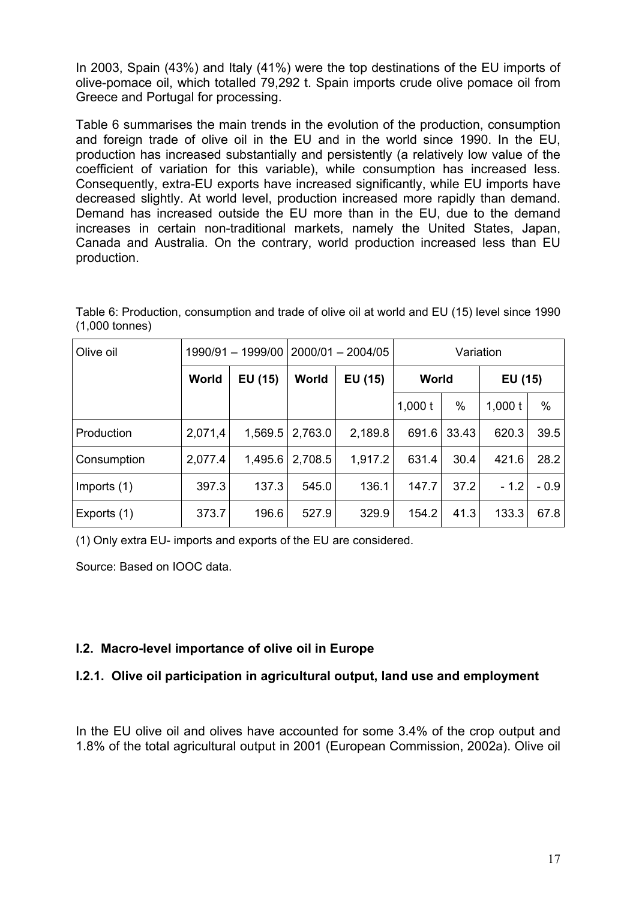In 2003, Spain (43%) and Italy (41%) were the top destinations of the EU imports of olive-pomace oil, which totalled 79,292 t. Spain imports crude olive pomace oil from Greece and Portugal for processing.

Table 6 summarises the main trends in the evolution of the production, consumption and foreign trade of olive oil in the EU and in the world since 1990. In the EU, production has increased substantially and persistently (a relatively low value of the coefficient of variation for this variable), while consumption has increased less. Consequently, extra-EU exports have increased significantly, while EU imports have decreased slightly. At world level, production increased more rapidly than demand. Demand has increased outside the EU more than in the EU, due to the demand increases in certain non-traditional markets, namely the United States, Japan, Canada and Australia. On the contrary, world production increased less than EU production.

Table 6: Production, consumption and trade of olive oil at world and EU (15) level since 1990 (1,000 tonnes)

| Olive oil   | 1990/91 - 1999/00   2000/01 - 2004/05 |         |         |         | Variation |       |           |        |
|-------------|---------------------------------------|---------|---------|---------|-----------|-------|-----------|--------|
|             | World                                 | EU (15) | World   | EU (15) | World     |       | EU (15)   |        |
|             |                                       |         |         |         | 1,000t    | %     | 1,000 $t$ | %      |
| Production  | 2,071,4                               | 1,569.5 | 2,763.0 | 2,189.8 | 691.6     | 33.43 | 620.3     | 39.5   |
| Consumption | 2,077.4                               | 1,495.6 | 2,708.5 | 1,917.2 | 631.4     | 30.4  | 421.6     | 28.2   |
| Imports (1) | 397.3                                 | 137.3   | 545.0   | 136.1   | 147.7     | 37.2  | $-1.2$    | $-0.9$ |
| Exports (1) | 373.7                                 | 196.6   | 527.9   | 329.9   | 154.2     | 41.3  | 133.3     | 67.8   |

(1) Only extra EU- imports and exports of the EU are considered.

Source: Based on IOOC data.

# **I.2. Macro-level importance of olive oil in Europe**

# **I.2.1. Olive oil participation in agricultural output, land use and employment**

In the EU olive oil and olives have accounted for some 3.4% of the crop output and 1.8% of the total agricultural output in 2001 (European Commission, 2002a). Olive oil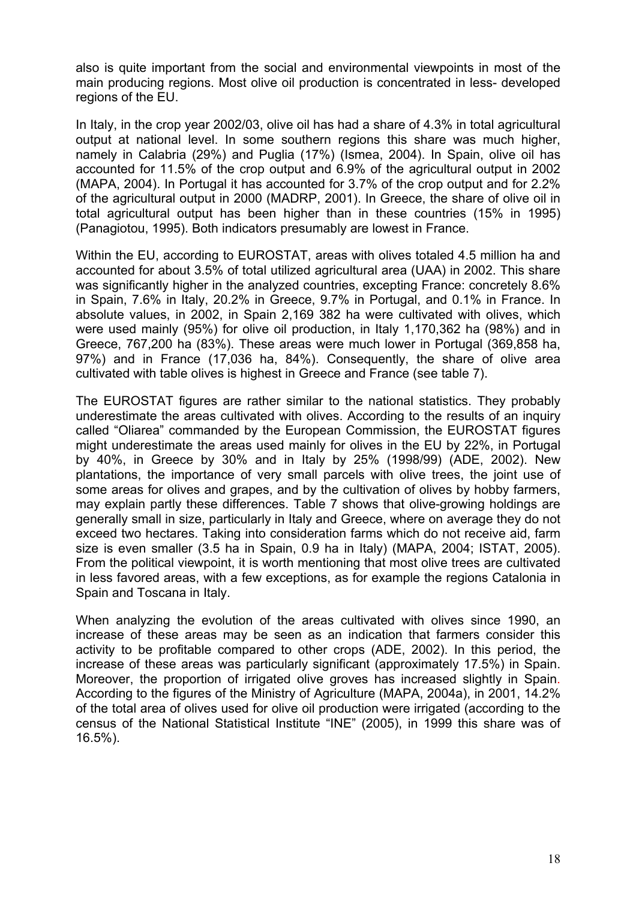also is quite important from the social and environmental viewpoints in most of the main producing regions. Most olive oil production is concentrated in less- developed regions of the EU.

In Italy, in the crop year 2002/03, olive oil has had a share of 4.3% in total agricultural output at national level. In some southern regions this share was much higher, namely in Calabria (29%) and Puglia (17%) (Ismea, 2004). In Spain, olive oil has accounted for 11.5% of the crop output and 6.9% of the agricultural output in 2002 (MAPA, 2004). In Portugal it has accounted for 3.7% of the crop output and for 2.2% of the agricultural output in 2000 (MADRP, 2001). In Greece, the share of olive oil in total agricultural output has been higher than in these countries (15% in 1995) (Panagiotou, 1995). Both indicators presumably are lowest in France.

Within the EU, according to EUROSTAT, areas with olives totaled 4.5 million ha and accounted for about 3.5% of total utilized agricultural area (UAA) in 2002. This share was significantly higher in the analyzed countries, excepting France: concretely 8.6% in Spain, 7.6% in Italy, 20.2% in Greece, 9.7% in Portugal, and 0.1% in France. In absolute values, in 2002, in Spain 2,169 382 ha were cultivated with olives, which were used mainly (95%) for olive oil production, in Italy 1,170,362 ha (98%) and in Greece, 767,200 ha (83%). These areas were much lower in Portugal (369,858 ha, 97%) and in France (17,036 ha, 84%). Consequently, the share of olive area cultivated with table olives is highest in Greece and France (see table 7).

The EUROSTAT figures are rather similar to the national statistics. They probably underestimate the areas cultivated with olives. According to the results of an inquiry called "Oliarea" commanded by the European Commission, the EUROSTAT figures might underestimate the areas used mainly for olives in the EU by 22%, in Portugal by 40%, in Greece by 30% and in Italy by 25% (1998/99) (ADE, 2002). New plantations, the importance of very small parcels with olive trees, the joint use of some areas for olives and grapes, and by the cultivation of olives by hobby farmers, may explain partly these differences. Table 7 shows that olive-growing holdings are generally small in size, particularly in Italy and Greece, where on average they do not exceed two hectares. Taking into consideration farms which do not receive aid, farm size is even smaller (3.5 ha in Spain, 0.9 ha in Italy) (MAPA, 2004; ISTAT, 2005). From the political viewpoint, it is worth mentioning that most olive trees are cultivated in less favored areas, with a few exceptions, as for example the regions Catalonia in Spain and Toscana in Italy.

When analyzing the evolution of the areas cultivated with olives since 1990, an increase of these areas may be seen as an indication that farmers consider this activity to be profitable compared to other crops (ADE, 2002). In this period, the increase of these areas was particularly significant (approximately 17.5%) in Spain. Moreover, the proportion of irrigated olive groves has increased slightly in Spain. According to the figures of the Ministry of Agriculture (MAPA, 2004a), in 2001, 14.2% of the total area of olives used for olive oil production were irrigated (according to the census of the National Statistical Institute "INE" (2005), in 1999 this share was of 16.5%).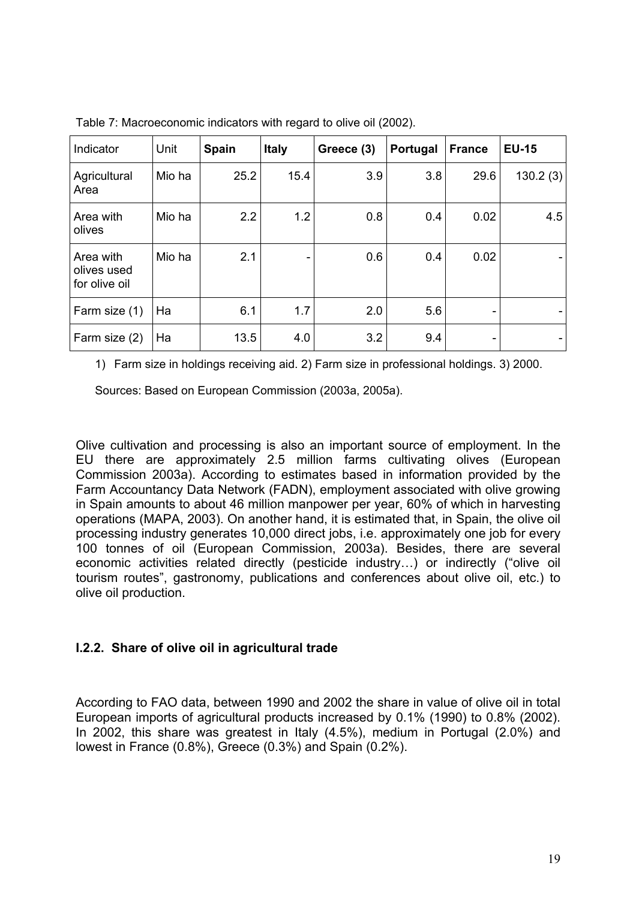| Indicator                                 | Unit   | <b>Spain</b> | <b>Italy</b> | Greece (3) | Portugal | <b>France</b> | <b>EU-15</b> |
|-------------------------------------------|--------|--------------|--------------|------------|----------|---------------|--------------|
| Agricultural<br>Area                      | Mio ha | 25.2         | 15.4         | 3.9        | 3.8      | 29.6          | 130.2(3)     |
| Area with<br>olives                       | Mio ha | 2.2          | 1.2          | 0.8        | 0.4      | 0.02          | 4.5          |
| Area with<br>olives used<br>for olive oil | Mio ha | 2.1          |              | 0.6        | 0.4      | 0.02          |              |
| Farm size (1)                             | Ha     | 6.1          | 1.7          | 2.0        | 5.6      |               |              |
| Farm size (2)                             | Ha     | 13.5         | 4.0          | 3.2        | 9.4      |               |              |

Table 7: Macroeconomic indicators with regard to olive oil (2002).

1) Farm size in holdings receiving aid. 2) Farm size in professional holdings. 3) 2000.

Sources: Based on European Commission (2003a, 2005a).

Olive cultivation and processing is also an important source of employment. In the EU there are approximately 2.5 million farms cultivating olives (European Commission 2003a). According to estimates based in information provided by the Farm Accountancy Data Network (FADN), employment associated with olive growing in Spain amounts to about 46 million manpower per year, 60% of which in harvesting operations (MAPA, 2003). On another hand, it is estimated that, in Spain, the olive oil processing industry generates 10,000 direct jobs, i.e. approximately one job for every 100 tonnes of oil (European Commission, 2003a). Besides, there are several economic activities related directly (pesticide industry…) or indirectly ("olive oil tourism routes", gastronomy, publications and conferences about olive oil, etc.) to olive oil production.

#### **I.2.2. Share of olive oil in agricultural trade**

According to FAO data, between 1990 and 2002 the share in value of olive oil in total European imports of agricultural products increased by 0.1% (1990) to 0.8% (2002). In 2002, this share was greatest in Italy (4.5%), medium in Portugal (2.0%) and lowest in France (0.8%), Greece (0.3%) and Spain (0.2%).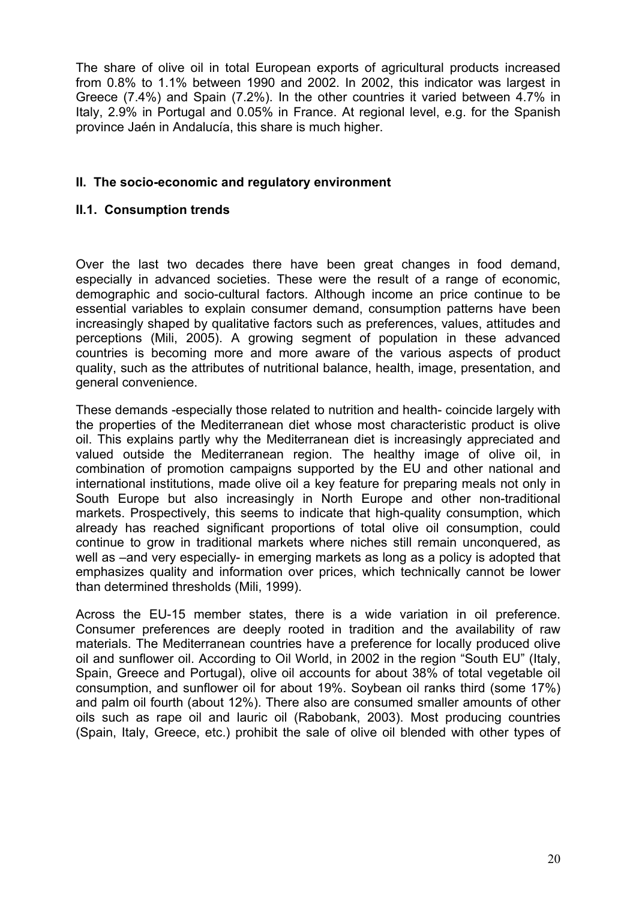The share of olive oil in total European exports of agricultural products increased from 0.8% to 1.1% between 1990 and 2002. In 2002, this indicator was largest in Greece (7.4%) and Spain (7.2%). In the other countries it varied between 4.7% in Italy, 2.9% in Portugal and 0.05% in France. At regional level, e.g. for the Spanish province Jaén in Andalucía, this share is much higher.

#### **II. The socio-economic and regulatory environment**

#### **II.1. Consumption trends**

Over the last two decades there have been great changes in food demand, especially in advanced societies. These were the result of a range of economic, demographic and socio-cultural factors. Although income an price continue to be essential variables to explain consumer demand, consumption patterns have been increasingly shaped by qualitative factors such as preferences, values, attitudes and perceptions (Mili, 2005). A growing segment of population in these advanced countries is becoming more and more aware of the various aspects of product quality, such as the attributes of nutritional balance, health, image, presentation, and general convenience.

These demands -especially those related to nutrition and health- coincide largely with the properties of the Mediterranean diet whose most characteristic product is olive oil. This explains partly why the Mediterranean diet is increasingly appreciated and valued outside the Mediterranean region. The healthy image of olive oil, in combination of promotion campaigns supported by the EU and other national and international institutions, made olive oil a key feature for preparing meals not only in South Europe but also increasingly in North Europe and other non-traditional markets. Prospectively, this seems to indicate that high-quality consumption, which already has reached significant proportions of total olive oil consumption, could continue to grow in traditional markets where niches still remain unconquered, as well as –and very especially- in emerging markets as long as a policy is adopted that emphasizes quality and information over prices, which technically cannot be lower than determined thresholds (Mili, 1999).

Across the EU-15 member states, there is a wide variation in oil preference. Consumer preferences are deeply rooted in tradition and the availability of raw materials. The Mediterranean countries have a preference for locally produced olive oil and sunflower oil. According to Oil World, in 2002 in the region "South EU" (Italy, Spain, Greece and Portugal), olive oil accounts for about 38% of total vegetable oil consumption, and sunflower oil for about 19%. Soybean oil ranks third (some 17%) and palm oil fourth (about 12%). There also are consumed smaller amounts of other oils such as rape oil and lauric oil (Rabobank, 2003). Most producing countries (Spain, Italy, Greece, etc.) prohibit the sale of olive oil blended with other types of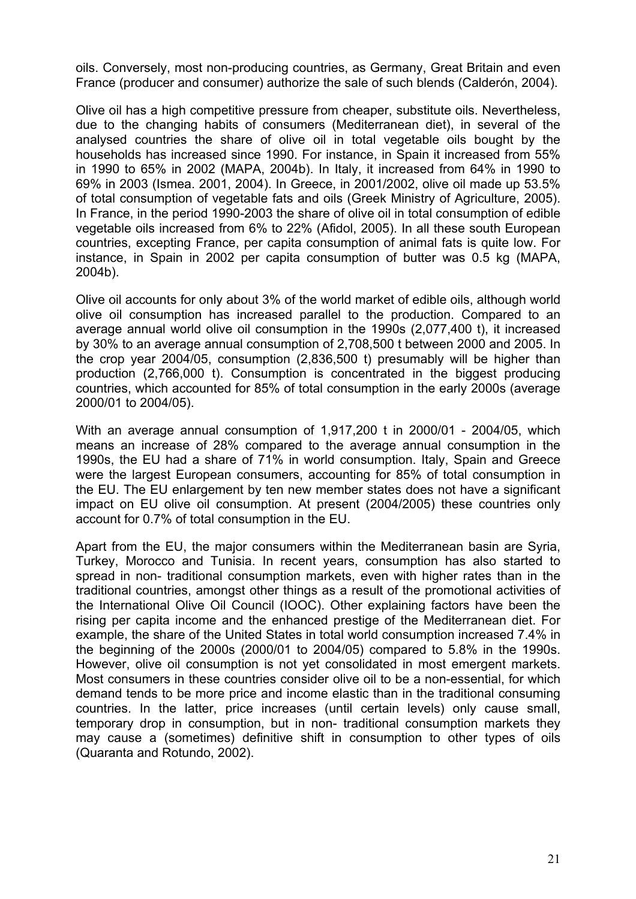oils. Conversely, most non-producing countries, as Germany, Great Britain and even France (producer and consumer) authorize the sale of such blends (Calderón, 2004).

Olive oil has a high competitive pressure from cheaper, substitute oils. Nevertheless, due to the changing habits of consumers (Mediterranean diet), in several of the analysed countries the share of olive oil in total vegetable oils bought by the households has increased since 1990. For instance, in Spain it increased from 55% in 1990 to 65% in 2002 (MAPA, 2004b). In Italy, it increased from 64% in 1990 to 69% in 2003 (Ismea. 2001, 2004). In Greece, in 2001/2002, olive oil made up 53.5% of total consumption of vegetable fats and oils (Greek Ministry of Agriculture, 2005). In France, in the period 1990-2003 the share of olive oil in total consumption of edible vegetable oils increased from 6% to 22% (Afidol, 2005). In all these south European countries, excepting France, per capita consumption of animal fats is quite low. For instance, in Spain in 2002 per capita consumption of butter was 0.5 kg (MAPA, 2004b).

Olive oil accounts for only about 3% of the world market of edible oils, although world olive oil consumption has increased parallel to the production. Compared to an average annual world olive oil consumption in the 1990s (2,077,400 t), it increased by 30% to an average annual consumption of 2,708,500 t between 2000 and 2005. In the crop year 2004/05, consumption (2,836,500 t) presumably will be higher than production (2,766,000 t). Consumption is concentrated in the biggest producing countries, which accounted for 85% of total consumption in the early 2000s (average 2000/01 to 2004/05).

With an average annual consumption of 1,917,200 t in 2000/01 - 2004/05, which means an increase of 28% compared to the average annual consumption in the 1990s, the EU had a share of 71% in world consumption. Italy, Spain and Greece were the largest European consumers, accounting for 85% of total consumption in the EU. The EU enlargement by ten new member states does not have a significant impact on EU olive oil consumption. At present (2004/2005) these countries only account for 0.7% of total consumption in the EU.

Apart from the EU, the major consumers within the Mediterranean basin are Syria, Turkey, Morocco and Tunisia. In recent years, consumption has also started to spread in non- traditional consumption markets, even with higher rates than in the traditional countries, amongst other things as a result of the promotional activities of the International Olive Oil Council (IOOC). Other explaining factors have been the rising per capita income and the enhanced prestige of the Mediterranean diet. For example, the share of the United States in total world consumption increased 7.4% in the beginning of the 2000s (2000/01 to 2004/05) compared to 5.8% in the 1990s. However, olive oil consumption is not yet consolidated in most emergent markets. Most consumers in these countries consider olive oil to be a non-essential, for which demand tends to be more price and income elastic than in the traditional consuming countries. In the latter, price increases (until certain levels) only cause small, temporary drop in consumption, but in non- traditional consumption markets they may cause a (sometimes) definitive shift in consumption to other types of oils (Quaranta and Rotundo, 2002).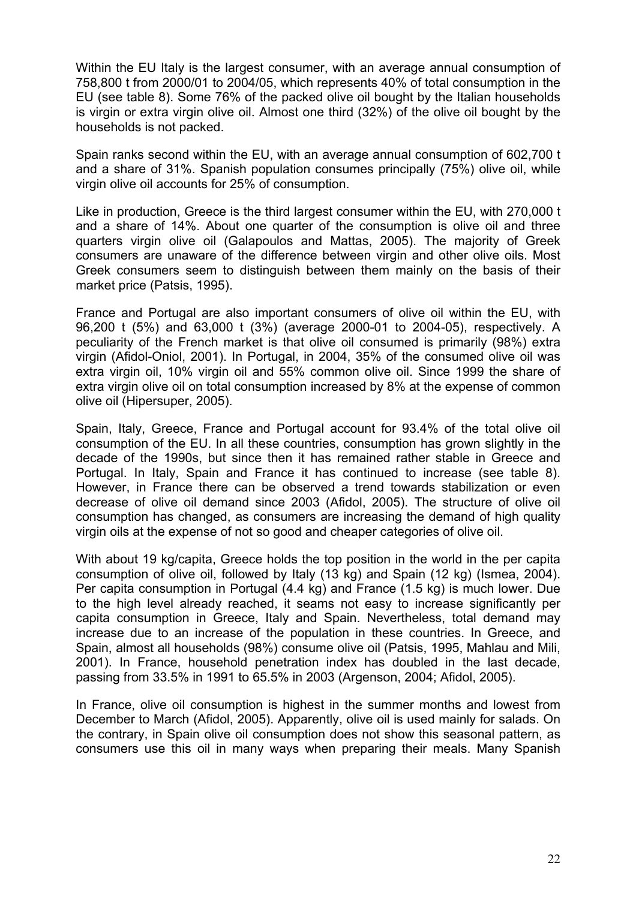Within the EU Italy is the largest consumer, with an average annual consumption of 758,800 t from 2000/01 to 2004/05, which represents 40% of total consumption in the EU (see table 8). Some 76% of the packed olive oil bought by the Italian households is virgin or extra virgin olive oil. Almost one third (32%) of the olive oil bought by the households is not packed.

Spain ranks second within the EU, with an average annual consumption of 602,700 t and a share of 31%. Spanish population consumes principally (75%) olive oil, while virgin olive oil accounts for 25% of consumption.

Like in production, Greece is the third largest consumer within the EU, with 270,000 t and a share of 14%. About one quarter of the consumption is olive oil and three quarters virgin olive oil (Galapoulos and Mattas, 2005). The majority of Greek consumers are unaware of the difference between virgin and other olive oils. Most Greek consumers seem to distinguish between them mainly on the basis of their market price (Patsis, 1995).

France and Portugal are also important consumers of olive oil within the EU, with 96,200 t (5%) and 63,000 t (3%) (average 2000-01 to 2004-05), respectively. A peculiarity of the French market is that olive oil consumed is primarily (98%) extra virgin (Afidol-Oniol, 2001). In Portugal, in 2004, 35% of the consumed olive oil was extra virgin oil, 10% virgin oil and 55% common olive oil. Since 1999 the share of extra virgin olive oil on total consumption increased by 8% at the expense of common olive oil (Hipersuper, 2005).

Spain, Italy, Greece, France and Portugal account for 93.4% of the total olive oil consumption of the EU. In all these countries, consumption has grown slightly in the decade of the 1990s, but since then it has remained rather stable in Greece and Portugal. In Italy, Spain and France it has continued to increase (see table 8). However, in France there can be observed a trend towards stabilization or even decrease of olive oil demand since 2003 (Afidol, 2005). The structure of olive oil consumption has changed, as consumers are increasing the demand of high quality virgin oils at the expense of not so good and cheaper categories of olive oil.

With about 19 kg/capita, Greece holds the top position in the world in the per capita consumption of olive oil, followed by Italy (13 kg) and Spain (12 kg) (Ismea, 2004). Per capita consumption in Portugal (4.4 kg) and France (1.5 kg) is much lower. Due to the high level already reached, it seams not easy to increase significantly per capita consumption in Greece, Italy and Spain. Nevertheless, total demand may increase due to an increase of the population in these countries. In Greece, and Spain, almost all households (98%) consume olive oil (Patsis, 1995, Mahlau and Mili, 2001). In France, household penetration index has doubled in the last decade, passing from 33.5% in 1991 to 65.5% in 2003 (Argenson, 2004; Afidol, 2005).

In France, olive oil consumption is highest in the summer months and lowest from December to March (Afidol, 2005). Apparently, olive oil is used mainly for salads. On the contrary, in Spain olive oil consumption does not show this seasonal pattern, as consumers use this oil in many ways when preparing their meals. Many Spanish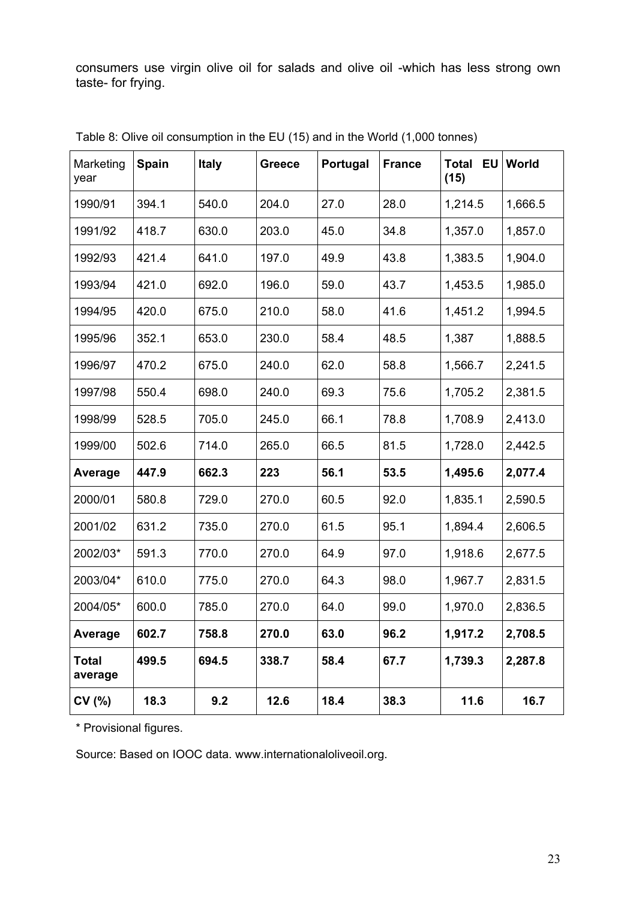consumers use virgin olive oil for salads and olive oil -which has less strong own taste- for frying.

| Marketing<br>year       | <b>Spain</b> | <b>Italy</b> | <b>Greece</b> | Portugal | <b>France</b> | <b>Total EU</b><br>(15) | World   |
|-------------------------|--------------|--------------|---------------|----------|---------------|-------------------------|---------|
| 1990/91                 | 394.1        | 540.0        | 204.0         | 27.0     | 28.0          | 1,214.5                 | 1,666.5 |
| 1991/92                 | 418.7        | 630.0        | 203.0         | 45.0     | 34.8          | 1,357.0                 | 1,857.0 |
| 1992/93                 | 421.4        | 641.0        | 197.0         | 49.9     | 43.8          | 1,383.5                 | 1,904.0 |
| 1993/94                 | 421.0        | 692.0        | 196.0         | 59.0     | 43.7          | 1,453.5                 | 1,985.0 |
| 1994/95                 | 420.0        | 675.0        | 210.0         | 58.0     | 41.6          | 1,451.2                 | 1,994.5 |
| 1995/96                 | 352.1        | 653.0        | 230.0         | 58.4     | 48.5          | 1,387                   | 1,888.5 |
| 1996/97                 | 470.2        | 675.0        | 240.0         | 62.0     | 58.8          | 1,566.7                 | 2,241.5 |
| 1997/98                 | 550.4        | 698.0        | 240.0         | 69.3     | 75.6          | 1,705.2                 | 2,381.5 |
| 1998/99                 | 528.5        | 705.0        | 245.0         | 66.1     | 78.8          | 1,708.9                 | 2,413.0 |
| 1999/00                 | 502.6        | 714.0        | 265.0         | 66.5     | 81.5          | 1,728.0                 | 2,442.5 |
| <b>Average</b>          | 447.9        | 662.3        | 223           | 56.1     | 53.5          | 1,495.6                 | 2,077.4 |
| 2000/01                 | 580.8        | 729.0        | 270.0         | 60.5     | 92.0          | 1,835.1                 | 2,590.5 |
| 2001/02                 | 631.2        | 735.0        | 270.0         | 61.5     | 95.1          | 1,894.4                 | 2,606.5 |
| 2002/03*                | 591.3        | 770.0        | 270.0         | 64.9     | 97.0          | 1,918.6                 | 2,677.5 |
| 2003/04*                | 610.0        | 775.0        | 270.0         | 64.3     | 98.0          | 1,967.7                 | 2,831.5 |
| 2004/05*                | 600.0        | 785.0        | 270.0         | 64.0     | 99.0          | 1,970.0                 | 2,836.5 |
| Average                 | 602.7        | 758.8        | 270.0         | 63.0     | 96.2          | 1,917.2                 | 2,708.5 |
| <b>Total</b><br>average | 499.5        | 694.5        | 338.7         | 58.4     | 67.7          | 1,739.3                 | 2,287.8 |
| CV(%)                   | 18.3         | 9.2          | 12.6          | 18.4     | 38.3          | 11.6                    | 16.7    |

Table 8: Olive oil consumption in the EU (15) and in the World (1,000 tonnes)

\* Provisional figures.

Source: Based on IOOC data. www.internationaloliveoil.org.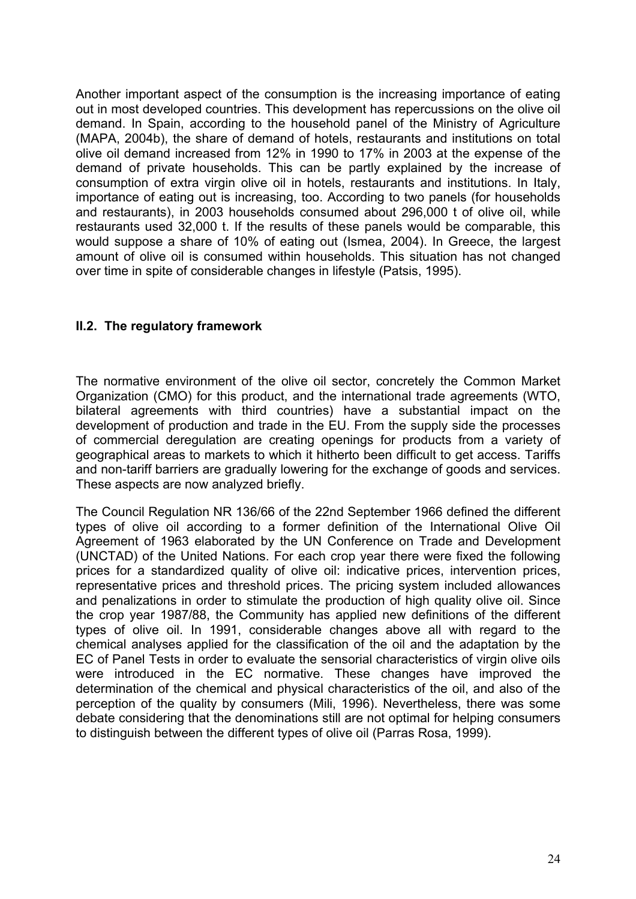Another important aspect of the consumption is the increasing importance of eating out in most developed countries. This development has repercussions on the olive oil demand. In Spain, according to the household panel of the Ministry of Agriculture (MAPA, 2004b), the share of demand of hotels, restaurants and institutions on total olive oil demand increased from 12% in 1990 to 17% in 2003 at the expense of the demand of private households. This can be partly explained by the increase of consumption of extra virgin olive oil in hotels, restaurants and institutions. In Italy, importance of eating out is increasing, too. According to two panels (for households and restaurants), in 2003 households consumed about 296,000 t of olive oil, while restaurants used 32,000 t. If the results of these panels would be comparable, this would suppose a share of 10% of eating out (Ismea, 2004). In Greece, the largest amount of olive oil is consumed within households. This situation has not changed over time in spite of considerable changes in lifestyle (Patsis, 1995).

# **II.2. The regulatory framework**

The normative environment of the olive oil sector, concretely the Common Market Organization (CMO) for this product, and the international trade agreements (WTO, bilateral agreements with third countries) have a substantial impact on the development of production and trade in the EU. From the supply side the processes of commercial deregulation are creating openings for products from a variety of geographical areas to markets to which it hitherto been difficult to get access. Tariffs and non-tariff barriers are gradually lowering for the exchange of goods and services. These aspects are now analyzed briefly.

The Council Regulation NR 136/66 of the 22nd September 1966 defined the different types of olive oil according to a former definition of the International Olive Oil Agreement of 1963 elaborated by the UN Conference on Trade and Development (UNCTAD) of the United Nations. For each crop year there were fixed the following prices for a standardized quality of olive oil: indicative prices, intervention prices, representative prices and threshold prices. The pricing system included allowances and penalizations in order to stimulate the production of high quality olive oil. Since the crop year 1987/88, the Community has applied new definitions of the different types of olive oil. In 1991, considerable changes above all with regard to the chemical analyses applied for the classification of the oil and the adaptation by the EC of Panel Tests in order to evaluate the sensorial characteristics of virgin olive oils were introduced in the EC normative. These changes have improved the determination of the chemical and physical characteristics of the oil, and also of the perception of the quality by consumers (Mili, 1996). Nevertheless, there was some debate considering that the denominations still are not optimal for helping consumers to distinguish between the different types of olive oil (Parras Rosa, 1999).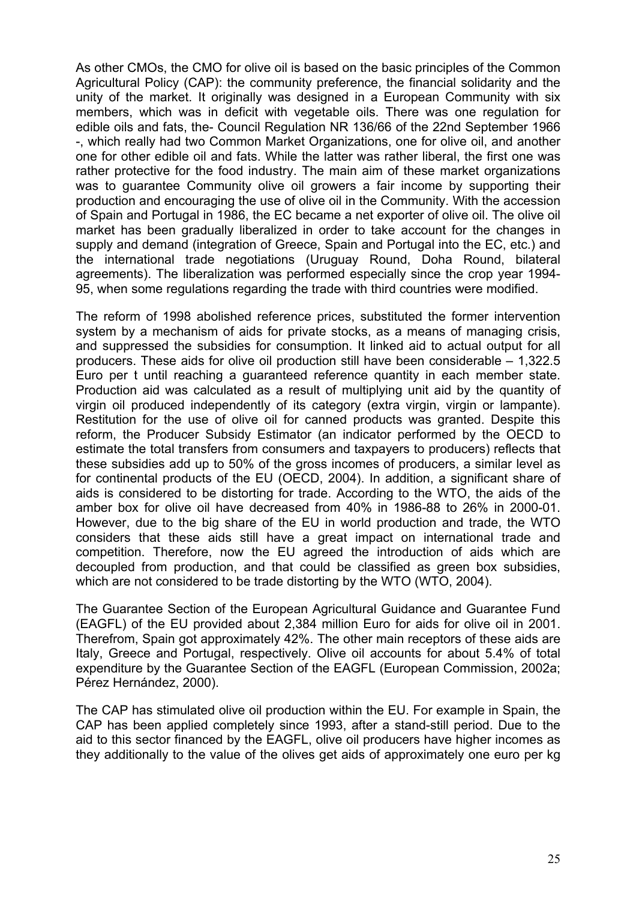As other CMOs, the CMO for olive oil is based on the basic principles of the Common Agricultural Policy (CAP): the community preference, the financial solidarity and the unity of the market. It originally was designed in a European Community with six members, which was in deficit with vegetable oils. There was one regulation for edible oils and fats, the- Council Regulation NR 136/66 of the 22nd September 1966 -, which really had two Common Market Organizations, one for olive oil, and another one for other edible oil and fats. While the latter was rather liberal, the first one was rather protective for the food industry. The main aim of these market organizations was to guarantee Community olive oil growers a fair income by supporting their production and encouraging the use of olive oil in the Community. With the accession of Spain and Portugal in 1986, the EC became a net exporter of olive oil. The olive oil market has been gradually liberalized in order to take account for the changes in supply and demand (integration of Greece, Spain and Portugal into the EC, etc.) and the international trade negotiations (Uruguay Round, Doha Round, bilateral agreements). The liberalization was performed especially since the crop year 1994- 95, when some regulations regarding the trade with third countries were modified.

The reform of 1998 abolished reference prices, substituted the former intervention system by a mechanism of aids for private stocks, as a means of managing crisis, and suppressed the subsidies for consumption. It linked aid to actual output for all producers. These aids for olive oil production still have been considerable – 1,322.5 Euro per t until reaching a guaranteed reference quantity in each member state. Production aid was calculated as a result of multiplying unit aid by the quantity of virgin oil produced independently of its category (extra virgin, virgin or lampante). Restitution for the use of olive oil for canned products was granted. Despite this reform, the Producer Subsidy Estimator (an indicator performed by the OECD to estimate the total transfers from consumers and taxpayers to producers) reflects that these subsidies add up to 50% of the gross incomes of producers, a similar level as for continental products of the EU (OECD, 2004). In addition, a significant share of aids is considered to be distorting for trade. According to the WTO, the aids of the amber box for olive oil have decreased from 40% in 1986-88 to 26% in 2000-01. However, due to the big share of the EU in world production and trade, the WTO considers that these aids still have a great impact on international trade and competition. Therefore, now the EU agreed the introduction of aids which are decoupled from production, and that could be classified as green box subsidies, which are not considered to be trade distorting by the WTO (WTO, 2004).

The Guarantee Section of the European Agricultural Guidance and Guarantee Fund (EAGFL) of the EU provided about 2,384 million Euro for aids for olive oil in 2001. Therefrom, Spain got approximately 42%. The other main receptors of these aids are Italy, Greece and Portugal, respectively. Olive oil accounts for about 5.4% of total expenditure by the Guarantee Section of the EAGFL (European Commission, 2002a; Pérez Hernández, 2000).

The CAP has stimulated olive oil production within the EU. For example in Spain, the CAP has been applied completely since 1993, after a stand-still period. Due to the aid to this sector financed by the EAGFL, olive oil producers have higher incomes as they additionally to the value of the olives get aids of approximately one euro per kg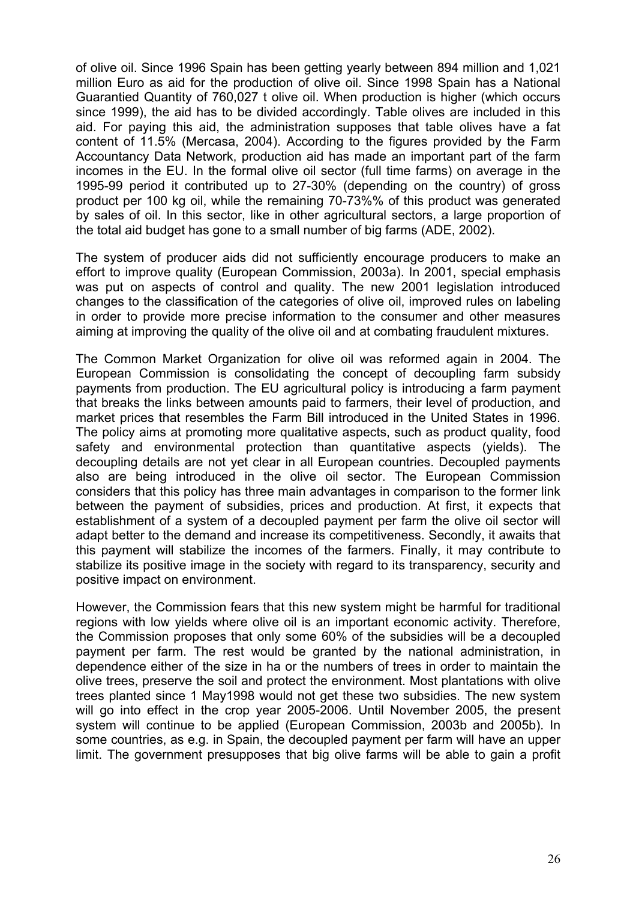of olive oil. Since 1996 Spain has been getting yearly between 894 million and 1,021 million Euro as aid for the production of olive oil. Since 1998 Spain has a National Guarantied Quantity of 760,027 t olive oil. When production is higher (which occurs since 1999), the aid has to be divided accordingly. Table olives are included in this aid. For paying this aid, the administration supposes that table olives have a fat content of 11.5% (Mercasa, 2004). According to the figures provided by the Farm Accountancy Data Network, production aid has made an important part of the farm incomes in the EU. In the formal olive oil sector (full time farms) on average in the 1995-99 period it contributed up to 27-30% (depending on the country) of gross product per 100 kg oil, while the remaining 70-73%% of this product was generated by sales of oil. In this sector, like in other agricultural sectors, a large proportion of the total aid budget has gone to a small number of big farms (ADE, 2002).

The system of producer aids did not sufficiently encourage producers to make an effort to improve quality (European Commission, 2003a). In 2001, special emphasis was put on aspects of control and quality. The new 2001 legislation introduced changes to the classification of the categories of olive oil, improved rules on labeling in order to provide more precise information to the consumer and other measures aiming at improving the quality of the olive oil and at combating fraudulent mixtures.

The Common Market Organization for olive oil was reformed again in 2004. The European Commission is consolidating the concept of decoupling farm subsidy payments from production. The EU agricultural policy is introducing a farm payment that breaks the links between amounts paid to farmers, their level of production, and market prices that resembles the Farm Bill introduced in the United States in 1996. The policy aims at promoting more qualitative aspects, such as product quality, food safety and environmental protection than quantitative aspects (yields). The decoupling details are not yet clear in all European countries. Decoupled payments also are being introduced in the olive oil sector. The European Commission considers that this policy has three main advantages in comparison to the former link between the payment of subsidies, prices and production. At first, it expects that establishment of a system of a decoupled payment per farm the olive oil sector will adapt better to the demand and increase its competitiveness. Secondly, it awaits that this payment will stabilize the incomes of the farmers. Finally, it may contribute to stabilize its positive image in the society with regard to its transparency, security and positive impact on environment.

However, the Commission fears that this new system might be harmful for traditional regions with low yields where olive oil is an important economic activity. Therefore, the Commission proposes that only some 60% of the subsidies will be a decoupled payment per farm. The rest would be granted by the national administration, in dependence either of the size in ha or the numbers of trees in order to maintain the olive trees, preserve the soil and protect the environment. Most plantations with olive trees planted since 1 May1998 would not get these two subsidies. The new system will go into effect in the crop year 2005-2006. Until November 2005, the present system will continue to be applied (European Commission, 2003b and 2005b). In some countries, as e.g. in Spain, the decoupled payment per farm will have an upper limit. The government presupposes that big olive farms will be able to gain a profit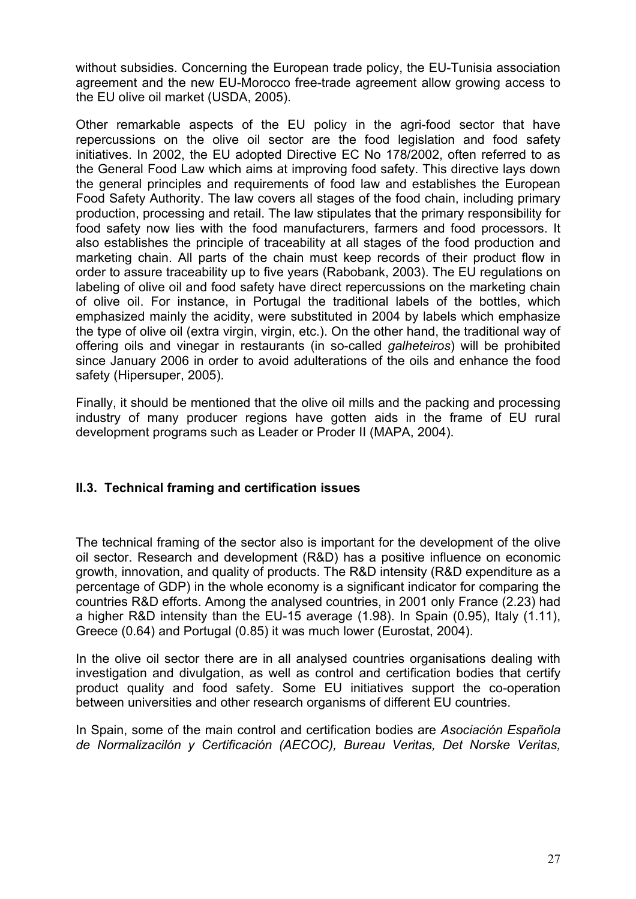without subsidies. Concerning the European trade policy, the EU-Tunisia association agreement and the new EU-Morocco free-trade agreement allow growing access to the EU olive oil market (USDA, 2005).

Other remarkable aspects of the EU policy in the agri-food sector that have repercussions on the olive oil sector are the food legislation and food safety initiatives. In 2002, the EU adopted Directive EC No 178/2002, often referred to as the General Food Law which aims at improving food safety. This directive lays down the general principles and requirements of food law and establishes the European Food Safety Authority. The law covers all stages of the food chain, including primary production, processing and retail. The law stipulates that the primary responsibility for food safety now lies with the food manufacturers, farmers and food processors. It also establishes the principle of traceability at all stages of the food production and marketing chain. All parts of the chain must keep records of their product flow in order to assure traceability up to five years (Rabobank, 2003). The EU regulations on labeling of olive oil and food safety have direct repercussions on the marketing chain of olive oil. For instance, in Portugal the traditional labels of the bottles, which emphasized mainly the acidity, were substituted in 2004 by labels which emphasize the type of olive oil (extra virgin, virgin, etc.). On the other hand, the traditional way of offering oils and vinegar in restaurants (in so-called *galheteiros*) will be prohibited since January 2006 in order to avoid adulterations of the oils and enhance the food safety (Hipersuper, 2005).

Finally, it should be mentioned that the olive oil mills and the packing and processing industry of many producer regions have gotten aids in the frame of EU rural development programs such as Leader or Proder II (MAPA, 2004).

# **II.3. Technical framing and certification issues**

The technical framing of the sector also is important for the development of the olive oil sector. Research and development (R&D) has a positive influence on economic growth, innovation, and quality of products. The R&D intensity (R&D expenditure as a percentage of GDP) in the whole economy is a significant indicator for comparing the countries R&D efforts. Among the analysed countries, in 2001 only France (2.23) had a higher R&D intensity than the EU-15 average (1.98). In Spain (0.95), Italy (1.11), Greece (0.64) and Portugal (0.85) it was much lower (Eurostat, 2004).

In the olive oil sector there are in all analysed countries organisations dealing with investigation and divulgation, as well as control and certification bodies that certify product quality and food safety. Some EU initiatives support the co-operation between universities and other research organisms of different EU countries.

In Spain, some of the main control and certification bodies are *Asociación Española de Normalizacilón y Certificación (AECOC), Bureau Veritas, Det Norske Veritas,*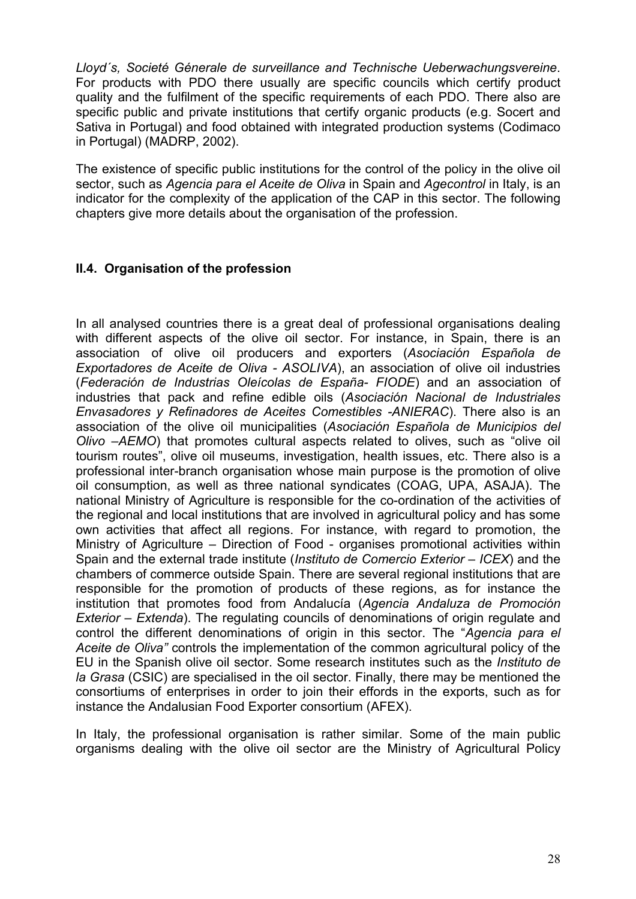*Lloyd´s, Societé Génerale de surveillance and Technische Ueberwachungsvereine*. For products with PDO there usually are specific councils which certify product quality and the fulfilment of the specific requirements of each PDO. There also are specific public and private institutions that certify organic products (e.g. Socert and Sativa in Portugal) and food obtained with integrated production systems (Codimaco in Portugal) (MADRP, 2002).

The existence of specific public institutions for the control of the policy in the olive oil sector, such as *Agencia para el Aceite de Oliva* in Spain and *Agecontrol* in Italy, is an indicator for the complexity of the application of the CAP in this sector. The following chapters give more details about the organisation of the profession.

# **II.4. Organisation of the profession**

In all analysed countries there is a great deal of professional organisations dealing with different aspects of the olive oil sector. For instance, in Spain, there is an association of olive oil producers and exporters (*Asociación Española de Exportadores de Aceite de Oliva - ASOLIVA*), an association of olive oil industries (*Federación de Industrias Oleícolas de España- FIODE*) and an association of industries that pack and refine edible oils (*Asociación Nacional de Industriales Envasadores y Refinadores de Aceites Comestibles -ANIERAC*). There also is an association of the olive oil municipalities (*Asociación Española de Municipios del Olivo –AEMO*) that promotes cultural aspects related to olives, such as "olive oil tourism routes", olive oil museums, investigation, health issues, etc. There also is a professional inter-branch organisation whose main purpose is the promotion of olive oil consumption, as well as three national syndicates (COAG, UPA, ASAJA). The national Ministry of Agriculture is responsible for the co-ordination of the activities of the regional and local institutions that are involved in agricultural policy and has some own activities that affect all regions. For instance, with regard to promotion, the Ministry of Agriculture – Direction of Food - organises promotional activities within Spain and the external trade institute (*Instituto de Comercio Exterior – ICEX*) and the chambers of commerce outside Spain. There are several regional institutions that are responsible for the promotion of products of these regions, as for instance the institution that promotes food from Andalucía (*Agencia Andaluza de Promoción Exterior – Extenda*). The regulating councils of denominations of origin regulate and control the different denominations of origin in this sector. The "*Agencia para el Aceite de Oliva"* controls the implementation of the common agricultural policy of the EU in the Spanish olive oil sector. Some research institutes such as the *Instituto de la Grasa* (CSIC) are specialised in the oil sector. Finally, there may be mentioned the consortiums of enterprises in order to join their effords in the exports, such as for instance the Andalusian Food Exporter consortium (AFEX).

In Italy, the professional organisation is rather similar. Some of the main public organisms dealing with the olive oil sector are the Ministry of Agricultural Policy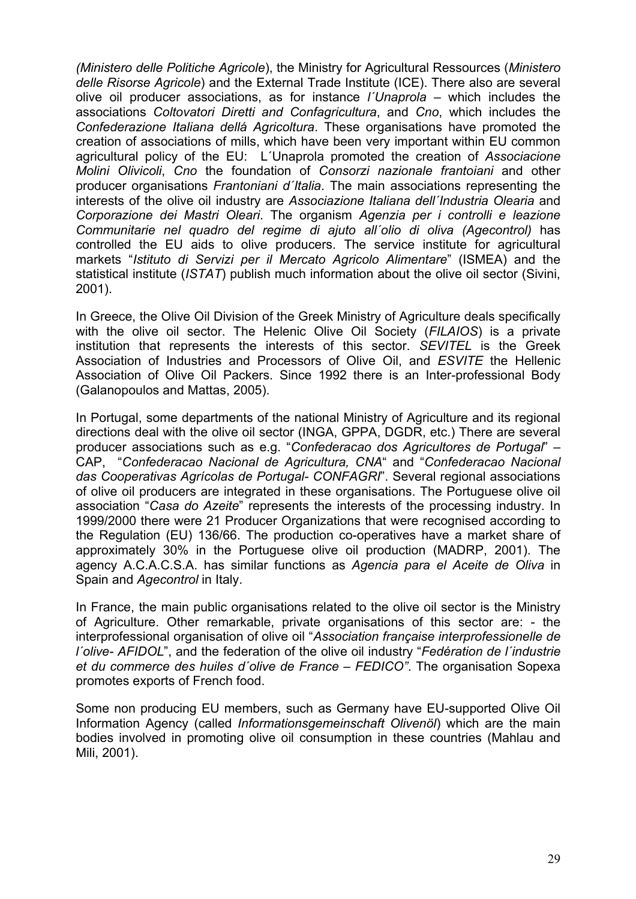*(Ministero delle Politiche Agricole*), the Ministry for Agricultural Ressources (*Ministero delle Risorse Agricole*) and the External Trade Institute (ICE). There also are several olive oil producer associations, as for instance *l´Unaprola* – which includes the associations *Coltovatori Diretti and Confagricultura*, and *Cno*, which includes the *Confederazione Italiana dellá Agricoltura*. These organisations have promoted the creation of associations of mills, which have been very important within EU common agricultural policy of the EU: L´Unaprola promoted the creation of *Associacione Molini Olivicoli*, *Cno* the foundation of *Consorzi nazionale frantoiani* and other producer organisations *Frantoniani d´Italia*. The main associations representing the interests of the olive oil industry are *Associazione Italiana dell´Industria Olearia* and *Corporazione dei Mastri Oleari*. The organism *Agenzia per i controlli e leazione Communitarie nel quadro del regime di ajuto all´olio di oliva (Agecontrol)* has controlled the EU aids to olive producers. The service institute for agricultural markets "*Istituto di Servizi per il Mercato Agricolo Alimentare*" (ISMEA) and the statistical institute (*ISTAT*) publish much information about the olive oil sector (Sivini, 2001).

In Greece, the Olive Oil Division of the Greek Ministry of Agriculture deals specifically with the olive oil sector. The Helenic Olive Oil Society (*FILAIOS*) is a private institution that represents the interests of this sector. *SEVITEL* is the Greek Association of Industries and Processors of Olive Oil, and *ESVITE* the Hellenic Association of Olive Oil Packers. Since 1992 there is an Inter-professional Body (Galanopoulos and Mattas, 2005).

In Portugal, some departments of the national Ministry of Agriculture and its regional directions deal with the olive oil sector (INGA, GPPA, DGDR, etc.) There are several producer associations such as e.g. "*Confederacao dos Agricultores de Portugal*" – CAP, "*Confederacao Nacional de Agricultura, CNA*" and "*Confederacao Nacional das Cooperativas Agrícolas de Portugal- CONFAGRI*". Several regional associations of olive oil producers are integrated in these organisations. The Portuguese olive oil association "*Casa do Azeite*" represents the interests of the processing industry. In 1999/2000 there were 21 Producer Organizations that were recognised according to the Regulation (EU) 136/66. The production co-operatives have a market share of approximately 30% in the Portuguese olive oil production (MADRP, 2001). The agency A.C.A.C.S.A. has similar functions as *Agencia para el Aceite de Oliva* in Spain and *Agecontrol* in Italy.

In France, the main public organisations related to the olive oil sector is the Ministry of Agriculture. Other remarkable, private organisations of this sector are: - the interprofessional organisation of olive oil "*Association française interprofessionelle de l´olive- AFIDOL*", and the federation of the olive oil industry "*Fedération de l´industrie et du commerce des huiles d´olive de France – FEDICO"*. The organisation Sopexa promotes exports of French food.

Some non producing EU members, such as Germany have EU-supported Olive Oil Information Agency (called *Informationsgemeinschaft Olivenöl*) which are the main bodies involved in promoting olive oil consumption in these countries (Mahlau and Mili, 2001).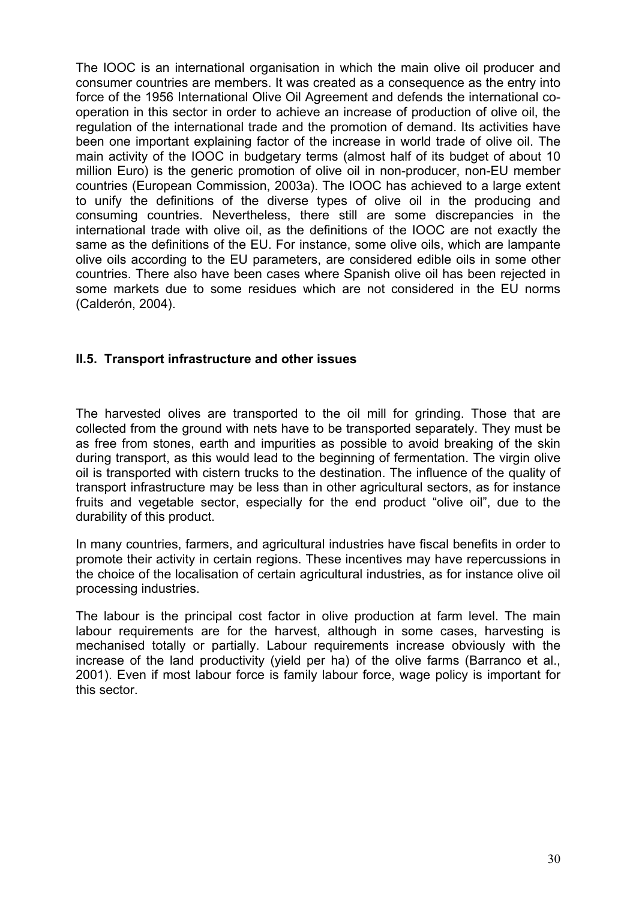The IOOC is an international organisation in which the main olive oil producer and consumer countries are members. It was created as a consequence as the entry into force of the 1956 International Olive Oil Agreement and defends the international cooperation in this sector in order to achieve an increase of production of olive oil, the regulation of the international trade and the promotion of demand. Its activities have been one important explaining factor of the increase in world trade of olive oil. The main activity of the IOOC in budgetary terms (almost half of its budget of about 10 million Euro) is the generic promotion of olive oil in non-producer, non-EU member countries (European Commission, 2003a). The IOOC has achieved to a large extent to unify the definitions of the diverse types of olive oil in the producing and consuming countries. Nevertheless, there still are some discrepancies in the international trade with olive oil, as the definitions of the IOOC are not exactly the same as the definitions of the EU. For instance, some olive oils, which are lampante olive oils according to the EU parameters, are considered edible oils in some other countries. There also have been cases where Spanish olive oil has been rejected in some markets due to some residues which are not considered in the EU norms (Calderón, 2004).

# **II.5. Transport infrastructure and other issues**

The harvested olives are transported to the oil mill for grinding. Those that are collected from the ground with nets have to be transported separately. They must be as free from stones, earth and impurities as possible to avoid breaking of the skin during transport, as this would lead to the beginning of fermentation. The virgin olive oil is transported with cistern trucks to the destination. The influence of the quality of transport infrastructure may be less than in other agricultural sectors, as for instance fruits and vegetable sector, especially for the end product "olive oil", due to the durability of this product.

In many countries, farmers, and agricultural industries have fiscal benefits in order to promote their activity in certain regions. These incentives may have repercussions in the choice of the localisation of certain agricultural industries, as for instance olive oil processing industries.

The labour is the principal cost factor in olive production at farm level. The main labour requirements are for the harvest, although in some cases, harvesting is mechanised totally or partially. Labour requirements increase obviously with the increase of the land productivity (yield per ha) of the olive farms (Barranco et al., 2001). Even if most labour force is family labour force, wage policy is important for this sector.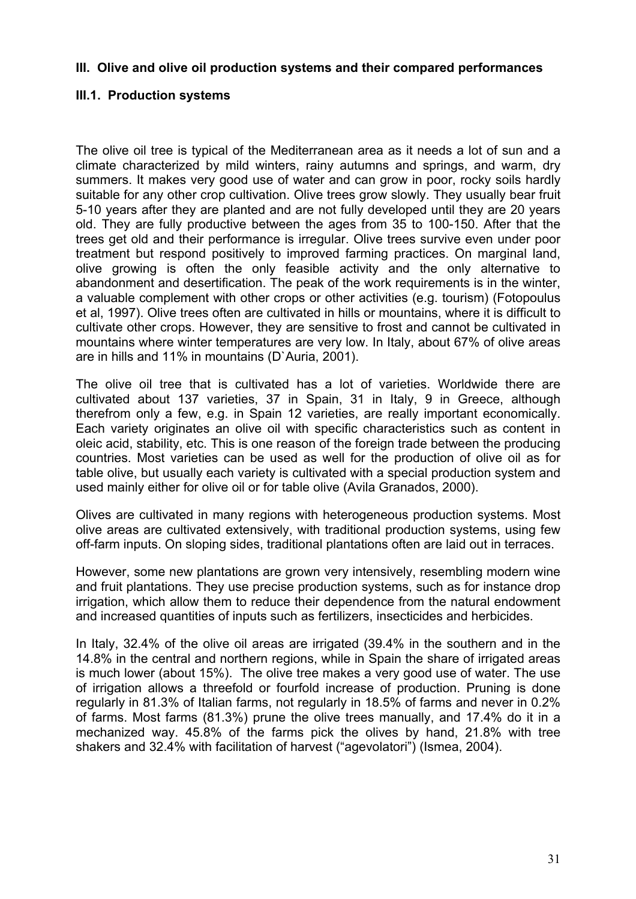#### **III. Olive and olive oil production systems and their compared performances**

#### **III.1. Production systems**

The olive oil tree is typical of the Mediterranean area as it needs a lot of sun and a climate characterized by mild winters, rainy autumns and springs, and warm, dry summers. It makes very good use of water and can grow in poor, rocky soils hardly suitable for any other crop cultivation. Olive trees grow slowly. They usually bear fruit 5-10 years after they are planted and are not fully developed until they are 20 years old. They are fully productive between the ages from 35 to 100-150. After that the trees get old and their performance is irregular. Olive trees survive even under poor treatment but respond positively to improved farming practices. On marginal land, olive growing is often the only feasible activity and the only alternative to abandonment and desertification. The peak of the work requirements is in the winter, a valuable complement with other crops or other activities (e.g. tourism) (Fotopoulus et al, 1997). Olive trees often are cultivated in hills or mountains, where it is difficult to cultivate other crops. However, they are sensitive to frost and cannot be cultivated in mountains where winter temperatures are very low. In Italy, about 67% of olive areas are in hills and 11% in mountains (D`Auria, 2001).

The olive oil tree that is cultivated has a lot of varieties. Worldwide there are cultivated about 137 varieties, 37 in Spain, 31 in Italy, 9 in Greece, although therefrom only a few, e.g. in Spain 12 varieties, are really important economically. Each variety originates an olive oil with specific characteristics such as content in oleic acid, stability, etc. This is one reason of the foreign trade between the producing countries. Most varieties can be used as well for the production of olive oil as for table olive, but usually each variety is cultivated with a special production system and used mainly either for olive oil or for table olive (Avila Granados, 2000).

Olives are cultivated in many regions with heterogeneous production systems. Most olive areas are cultivated extensively, with traditional production systems, using few off-farm inputs. On sloping sides, traditional plantations often are laid out in terraces.

However, some new plantations are grown very intensively, resembling modern wine and fruit plantations. They use precise production systems, such as for instance drop irrigation, which allow them to reduce their dependence from the natural endowment and increased quantities of inputs such as fertilizers, insecticides and herbicides.

In Italy, 32.4% of the olive oil areas are irrigated (39.4% in the southern and in the 14.8% in the central and northern regions, while in Spain the share of irrigated areas is much lower (about 15%). The olive tree makes a very good use of water. The use of irrigation allows a threefold or fourfold increase of production. Pruning is done regularly in 81.3% of Italian farms, not regularly in 18.5% of farms and never in 0.2% of farms. Most farms (81.3%) prune the olive trees manually, and 17.4% do it in a mechanized way. 45.8% of the farms pick the olives by hand, 21.8% with tree shakers and 32.4% with facilitation of harvest ("agevolatori") (Ismea, 2004).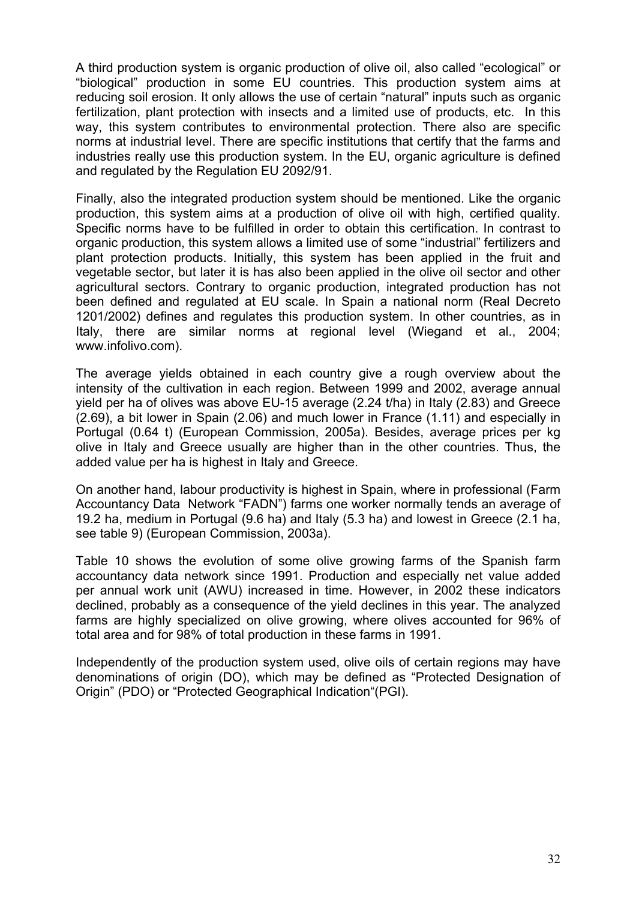A third production system is organic production of olive oil, also called "ecological" or "biological" production in some EU countries. This production system aims at reducing soil erosion. It only allows the use of certain "natural" inputs such as organic fertilization, plant protection with insects and a limited use of products, etc. In this way, this system contributes to environmental protection. There also are specific norms at industrial level. There are specific institutions that certify that the farms and industries really use this production system. In the EU, organic agriculture is defined and regulated by the Regulation EU 2092/91.

Finally, also the integrated production system should be mentioned. Like the organic production, this system aims at a production of olive oil with high, certified quality. Specific norms have to be fulfilled in order to obtain this certification. In contrast to organic production, this system allows a limited use of some "industrial" fertilizers and plant protection products. Initially, this system has been applied in the fruit and vegetable sector, but later it is has also been applied in the olive oil sector and other agricultural sectors. Contrary to organic production, integrated production has not been defined and regulated at EU scale. In Spain a national norm (Real Decreto 1201/2002) defines and regulates this production system. In other countries, as in Italy, there are similar norms at regional level (Wiegand et al., 2004; www.infolivo.com).

The average yields obtained in each country give a rough overview about the intensity of the cultivation in each region. Between 1999 and 2002, average annual yield per ha of olives was above EU-15 average (2.24 t/ha) in Italy (2.83) and Greece (2.69), a bit lower in Spain (2.06) and much lower in France (1.11) and especially in Portugal (0.64 t) (European Commission, 2005a). Besides, average prices per kg olive in Italy and Greece usually are higher than in the other countries. Thus, the added value per ha is highest in Italy and Greece.

On another hand, labour productivity is highest in Spain, where in professional (Farm Accountancy Data Network "FADN") farms one worker normally tends an average of 19.2 ha, medium in Portugal (9.6 ha) and Italy (5.3 ha) and lowest in Greece (2.1 ha, see table 9) (European Commission, 2003a).

Table 10 shows the evolution of some olive growing farms of the Spanish farm accountancy data network since 1991. Production and especially net value added per annual work unit (AWU) increased in time. However, in 2002 these indicators declined, probably as a consequence of the yield declines in this year. The analyzed farms are highly specialized on olive growing, where olives accounted for 96% of total area and for 98% of total production in these farms in 1991.

Independently of the production system used, olive oils of certain regions may have denominations of origin (DO), which may be defined as "Protected Designation of Origin" (PDO) or "Protected Geographical Indication"(PGI).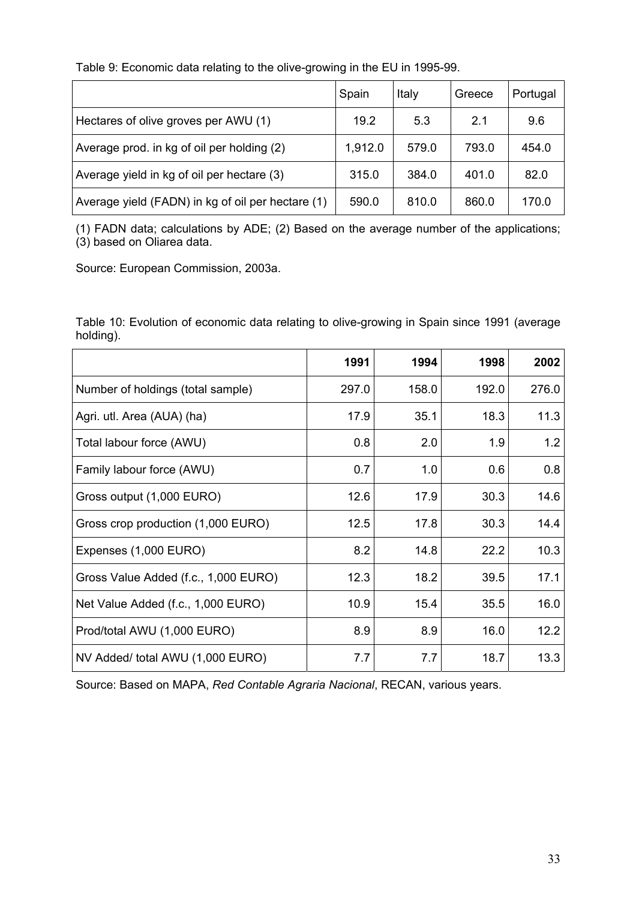| Table 9: Economic data relating to the olive-growing in the EU in 1995-99. |  |  |
|----------------------------------------------------------------------------|--|--|
|                                                                            |  |  |

|                                                   | Spain   | Italy | Greece | Portugal |
|---------------------------------------------------|---------|-------|--------|----------|
| Hectares of olive groves per AWU (1)              | 19.2    | 5.3   | 2.1    | 9.6      |
| Average prod. in kg of oil per holding (2)        | 1,912.0 | 579.0 | 793.0  | 454.0    |
| Average yield in kg of oil per hectare (3)        | 315.0   | 384.0 | 401.0  | 82.0     |
| Average yield (FADN) in kg of oil per hectare (1) | 590.0   | 810.0 | 860.0  | 170.0    |

(1) FADN data; calculations by ADE; (2) Based on the average number of the applications; (3) based on Oliarea data.

Source: European Commission, 2003a.

Table 10: Evolution of economic data relating to olive-growing in Spain since 1991 (average holding).

|                                      | 1991  | 1994  | 1998  | 2002  |
|--------------------------------------|-------|-------|-------|-------|
| Number of holdings (total sample)    | 297.0 | 158.0 | 192.0 | 276.0 |
| Agri. utl. Area (AUA) (ha)           | 17.9  | 35.1  | 18.3  | 11.3  |
| Total labour force (AWU)             | 0.8   | 2.0   | 1.9   | 1.2   |
| Family labour force (AWU)            | 0.7   | 1.0   | 0.6   | 0.8   |
| Gross output (1,000 EURO)            | 12.6  | 17.9  | 30.3  | 14.6  |
| Gross crop production (1,000 EURO)   | 12.5  | 17.8  | 30.3  | 14.4  |
| Expenses (1,000 EURO)                | 8.2   | 14.8  | 22.2  | 10.3  |
| Gross Value Added (f.c., 1,000 EURO) | 12.3  | 18.2  | 39.5  | 17.1  |
| Net Value Added (f.c., 1,000 EURO)   | 10.9  | 15.4  | 35.5  | 16.0  |
| Prod/total AWU (1,000 EURO)          | 8.9   | 8.9   | 16.0  | 12.2  |
| NV Added/ total AWU (1,000 EURO)     | 7.7   | 7.7   | 18.7  | 13.3  |

Source: Based on MAPA, *Red Contable Agraria Nacional*, RECAN, various years.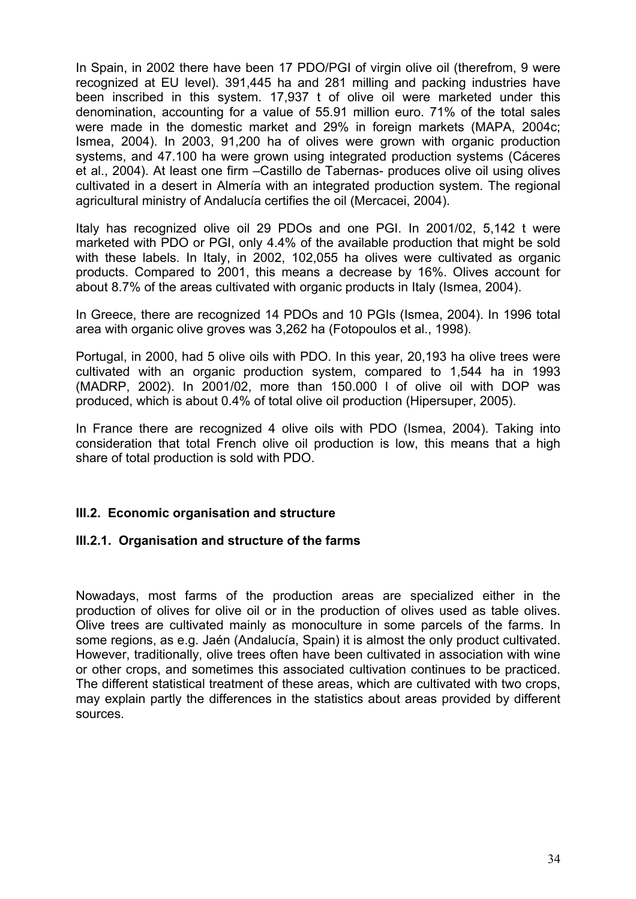In Spain, in 2002 there have been 17 PDO/PGI of virgin olive oil (therefrom, 9 were recognized at EU level). 391,445 ha and 281 milling and packing industries have been inscribed in this system. 17,937 t of olive oil were marketed under this denomination, accounting for a value of 55.91 million euro. 71% of the total sales were made in the domestic market and 29% in foreign markets (MAPA, 2004c; Ismea, 2004). In 2003, 91,200 ha of olives were grown with organic production systems, and 47.100 ha were grown using integrated production systems (Cáceres et al., 2004). At least one firm –Castillo de Tabernas- produces olive oil using olives cultivated in a desert in Almería with an integrated production system. The regional agricultural ministry of Andalucía certifies the oil (Mercacei, 2004).

Italy has recognized olive oil 29 PDOs and one PGI. In 2001/02, 5,142 t were marketed with PDO or PGI, only 4.4% of the available production that might be sold with these labels. In Italy, in 2002, 102,055 ha olives were cultivated as organic products. Compared to 2001, this means a decrease by 16%. Olives account for about 8.7% of the areas cultivated with organic products in Italy (Ismea, 2004).

In Greece, there are recognized 14 PDOs and 10 PGIs (Ismea, 2004). In 1996 total area with organic olive groves was 3,262 ha (Fotopoulos et al., 1998).

Portugal, in 2000, had 5 olive oils with PDO. In this year, 20,193 ha olive trees were cultivated with an organic production system, compared to 1,544 ha in 1993 (MADRP, 2002). In 2001/02, more than 150.000 l of olive oil with DOP was produced, which is about 0.4% of total olive oil production (Hipersuper, 2005).

In France there are recognized 4 olive oils with PDO (Ismea, 2004). Taking into consideration that total French olive oil production is low, this means that a high share of total production is sold with PDO.

# **III.2. Economic organisation and structure**

#### **III.2.1. Organisation and structure of the farms**

Nowadays, most farms of the production areas are specialized either in the production of olives for olive oil or in the production of olives used as table olives. Olive trees are cultivated mainly as monoculture in some parcels of the farms. In some regions, as e.g. Jaén (Andalucía, Spain) it is almost the only product cultivated. However, traditionally, olive trees often have been cultivated in association with wine or other crops, and sometimes this associated cultivation continues to be practiced. The different statistical treatment of these areas, which are cultivated with two crops, may explain partly the differences in the statistics about areas provided by different sources.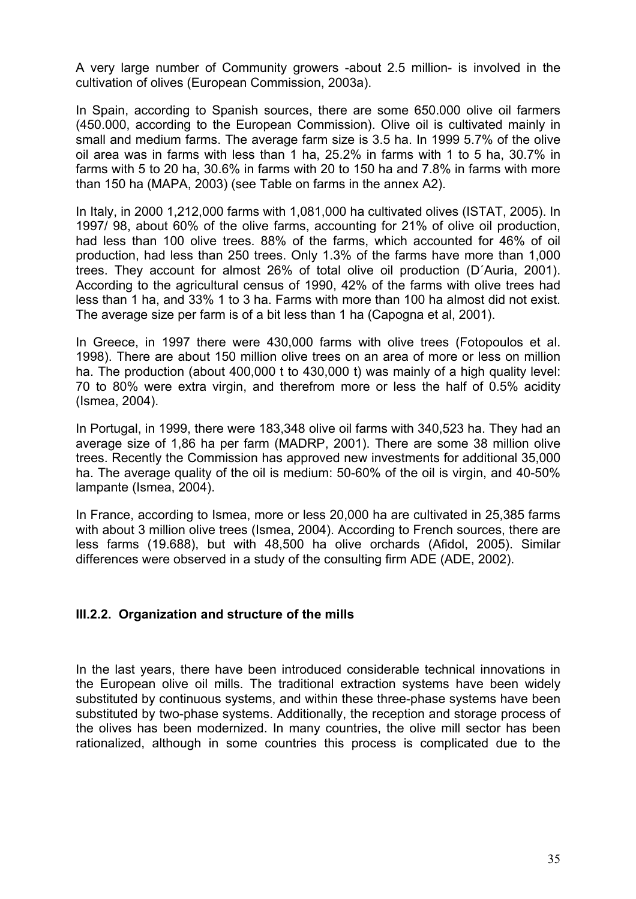A very large number of Community growers -about 2.5 million- is involved in the cultivation of olives (European Commission, 2003a).

In Spain, according to Spanish sources, there are some 650.000 olive oil farmers (450.000, according to the European Commission). Olive oil is cultivated mainly in small and medium farms. The average farm size is 3.5 ha. In 1999 5.7% of the olive oil area was in farms with less than 1 ha, 25.2% in farms with 1 to 5 ha, 30.7% in farms with 5 to 20 ha, 30.6% in farms with 20 to 150 ha and 7.8% in farms with more than 150 ha (MAPA, 2003) (see Table on farms in the annex A2).

In Italy, in 2000 1,212,000 farms with 1,081,000 ha cultivated olives (ISTAT, 2005). In 1997/ 98, about 60% of the olive farms, accounting for 21% of olive oil production, had less than 100 olive trees. 88% of the farms, which accounted for 46% of oil production, had less than 250 trees. Only 1.3% of the farms have more than 1,000 trees. They account for almost 26% of total olive oil production (D´Auria, 2001). According to the agricultural census of 1990, 42% of the farms with olive trees had less than 1 ha, and 33% 1 to 3 ha. Farms with more than 100 ha almost did not exist. The average size per farm is of a bit less than 1 ha (Capogna et al, 2001).

In Greece, in 1997 there were 430,000 farms with olive trees (Fotopoulos et al. 1998). There are about 150 million olive trees on an area of more or less on million ha. The production (about 400,000 t to 430,000 t) was mainly of a high quality level: 70 to 80% were extra virgin, and therefrom more or less the half of 0.5% acidity (Ismea, 2004).

In Portugal, in 1999, there were 183,348 olive oil farms with 340,523 ha. They had an average size of 1,86 ha per farm (MADRP, 2001). There are some 38 million olive trees. Recently the Commission has approved new investments for additional 35,000 ha. The average quality of the oil is medium: 50-60% of the oil is virgin, and 40-50% lampante (Ismea, 2004).

In France, according to Ismea, more or less 20,000 ha are cultivated in 25,385 farms with about 3 million olive trees (Ismea, 2004). According to French sources, there are less farms (19.688), but with 48,500 ha olive orchards (Afidol, 2005). Similar differences were observed in a study of the consulting firm ADE (ADE, 2002).

# **III.2.2. Organization and structure of the mills**

In the last years, there have been introduced considerable technical innovations in the European olive oil mills. The traditional extraction systems have been widely substituted by continuous systems, and within these three-phase systems have been substituted by two-phase systems. Additionally, the reception and storage process of the olives has been modernized. In many countries, the olive mill sector has been rationalized, although in some countries this process is complicated due to the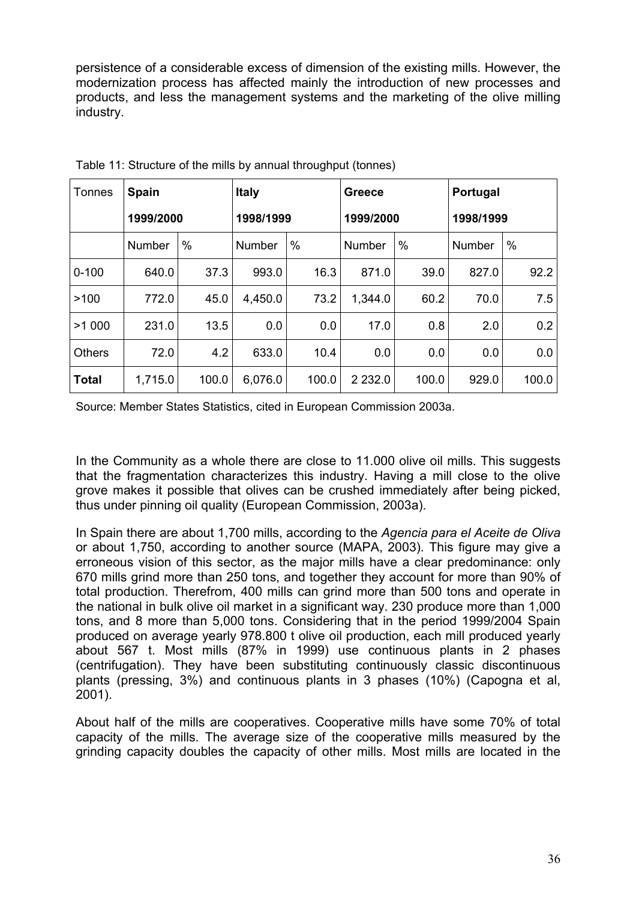persistence of a considerable excess of dimension of the existing mills. However, the modernization process has affected mainly the introduction of new processes and products, and less the management systems and the marketing of the olive milling industry.

| Tonnes        | <b>Spain</b>  |       | <b>Italy</b>  |       | Greece        |       | Portugal  |       |
|---------------|---------------|-------|---------------|-------|---------------|-------|-----------|-------|
|               | 1999/2000     |       | 1998/1999     |       | 1999/2000     |       | 1998/1999 |       |
|               | <b>Number</b> | %     | <b>Number</b> | %     | <b>Number</b> | $\%$  | Number    | $\%$  |
| $0 - 100$     | 640.0         | 37.3  | 993.0         | 16.3  | 871.0         | 39.0  | 827.0     | 92.2  |
| >100          | 772.0         | 45.0  | 4,450.0       | 73.2  | 1,344.0       | 60.2  | 70.0      | 7.5   |
| >1000         | 231.0         | 13.5  | 0.0           | 0.0   | 17.0          | 0.8   | 2.0       | 0.2   |
| <b>Others</b> | 72.0          | 4.2   | 633.0         | 10.4  | 0.0           | 0.0   | 0.0       | 0.0   |
| <b>Total</b>  | 1,715.0       | 100.0 | 6,076.0       | 100.0 | 2 2 3 2 .0    | 100.0 | 929.0     | 100.0 |

Table 11: Structure of the mills by annual throughput (tonnes)

Source: Member States Statistics, cited in European Commission 2003a.

In the Community as a whole there are close to 11.000 olive oil mills. This suggests that the fragmentation characterizes this industry. Having a mill close to the olive grove makes it possible that olives can be crushed immediately after being picked, thus under pinning oil quality (European Commission, 2003a).

In Spain there are about 1,700 mills, according to the *Agencia para el Aceite de Oliva* or about 1,750, according to another source (MAPA, 2003). This figure may give a erroneous vision of this sector, as the major mills have a clear predominance: only 670 mills grind more than 250 tons, and together they account for more than 90% of total production. Therefrom, 400 mills can grind more than 500 tons and operate in the national in bulk olive oil market in a significant way. 230 produce more than 1,000 tons, and 8 more than 5,000 tons. Considering that in the period 1999/2004 Spain produced on average yearly 978.800 t olive oil production, each mill produced yearly about 567 t. Most mills (87% in 1999) use continuous plants in 2 phases (centrifugation). They have been substituting continuously classic discontinuous plants (pressing, 3%) and continuous plants in 3 phases (10%) (Capogna et al, 2001).

About half of the mills are cooperatives. Cooperative mills have some 70% of total capacity of the mills. The average size of the cooperative mills measured by the grinding capacity doubles the capacity of other mills. Most mills are located in the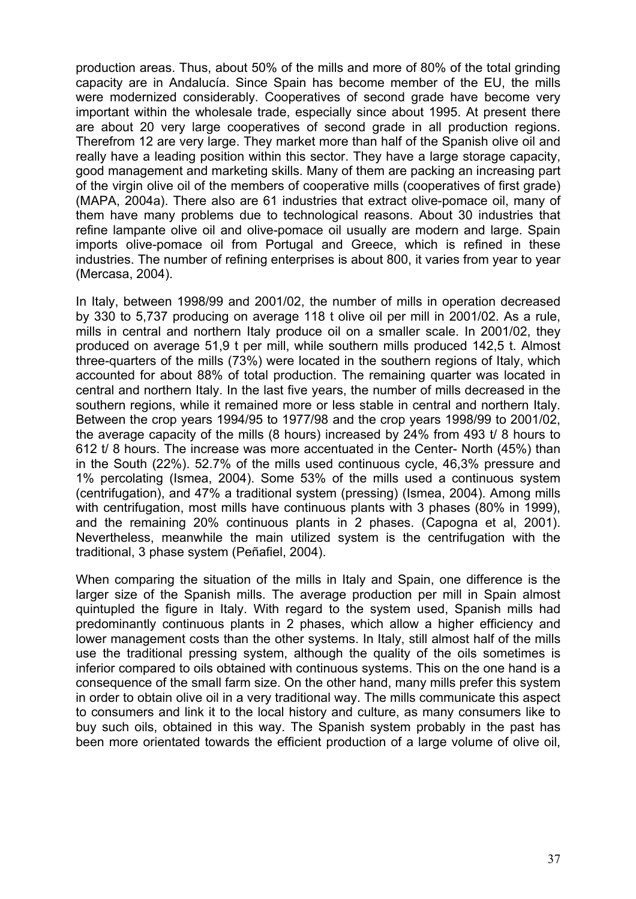production areas. Thus, about 50% of the mills and more of 80% of the total grinding capacity are in Andalucía. Since Spain has become member of the EU, the mills were modernized considerably. Cooperatives of second grade have become very important within the wholesale trade, especially since about 1995. At present there are about 20 very large cooperatives of second grade in all production regions. Therefrom 12 are very large. They market more than half of the Spanish olive oil and really have a leading position within this sector. They have a large storage capacity, good management and marketing skills. Many of them are packing an increasing part of the virgin olive oil of the members of cooperative mills (cooperatives of first grade) (MAPA, 2004a). There also are 61 industries that extract olive-pomace oil, many of them have many problems due to technological reasons. About 30 industries that refine lampante olive oil and olive-pomace oil usually are modern and large. Spain imports olive-pomace oil from Portugal and Greece, which is refined in these industries. The number of refining enterprises is about 800, it varies from year to year (Mercasa, 2004).

In Italy, between 1998/99 and 2001/02, the number of mills in operation decreased by 330 to 5,737 producing on average 118 t olive oil per mill in 2001/02. As a rule, mills in central and northern Italy produce oil on a smaller scale. In 2001/02, they produced on average 51,9 t per mill, while southern mills produced 142,5 t. Almost three-quarters of the mills (73%) were located in the southern regions of Italy, which accounted for about 88% of total production. The remaining quarter was located in central and northern Italy. In the last five years, the number of mills decreased in the southern regions, while it remained more or less stable in central and northern Italy. Between the crop years 1994/95 to 1977/98 and the crop years 1998/99 to 2001/02, the average capacity of the mills (8 hours) increased by 24% from 493 t/ 8 hours to 612 t/ 8 hours. The increase was more accentuated in the Center- North (45%) than in the South (22%). 52.7% of the mills used continuous cycle, 46,3% pressure and 1% percolating (Ismea, 2004). Some 53% of the mills used a continuous system (centrifugation), and 47% a traditional system (pressing) (Ismea, 2004). Among mills with centrifugation, most mills have continuous plants with 3 phases (80% in 1999), and the remaining 20% continuous plants in 2 phases. (Capogna et al, 2001). Nevertheless, meanwhile the main utilized system is the centrifugation with the traditional, 3 phase system (Peñafiel, 2004).

When comparing the situation of the mills in Italy and Spain, one difference is the larger size of the Spanish mills. The average production per mill in Spain almost quintupled the figure in Italy. With regard to the system used, Spanish mills had predominantly continuous plants in 2 phases, which allow a higher efficiency and lower management costs than the other systems. In Italy, still almost half of the mills use the traditional pressing system, although the quality of the oils sometimes is inferior compared to oils obtained with continuous systems. This on the one hand is a consequence of the small farm size. On the other hand, many mills prefer this system in order to obtain olive oil in a very traditional way. The mills communicate this aspect to consumers and link it to the local history and culture, as many consumers like to buy such oils, obtained in this way. The Spanish system probably in the past has been more orientated towards the efficient production of a large volume of olive oil,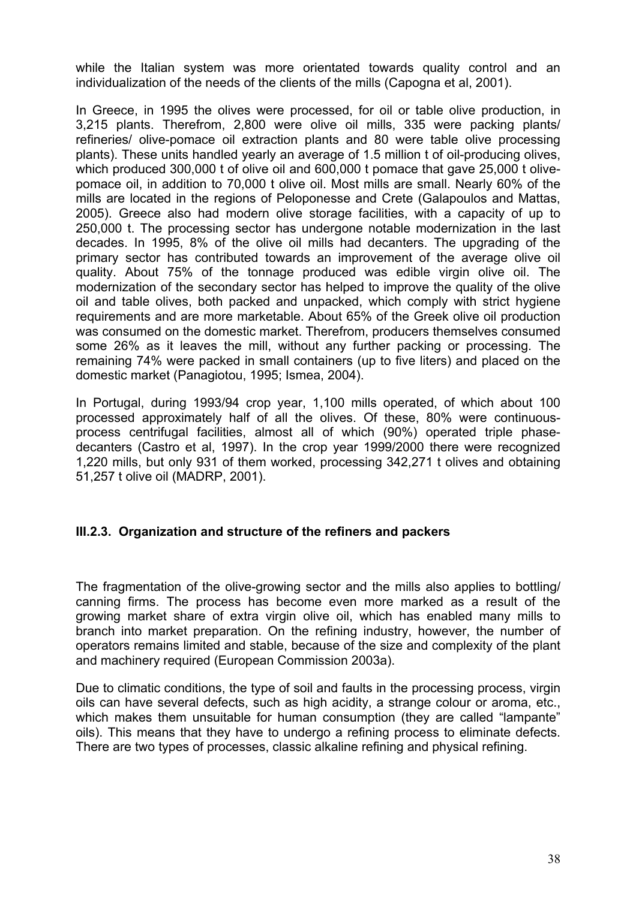while the Italian system was more orientated towards quality control and an individualization of the needs of the clients of the mills (Capogna et al, 2001).

In Greece, in 1995 the olives were processed, for oil or table olive production, in 3,215 plants. Therefrom, 2,800 were olive oil mills, 335 were packing plants/ refineries/ olive-pomace oil extraction plants and 80 were table olive processing plants). These units handled yearly an average of 1.5 million t of oil-producing olives, which produced 300,000 t of olive oil and 600,000 t pomace that gave 25,000 t olivepomace oil, in addition to 70,000 t olive oil. Most mills are small. Nearly 60% of the mills are located in the regions of Peloponesse and Crete (Galapoulos and Mattas, 2005). Greece also had modern olive storage facilities, with a capacity of up to 250,000 t. The processing sector has undergone notable modernization in the last decades. In 1995, 8% of the olive oil mills had decanters. The upgrading of the primary sector has contributed towards an improvement of the average olive oil quality. About 75% of the tonnage produced was edible virgin olive oil. The modernization of the secondary sector has helped to improve the quality of the olive oil and table olives, both packed and unpacked, which comply with strict hygiene requirements and are more marketable. About 65% of the Greek olive oil production was consumed on the domestic market. Therefrom, producers themselves consumed some 26% as it leaves the mill, without any further packing or processing. The remaining 74% were packed in small containers (up to five liters) and placed on the domestic market (Panagiotou, 1995; Ismea, 2004).

In Portugal, during 1993/94 crop year, 1,100 mills operated, of which about 100 processed approximately half of all the olives. Of these, 80% were continuousprocess centrifugal facilities, almost all of which (90%) operated triple phasedecanters (Castro et al, 1997). In the crop year 1999/2000 there were recognized 1,220 mills, but only 931 of them worked, processing 342,271 t olives and obtaining 51,257 t olive oil (MADRP, 2001).

### **III.2.3. Organization and structure of the refiners and packers**

The fragmentation of the olive-growing sector and the mills also applies to bottling/ canning firms. The process has become even more marked as a result of the growing market share of extra virgin olive oil, which has enabled many mills to branch into market preparation. On the refining industry, however, the number of operators remains limited and stable, because of the size and complexity of the plant and machinery required (European Commission 2003a).

Due to climatic conditions, the type of soil and faults in the processing process, virgin oils can have several defects, such as high acidity, a strange colour or aroma, etc., which makes them unsuitable for human consumption (they are called "lampante" oils). This means that they have to undergo a refining process to eliminate defects. There are two types of processes, classic alkaline refining and physical refining.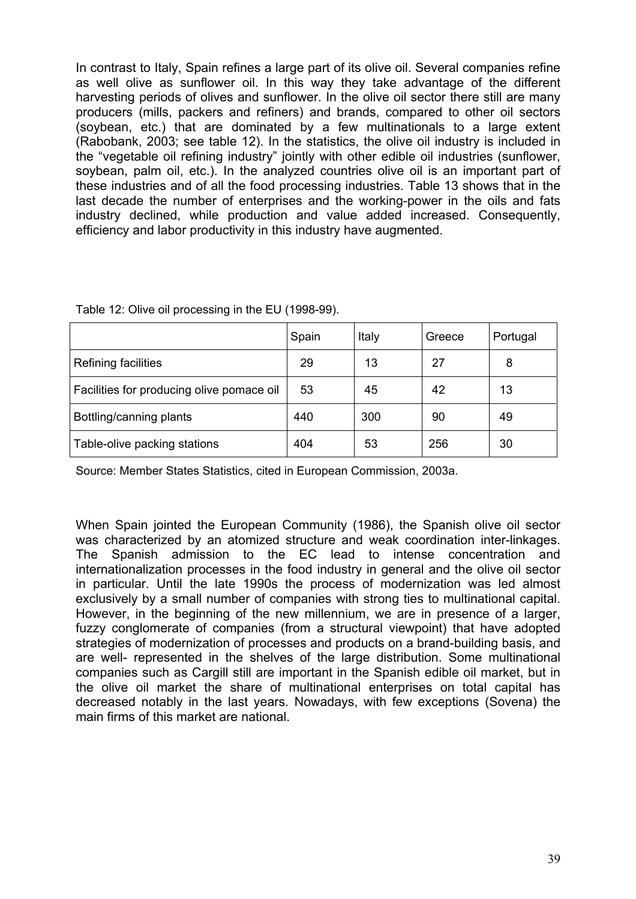In contrast to Italy. Spain refines a large part of its olive oil. Several companies refine as well olive as sunflower oil. In this way they take advantage of the different harvesting periods of olives and sunflower. In the olive oil sector there still are many producers (mills, packers and refiners) and brands, compared to other oil sectors (soybean, etc.) that are dominated by a few multinationals to a large extent (Rabobank, 2003; see table 12). In the statistics, the olive oil industry is included in the "vegetable oil refining industry" jointly with other edible oil industries (sunflower, soybean, palm oil, etc.). In the analyzed countries olive oil is an important part of these industries and of all the food processing industries. Table 13 shows that in the last decade the number of enterprises and the working-power in the oils and fats industry declined, while production and value added increased. Consequently, efficiency and labor productivity in this industry have augmented.

|                                           | Spain | Italy | Greece | Portugal |
|-------------------------------------------|-------|-------|--------|----------|
| Refining facilities                       | 29    | 13    | 27     | 8        |
| Facilities for producing olive pomace oil | 53    | 45    | 42     | 13       |
| Bottling/canning plants                   | 440   | 300   | 90     | 49       |
| Table-olive packing stations              | 404   | 53    | 256    | 30       |

Table 12: Olive oil processing in the EU (1998-99).

Source: Member States Statistics, cited in European Commission, 2003a.

When Spain jointed the European Community (1986), the Spanish olive oil sector was characterized by an atomized structure and weak coordination inter-linkages. The Spanish admission to the EC lead to intense concentration and internationalization processes in the food industry in general and the olive oil sector in particular. Until the late 1990s the process of modernization was led almost exclusively by a small number of companies with strong ties to multinational capital. However, in the beginning of the new millennium, we are in presence of a larger, fuzzy conglomerate of companies (from a structural viewpoint) that have adopted strategies of modernization of processes and products on a brand-building basis, and are well- represented in the shelves of the large distribution. Some multinational companies such as Cargill still are important in the Spanish edible oil market, but in the olive oil market the share of multinational enterprises on total capital has decreased notably in the last years. Nowadays, with few exceptions (Sovena) the main firms of this market are national.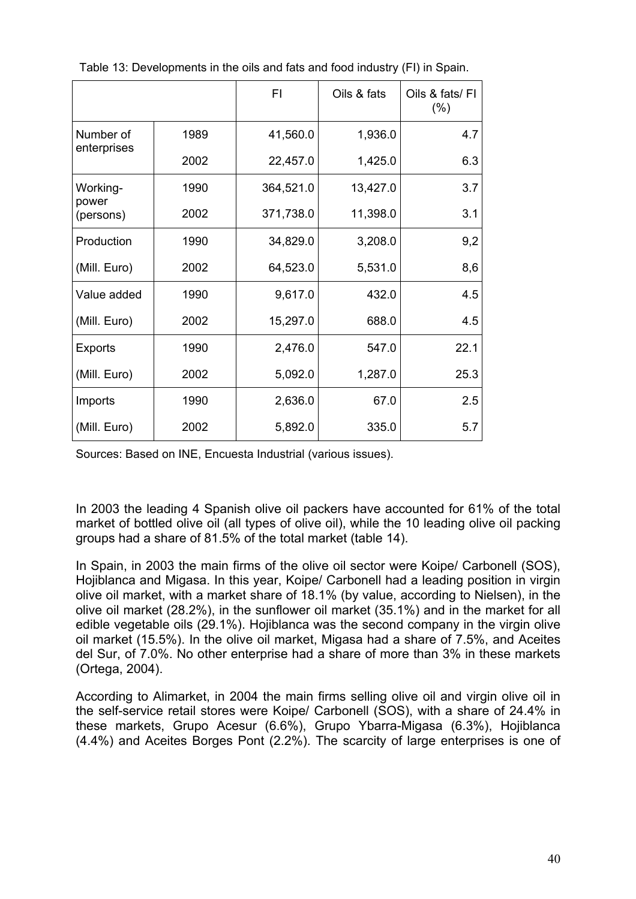|                    |      | FI        | Oils & fats | Oils & fats/ FI<br>$(\% )$ |
|--------------------|------|-----------|-------------|----------------------------|
| Number of          | 1989 | 41,560.0  | 1,936.0     | 4.7                        |
| enterprises        | 2002 | 22,457.0  | 1,425.0     | 6.3                        |
| Working-           | 1990 | 364,521.0 | 13,427.0    | 3.7                        |
| power<br>(persons) | 2002 | 371,738.0 | 11,398.0    | 3.1                        |
| Production         | 1990 | 34,829.0  | 3,208.0     | 9,2                        |
| (Mill. Euro)       | 2002 | 64,523.0  | 5,531.0     | 8,6                        |
| Value added        | 1990 | 9,617.0   | 432.0       | 4.5                        |
| (Mill. Euro)       | 2002 | 15,297.0  | 688.0       | 4.5                        |
| <b>Exports</b>     | 1990 | 2,476.0   | 547.0       | 22.1                       |
| (Mill. Euro)       | 2002 | 5,092.0   | 1,287.0     | 25.3                       |
| Imports            | 1990 | 2,636.0   | 67.0        | 2.5                        |
| (Mill. Euro)       | 2002 | 5,892.0   | 335.0       | 5.7                        |

Table 13: Developments in the oils and fats and food industry (FI) in Spain.

Sources: Based on INE, Encuesta Industrial (various issues).

In 2003 the leading 4 Spanish olive oil packers have accounted for 61% of the total market of bottled olive oil (all types of olive oil), while the 10 leading olive oil packing groups had a share of 81.5% of the total market (table 14).

In Spain, in 2003 the main firms of the olive oil sector were Koipe/ Carbonell (SOS), Hojiblanca and Migasa. In this year, Koipe/ Carbonell had a leading position in virgin olive oil market, with a market share of 18.1% (by value, according to Nielsen), in the olive oil market (28.2%), in the sunflower oil market (35.1%) and in the market for all edible vegetable oils (29.1%). Hojiblanca was the second company in the virgin olive oil market (15.5%). In the olive oil market, Migasa had a share of 7.5%, and Aceites del Sur, of 7.0%. No other enterprise had a share of more than 3% in these markets (Ortega, 2004).

According to Alimarket, in 2004 the main firms selling olive oil and virgin olive oil in the self-service retail stores were Koipe/ Carbonell (SOS), with a share of 24.4% in these markets, Grupo Acesur (6.6%), Grupo Ybarra-Migasa (6.3%), Hojiblanca (4.4%) and Aceites Borges Pont (2.2%). The scarcity of large enterprises is one of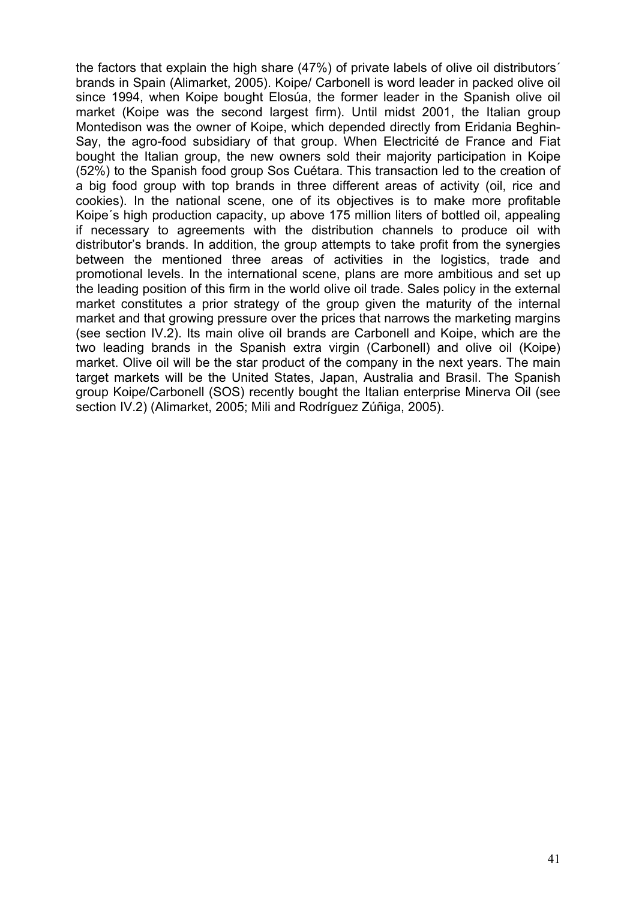the factors that explain the high share (47%) of private labels of olive oil distributors´ brands in Spain (Alimarket, 2005). Koipe/ Carbonell is word leader in packed olive oil since 1994, when Koipe bought Elosúa, the former leader in the Spanish olive oil market (Koipe was the second largest firm). Until midst 2001, the Italian group Montedison was the owner of Koipe, which depended directly from Eridania Beghin-Say, the agro-food subsidiary of that group. When Electricité de France and Fiat bought the Italian group, the new owners sold their majority participation in Koipe (52%) to the Spanish food group Sos Cuétara. This transaction led to the creation of a big food group with top brands in three different areas of activity (oil, rice and cookies). In the national scene, one of its objectives is to make more profitable Koipe´s high production capacity, up above 175 million liters of bottled oil, appealing if necessary to agreements with the distribution channels to produce oil with distributor's brands. In addition, the group attempts to take profit from the synergies between the mentioned three areas of activities in the logistics, trade and promotional levels. In the international scene, plans are more ambitious and set up the leading position of this firm in the world olive oil trade. Sales policy in the external market constitutes a prior strategy of the group given the maturity of the internal market and that growing pressure over the prices that narrows the marketing margins (see section IV.2). Its main olive oil brands are Carbonell and Koipe, which are the two leading brands in the Spanish extra virgin (Carbonell) and olive oil (Koipe) market. Olive oil will be the star product of the company in the next years. The main target markets will be the United States, Japan, Australia and Brasil. The Spanish group Koipe/Carbonell (SOS) recently bought the Italian enterprise Minerva Oil (see section IV.2) (Alimarket, 2005; Mili and Rodríguez Zúñiga, 2005).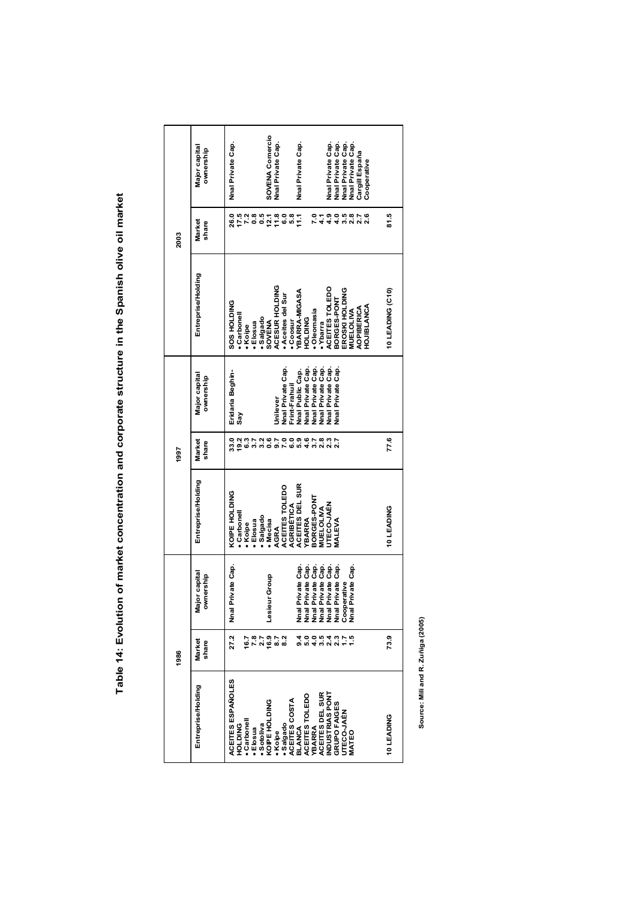Table 14: Evolution of market concentration and corporate structure in the Spanish olive oil market Table 14: Evolution of market concentration and corporate structure in the Spanish olive oil market

|                                                                                                                                                                                                                                                                                      | 1986                                                                                                |                                                                                                                                                                                                                                                         |                                                                                                                                                                                                                     | 1997                                               |                                                                                                                                                                                                                                                        |                                                                                                                                                                                                                                                                                          | 2003                                                                                                                            |                                                                                                                                                                                                                              |
|--------------------------------------------------------------------------------------------------------------------------------------------------------------------------------------------------------------------------------------------------------------------------------------|-----------------------------------------------------------------------------------------------------|---------------------------------------------------------------------------------------------------------------------------------------------------------------------------------------------------------------------------------------------------------|---------------------------------------------------------------------------------------------------------------------------------------------------------------------------------------------------------------------|----------------------------------------------------|--------------------------------------------------------------------------------------------------------------------------------------------------------------------------------------------------------------------------------------------------------|------------------------------------------------------------------------------------------------------------------------------------------------------------------------------------------------------------------------------------------------------------------------------------------|---------------------------------------------------------------------------------------------------------------------------------|------------------------------------------------------------------------------------------------------------------------------------------------------------------------------------------------------------------------------|
| Entreprise/Holding                                                                                                                                                                                                                                                                   | Market<br>share                                                                                     | Major capital<br>ownership                                                                                                                                                                                                                              | Entreprise/Holding                                                                                                                                                                                                  | Market<br>share                                    | Major capital<br>ownership                                                                                                                                                                                                                             | Entreprise/Holding                                                                                                                                                                                                                                                                       | Market<br>share                                                                                                                 | Major capital<br>ownership                                                                                                                                                                                                   |
| ACEITES ESPAÑOLES<br>ACEITES DEL SUR<br><b>INDUSTRIAS PONT</b><br>ACEITES TOLEDO<br>ACEITES COSTA<br>KOIPE HOLDING<br>GRUPO FAIGES<br><b>UTECO-JAÉN</b><br>• Carbonel<br>· Salgado<br>• Sotoliva<br><b>HOLDING</b><br><b>BLANCA</b><br><b>YBARRA</b><br>· Elosua<br>• Koipe<br>MATEO | 27.2<br>7.31<br>16.9<br>5<br>3.4<br>2.4<br>8.7<br>8.2<br>5.0<br>2.3<br>7.5<br>2.7<br>თ.<br>მ<br>4.0 | rivate Cap.<br><b>Nnal Private Cap.</b><br><b>Nnal Private Cap.</b><br><b>Nnal Private Cap.</b><br><b>Nnal Private Cap.</b><br>Nnal Private Cap.<br><b>Nnal Private Cap.</b><br><b>Nnal Private Cap.</b><br>r Group<br>Cooperative<br>Nnal Pr<br>Lesieu | ACEITES DEL SUR<br>ACEITES TOLEDO<br>KOIPE HOLDING<br>BORGES-PONT<br><b>JTECO-JAÉN</b><br>AGRIBÉTICA<br><b>MUELOLIVA</b><br>Carbonel<br>Salgado<br><b>YBARRA</b><br>Elosua<br>· Mecisa<br>MALEVA<br>• Koipe<br>AGRA | 33.0<br>19.2<br>$\overline{9}$<br>့်<br>5.9<br>2.3 | <b>Vinal Private Cap</b><br><b>Vinal Private Cap</b><br><b>Vinal Private Cap.</b><br><b>Vinal Private Cap</b><br><b>Nnal Private Cap</b><br><b>Nnal Private Cap</b><br>Inal Public Cap.<br>Eridaria Beghin-<br>Frint-Frahuil<br><b>Inilever</b><br>Say | ACESUR HOLDING<br>ACEITES TOLEDO<br>EROSKI HOLDING<br><b>BARRA-MIGASA</b><br>Aceites del Sur<br>BORGES-PONT<br>SOS HOLDING<br>HOJIBLANCA<br><b>AOPIBERICA</b><br><b>MUELOLIVA</b><br>Oleomasia<br>Carbonel<br>Salgado<br><b>HOLDING</b><br>Coosur<br>SOVENA<br>Elosua<br>Ybarra<br>Koipe | 17.5<br>4.9<br>$\frac{1}{4}$<br>3.5<br>26.0<br>°0<br>11.8<br>6.0<br>5.8<br>2.8<br>2.0<br>$\frac{27}{2}$<br>$\ddot{ }$<br>Ξ<br>Ń | SOVENA Comercio<br><b>Nnal Private Cap.</b><br>Nnal Private Cap.<br>Nnal Private Cap.<br>Nnal Private Cap.<br><b>Nnal Private Cap</b><br><b>Nnal Private Cap</b><br><b>Nnal Private Cap</b><br>Cargill España<br>Cooperative |
| 10 LEADING                                                                                                                                                                                                                                                                           | 73.9                                                                                                |                                                                                                                                                                                                                                                         | 10 LEADING                                                                                                                                                                                                          | 77.6                                               |                                                                                                                                                                                                                                                        | 10 LEADING (C10)                                                                                                                                                                                                                                                                         | 81.5                                                                                                                            |                                                                                                                                                                                                                              |

Source: Mili and R. Zuñiga (2005) **Source: Mili and R. Zuñiga (2005)**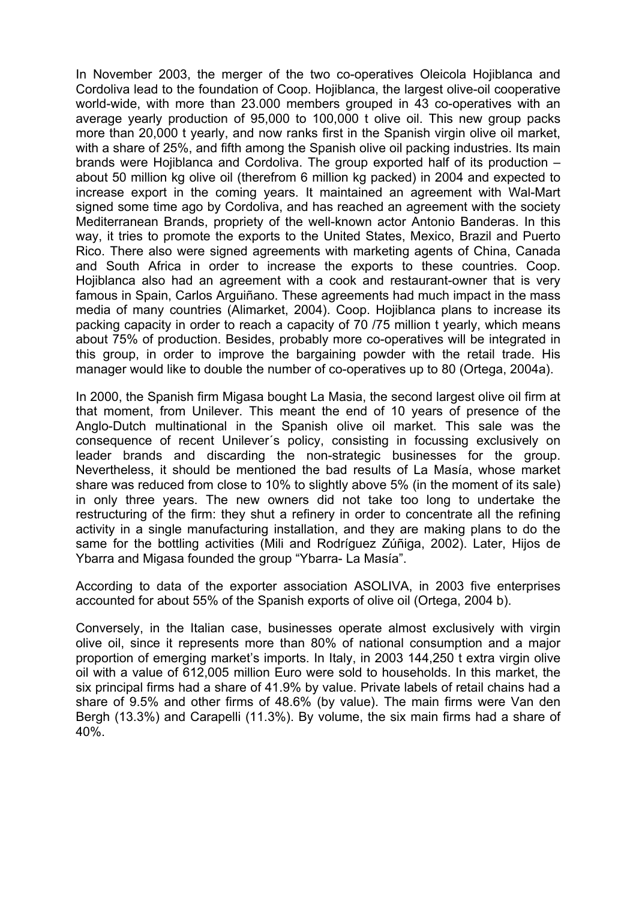In November 2003, the merger of the two co-operatives Oleicola Hojiblanca and Cordoliva lead to the foundation of Coop. Hojiblanca, the largest olive-oil cooperative world-wide, with more than 23.000 members grouped in 43 co-operatives with an average yearly production of 95,000 to 100,000 t olive oil. This new group packs more than 20,000 t yearly, and now ranks first in the Spanish virgin olive oil market, with a share of 25%, and fifth among the Spanish olive oil packing industries. Its main brands were Hojiblanca and Cordoliva. The group exported half of its production – about 50 million kg olive oil (therefrom 6 million kg packed) in 2004 and expected to increase export in the coming years. It maintained an agreement with Wal-Mart signed some time ago by Cordoliva, and has reached an agreement with the society Mediterranean Brands, propriety of the well-known actor Antonio Banderas. In this way, it tries to promote the exports to the United States, Mexico, Brazil and Puerto Rico. There also were signed agreements with marketing agents of China, Canada and South Africa in order to increase the exports to these countries. Coop. Hojiblanca also had an agreement with a cook and restaurant-owner that is very famous in Spain, Carlos Arguiñano. These agreements had much impact in the mass media of many countries (Alimarket, 2004). Coop. Hojiblanca plans to increase its packing capacity in order to reach a capacity of 70 /75 million t yearly, which means about 75% of production. Besides, probably more co-operatives will be integrated in this group, in order to improve the bargaining powder with the retail trade. His manager would like to double the number of co-operatives up to 80 (Ortega, 2004a).

In 2000, the Spanish firm Migasa bought La Masia, the second largest olive oil firm at that moment, from Unilever. This meant the end of 10 years of presence of the Anglo-Dutch multinational in the Spanish olive oil market. This sale was the consequence of recent Unilever´s policy, consisting in focussing exclusively on leader brands and discarding the non-strategic businesses for the group. Nevertheless, it should be mentioned the bad results of La Masía, whose market share was reduced from close to 10% to slightly above 5% (in the moment of its sale) in only three years. The new owners did not take too long to undertake the restructuring of the firm: they shut a refinery in order to concentrate all the refining activity in a single manufacturing installation, and they are making plans to do the same for the bottling activities (Mili and Rodríguez Zúñiga, 2002). Later, Hijos de Ybarra and Migasa founded the group "Ybarra- La Masía".

According to data of the exporter association ASOLIVA, in 2003 five enterprises accounted for about 55% of the Spanish exports of olive oil (Ortega, 2004 b).

Conversely, in the Italian case, businesses operate almost exclusively with virgin olive oil, since it represents more than 80% of national consumption and a major proportion of emerging market's imports. In Italy, in 2003 144,250 t extra virgin olive oil with a value of 612,005 million Euro were sold to households. In this market, the six principal firms had a share of 41.9% by value. Private labels of retail chains had a share of 9.5% and other firms of 48.6% (by value). The main firms were Van den Bergh (13.3%) and Carapelli (11.3%). By volume, the six main firms had a share of 40%.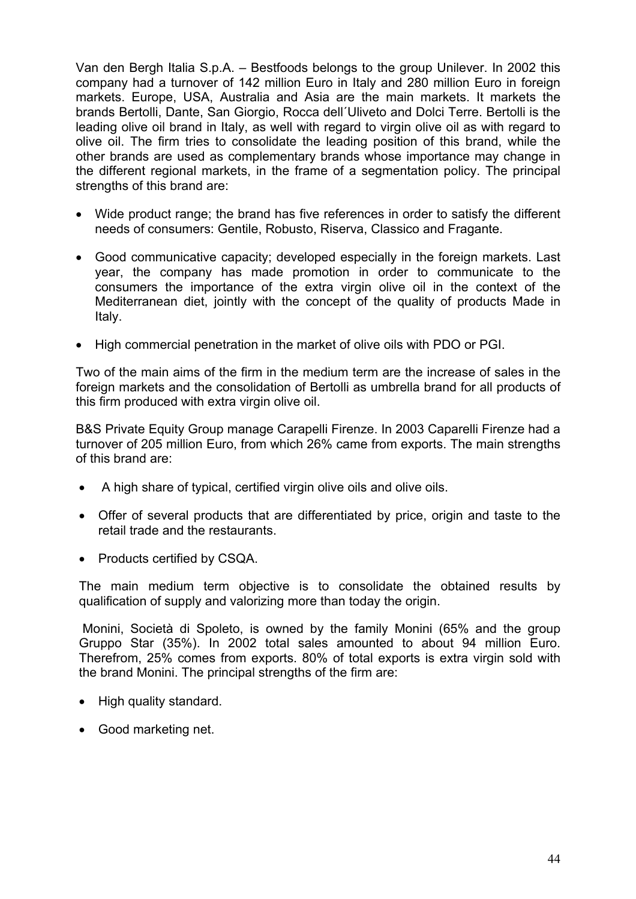Van den Bergh Italia S.p.A. – Bestfoods belongs to the group Unilever. In 2002 this company had a turnover of 142 million Euro in Italy and 280 million Euro in foreign markets. Europe, USA, Australia and Asia are the main markets. It markets the brands Bertolli, Dante, San Giorgio, Rocca dell´Uliveto and Dolci Terre. Bertolli is the leading olive oil brand in Italy, as well with regard to virgin olive oil as with regard to olive oil. The firm tries to consolidate the leading position of this brand, while the other brands are used as complementary brands whose importance may change in the different regional markets, in the frame of a segmentation policy. The principal strengths of this brand are:

- Wide product range; the brand has five references in order to satisfy the different needs of consumers: Gentile, Robusto, Riserva, Classico and Fragante.
- Good communicative capacity; developed especially in the foreign markets. Last year, the company has made promotion in order to communicate to the consumers the importance of the extra virgin olive oil in the context of the Mediterranean diet, jointly with the concept of the quality of products Made in Italy.
- High commercial penetration in the market of olive oils with PDO or PGI.

Two of the main aims of the firm in the medium term are the increase of sales in the foreign markets and the consolidation of Bertolli as umbrella brand for all products of this firm produced with extra virgin olive oil.

B&S Private Equity Group manage Carapelli Firenze. In 2003 Caparelli Firenze had a turnover of 205 million Euro, from which 26% came from exports. The main strengths of this brand are:

- A high share of typical, certified virgin olive oils and olive oils.
- Offer of several products that are differentiated by price, origin and taste to the retail trade and the restaurants.
- Products certified by CSQA.

The main medium term objective is to consolidate the obtained results by qualification of supply and valorizing more than today the origin.

 Monini, Società di Spoleto, is owned by the family Monini (65% and the group Gruppo Star (35%). In 2002 total sales amounted to about 94 million Euro. Therefrom, 25% comes from exports. 80% of total exports is extra virgin sold with the brand Monini. The principal strengths of the firm are:

- High quality standard.
- Good marketing net.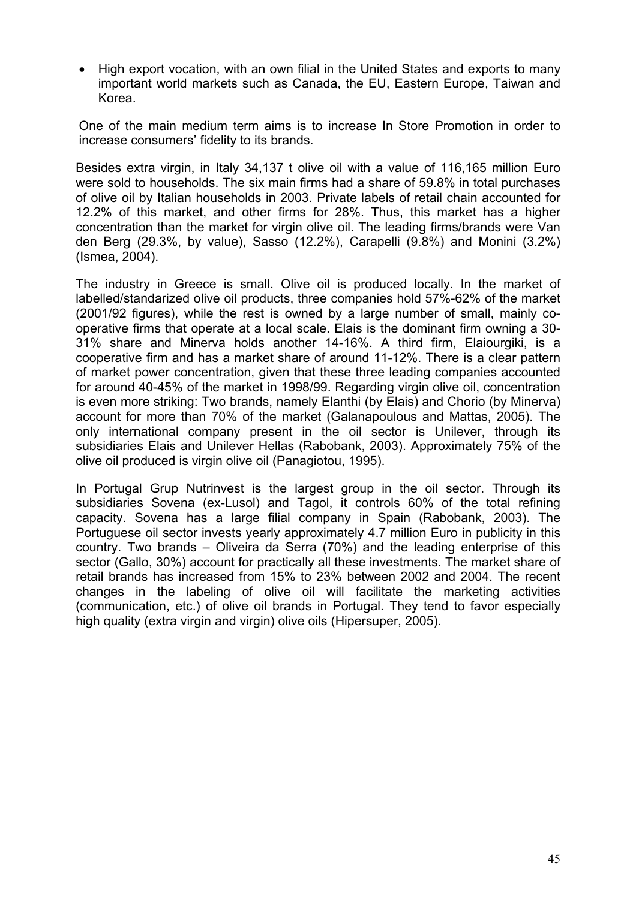• High export vocation, with an own filial in the United States and exports to many important world markets such as Canada, the EU, Eastern Europe, Taiwan and Korea.

One of the main medium term aims is to increase In Store Promotion in order to increase consumers' fidelity to its brands.

Besides extra virgin, in Italy 34,137 t olive oil with a value of 116,165 million Euro were sold to households. The six main firms had a share of 59.8% in total purchases of olive oil by Italian households in 2003. Private labels of retail chain accounted for 12.2% of this market, and other firms for 28%. Thus, this market has a higher concentration than the market for virgin olive oil. The leading firms/brands were Van den Berg (29.3%, by value), Sasso (12.2%), Carapelli (9.8%) and Monini (3.2%) (Ismea, 2004).

The industry in Greece is small. Olive oil is produced locally. In the market of labelled/standarized olive oil products, three companies hold 57%-62% of the market (2001/92 figures), while the rest is owned by a large number of small, mainly cooperative firms that operate at a local scale. Elais is the dominant firm owning a 30- 31% share and Minerva holds another 14-16%. A third firm, Elaiourgiki, is a cooperative firm and has a market share of around 11-12%. There is a clear pattern of market power concentration, given that these three leading companies accounted for around 40-45% of the market in 1998/99. Regarding virgin olive oil, concentration is even more striking: Two brands, namely Elanthi (by Elais) and Chorio (by Minerva) account for more than 70% of the market (Galanapoulous and Mattas, 2005). The only international company present in the oil sector is Unilever, through its subsidiaries Elais and Unilever Hellas (Rabobank, 2003). Approximately 75% of the olive oil produced is virgin olive oil (Panagiotou, 1995).

In Portugal Grup Nutrinvest is the largest group in the oil sector. Through its subsidiaries Sovena (ex-Lusol) and Tagol, it controls 60% of the total refining capacity. Sovena has a large filial company in Spain (Rabobank, 2003). The Portuguese oil sector invests yearly approximately 4.7 million Euro in publicity in this country. Two brands – Oliveira da Serra (70%) and the leading enterprise of this sector (Gallo, 30%) account for practically all these investments. The market share of retail brands has increased from 15% to 23% between 2002 and 2004. The recent changes in the labeling of olive oil will facilitate the marketing activities (communication, etc.) of olive oil brands in Portugal. They tend to favor especially high quality (extra virgin and virgin) olive oils (Hipersuper, 2005).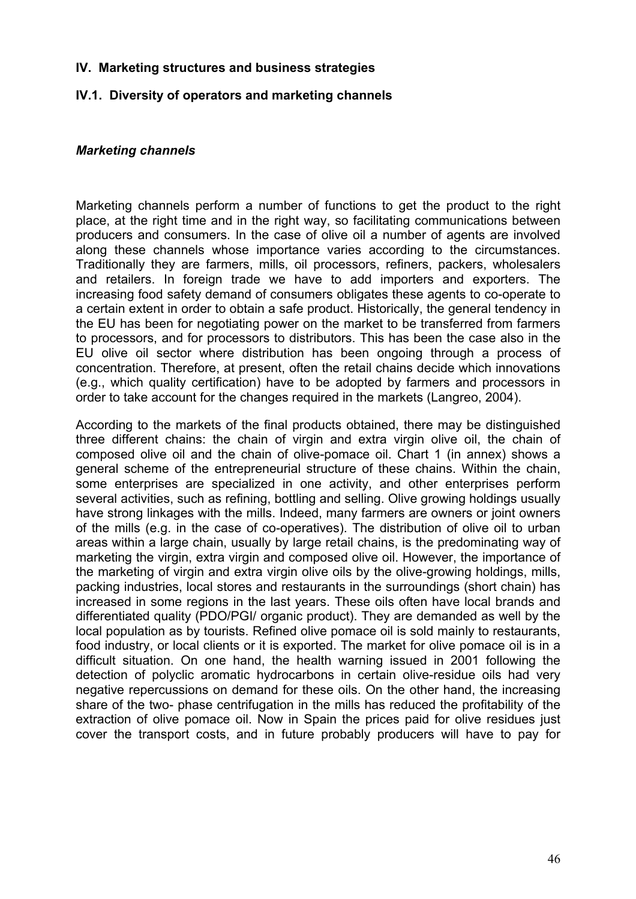#### **IV. Marketing structures and business strategies**

### **IV.1. Diversity of operators and marketing channels**

#### *Marketing channels*

Marketing channels perform a number of functions to get the product to the right place, at the right time and in the right way, so facilitating communications between producers and consumers. In the case of olive oil a number of agents are involved along these channels whose importance varies according to the circumstances. Traditionally they are farmers, mills, oil processors, refiners, packers, wholesalers and retailers. In foreign trade we have to add importers and exporters. The increasing food safety demand of consumers obligates these agents to co-operate to a certain extent in order to obtain a safe product. Historically, the general tendency in the EU has been for negotiating power on the market to be transferred from farmers to processors, and for processors to distributors. This has been the case also in the EU olive oil sector where distribution has been ongoing through a process of concentration. Therefore, at present, often the retail chains decide which innovations (e.g., which quality certification) have to be adopted by farmers and processors in order to take account for the changes required in the markets (Langreo, 2004).

According to the markets of the final products obtained, there may be distinguished three different chains: the chain of virgin and extra virgin olive oil, the chain of composed olive oil and the chain of olive-pomace oil. Chart 1 (in annex) shows a general scheme of the entrepreneurial structure of these chains. Within the chain, some enterprises are specialized in one activity, and other enterprises perform several activities, such as refining, bottling and selling. Olive growing holdings usually have strong linkages with the mills. Indeed, many farmers are owners or joint owners of the mills (e.g. in the case of co-operatives). The distribution of olive oil to urban areas within a large chain, usually by large retail chains, is the predominating way of marketing the virgin, extra virgin and composed olive oil. However, the importance of the marketing of virgin and extra virgin olive oils by the olive-growing holdings, mills, packing industries, local stores and restaurants in the surroundings (short chain) has increased in some regions in the last years. These oils often have local brands and differentiated quality (PDO/PGI/ organic product). They are demanded as well by the local population as by tourists. Refined olive pomace oil is sold mainly to restaurants, food industry, or local clients or it is exported. The market for olive pomace oil is in a difficult situation. On one hand, the health warning issued in 2001 following the detection of polyclic aromatic hydrocarbons in certain olive-residue oils had very negative repercussions on demand for these oils. On the other hand, the increasing share of the two- phase centrifugation in the mills has reduced the profitability of the extraction of olive pomace oil. Now in Spain the prices paid for olive residues just cover the transport costs, and in future probably producers will have to pay for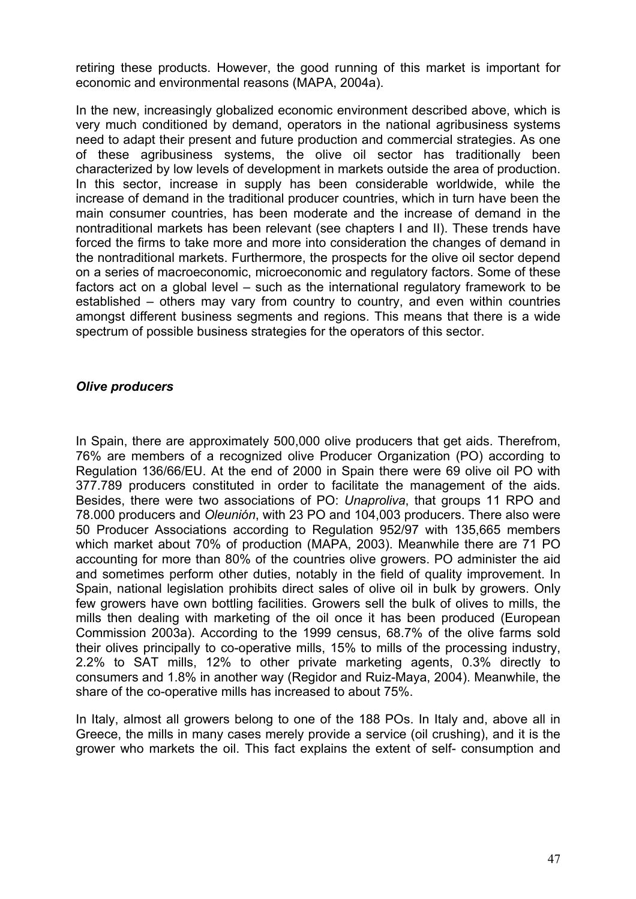retiring these products. However, the good running of this market is important for economic and environmental reasons (MAPA, 2004a).

In the new, increasingly globalized economic environment described above, which is very much conditioned by demand, operators in the national agribusiness systems need to adapt their present and future production and commercial strategies. As one of these agribusiness systems, the olive oil sector has traditionally been characterized by low levels of development in markets outside the area of production. In this sector, increase in supply has been considerable worldwide, while the increase of demand in the traditional producer countries, which in turn have been the main consumer countries, has been moderate and the increase of demand in the nontraditional markets has been relevant (see chapters I and II). These trends have forced the firms to take more and more into consideration the changes of demand in the nontraditional markets. Furthermore, the prospects for the olive oil sector depend on a series of macroeconomic, microeconomic and regulatory factors. Some of these factors act on a global level – such as the international regulatory framework to be established – others may vary from country to country, and even within countries amongst different business segments and regions. This means that there is a wide spectrum of possible business strategies for the operators of this sector.

### *Olive producers*

In Spain, there are approximately 500,000 olive producers that get aids. Therefrom, 76% are members of a recognized olive Producer Organization (PO) according to Regulation 136/66/EU. At the end of 2000 in Spain there were 69 olive oil PO with 377.789 producers constituted in order to facilitate the management of the aids. Besides, there were two associations of PO: *Unaproliva*, that groups 11 RPO and 78.000 producers and *Oleunión*, with 23 PO and 104,003 producers. There also were 50 Producer Associations according to Regulation 952/97 with 135,665 members which market about 70% of production (MAPA, 2003). Meanwhile there are 71 PO accounting for more than 80% of the countries olive growers. PO administer the aid and sometimes perform other duties, notably in the field of quality improvement. In Spain, national legislation prohibits direct sales of olive oil in bulk by growers. Only few growers have own bottling facilities. Growers sell the bulk of olives to mills, the mills then dealing with marketing of the oil once it has been produced (European Commission 2003a). According to the 1999 census, 68.7% of the olive farms sold their olives principally to co-operative mills, 15% to mills of the processing industry, 2.2% to SAT mills, 12% to other private marketing agents, 0.3% directly to consumers and 1.8% in another way (Regidor and Ruiz-Maya, 2004). Meanwhile, the share of the co-operative mills has increased to about 75%.

In Italy, almost all growers belong to one of the 188 POs. In Italy and, above all in Greece, the mills in many cases merely provide a service (oil crushing), and it is the grower who markets the oil. This fact explains the extent of self- consumption and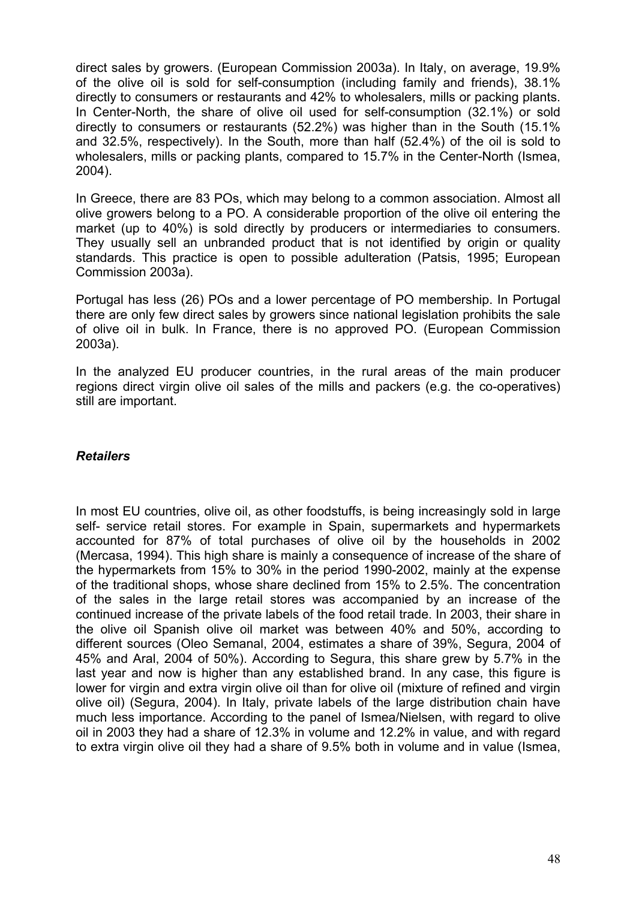direct sales by growers. (European Commission 2003a). In Italy, on average, 19.9% of the olive oil is sold for self-consumption (including family and friends), 38.1% directly to consumers or restaurants and 42% to wholesalers, mills or packing plants. In Center-North, the share of olive oil used for self-consumption (32.1%) or sold directly to consumers or restaurants (52.2%) was higher than in the South (15.1% and 32.5%, respectively). In the South, more than half (52.4%) of the oil is sold to wholesalers, mills or packing plants, compared to 15.7% in the Center-North (Ismea, 2004).

In Greece, there are 83 POs, which may belong to a common association. Almost all olive growers belong to a PO. A considerable proportion of the olive oil entering the market (up to 40%) is sold directly by producers or intermediaries to consumers. They usually sell an unbranded product that is not identified by origin or quality standards. This practice is open to possible adulteration (Patsis, 1995; European Commission 2003a).

Portugal has less (26) POs and a lower percentage of PO membership. In Portugal there are only few direct sales by growers since national legislation prohibits the sale of olive oil in bulk. In France, there is no approved PO. (European Commission 2003a).

In the analyzed EU producer countries, in the rural areas of the main producer regions direct virgin olive oil sales of the mills and packers (e.g. the co-operatives) still are important.

## *Retailers*

In most EU countries, olive oil, as other foodstuffs, is being increasingly sold in large self- service retail stores. For example in Spain, supermarkets and hypermarkets accounted for 87% of total purchases of olive oil by the households in 2002 (Mercasa, 1994). This high share is mainly a consequence of increase of the share of the hypermarkets from 15% to 30% in the period 1990-2002, mainly at the expense of the traditional shops, whose share declined from 15% to 2.5%. The concentration of the sales in the large retail stores was accompanied by an increase of the continued increase of the private labels of the food retail trade. In 2003, their share in the olive oil Spanish olive oil market was between 40% and 50%, according to different sources (Oleo Semanal, 2004, estimates a share of 39%, Segura, 2004 of 45% and Aral, 2004 of 50%). According to Segura, this share grew by 5.7% in the last year and now is higher than any established brand. In any case, this figure is lower for virgin and extra virgin olive oil than for olive oil (mixture of refined and virgin olive oil) (Segura, 2004). In Italy, private labels of the large distribution chain have much less importance. According to the panel of Ismea/Nielsen, with regard to olive oil in 2003 they had a share of 12.3% in volume and 12.2% in value, and with regard to extra virgin olive oil they had a share of 9.5% both in volume and in value (Ismea,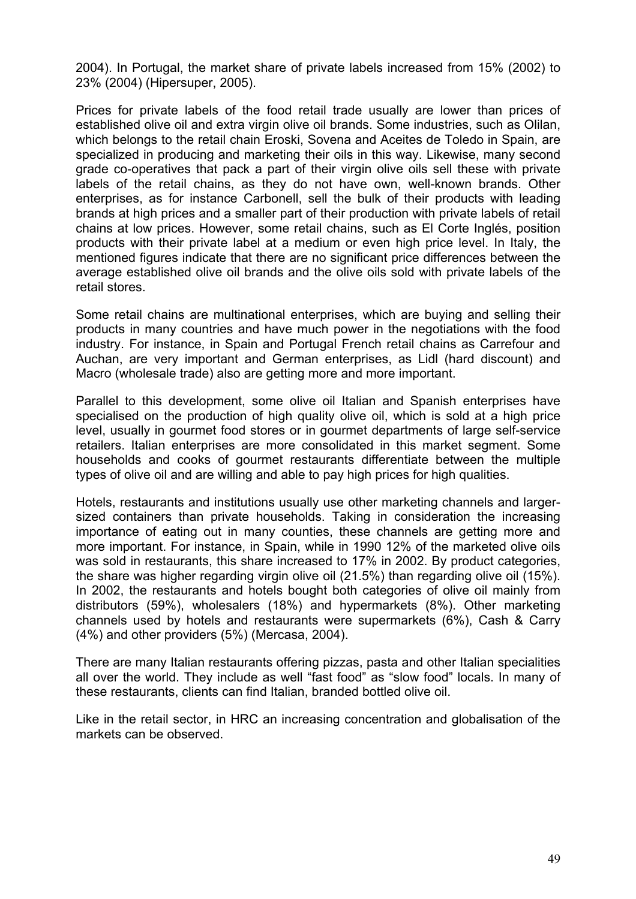2004). In Portugal, the market share of private labels increased from 15% (2002) to 23% (2004) (Hipersuper, 2005).

Prices for private labels of the food retail trade usually are lower than prices of established olive oil and extra virgin olive oil brands. Some industries, such as Olilan, which belongs to the retail chain Eroski, Sovena and Aceites de Toledo in Spain, are specialized in producing and marketing their oils in this way. Likewise, many second grade co-operatives that pack a part of their virgin olive oils sell these with private labels of the retail chains, as they do not have own, well-known brands. Other enterprises, as for instance Carbonell, sell the bulk of their products with leading brands at high prices and a smaller part of their production with private labels of retail chains at low prices. However, some retail chains, such as El Corte Inglés, position products with their private label at a medium or even high price level. In Italy, the mentioned figures indicate that there are no significant price differences between the average established olive oil brands and the olive oils sold with private labels of the retail stores.

Some retail chains are multinational enterprises, which are buying and selling their products in many countries and have much power in the negotiations with the food industry. For instance, in Spain and Portugal French retail chains as Carrefour and Auchan, are very important and German enterprises, as Lidl (hard discount) and Macro (wholesale trade) also are getting more and more important.

Parallel to this development, some olive oil Italian and Spanish enterprises have specialised on the production of high quality olive oil, which is sold at a high price level, usually in gourmet food stores or in gourmet departments of large self-service retailers. Italian enterprises are more consolidated in this market segment. Some households and cooks of gourmet restaurants differentiate between the multiple types of olive oil and are willing and able to pay high prices for high qualities.

Hotels, restaurants and institutions usually use other marketing channels and largersized containers than private households. Taking in consideration the increasing importance of eating out in many counties, these channels are getting more and more important. For instance, in Spain, while in 1990 12% of the marketed olive oils was sold in restaurants, this share increased to 17% in 2002. By product categories, the share was higher regarding virgin olive oil (21.5%) than regarding olive oil (15%). In 2002, the restaurants and hotels bought both categories of olive oil mainly from distributors (59%), wholesalers (18%) and hypermarkets (8%). Other marketing channels used by hotels and restaurants were supermarkets (6%), Cash & Carry (4%) and other providers (5%) (Mercasa, 2004).

There are many Italian restaurants offering pizzas, pasta and other Italian specialities all over the world. They include as well "fast food" as "slow food" locals. In many of these restaurants, clients can find Italian, branded bottled olive oil.

Like in the retail sector, in HRC an increasing concentration and globalisation of the markets can be observed.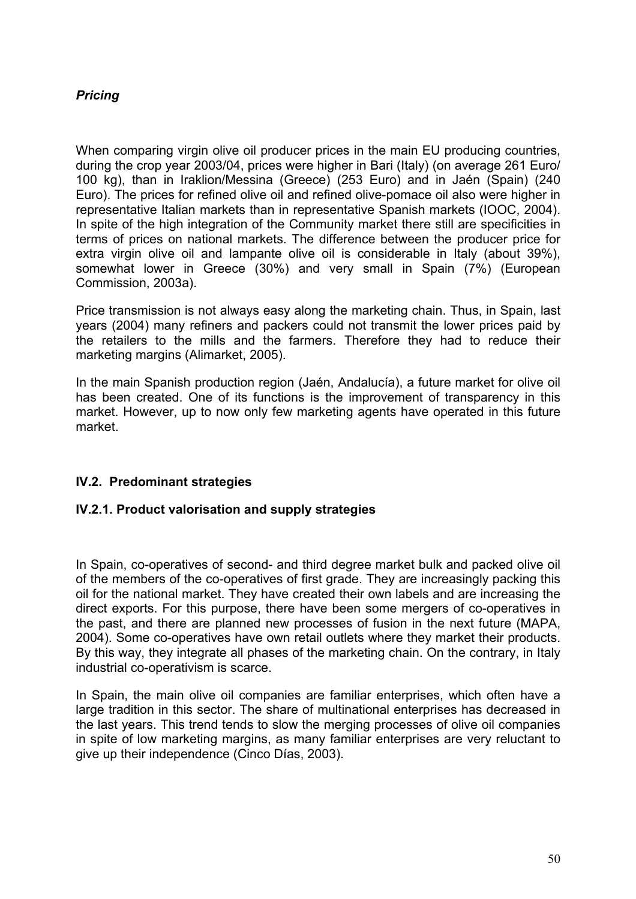## *Pricing*

When comparing virgin olive oil producer prices in the main EU producing countries, during the crop year 2003/04, prices were higher in Bari (Italy) (on average 261 Euro/ 100 kg), than in Iraklion/Messina (Greece) (253 Euro) and in Jaén (Spain) (240 Euro). The prices for refined olive oil and refined olive-pomace oil also were higher in representative Italian markets than in representative Spanish markets (IOOC, 2004). In spite of the high integration of the Community market there still are specificities in terms of prices on national markets. The difference between the producer price for extra virgin olive oil and lampante olive oil is considerable in Italy (about 39%), somewhat lower in Greece (30%) and very small in Spain (7%) (European Commission, 2003a).

Price transmission is not always easy along the marketing chain. Thus, in Spain, last years (2004) many refiners and packers could not transmit the lower prices paid by the retailers to the mills and the farmers. Therefore they had to reduce their marketing margins (Alimarket, 2005).

In the main Spanish production region (Jaén, Andalucía), a future market for olive oil has been created. One of its functions is the improvement of transparency in this market. However, up to now only few marketing agents have operated in this future market.

## **IV.2. Predominant strategies**

### **IV.2.1. Product valorisation and supply strategies**

In Spain, co-operatives of second- and third degree market bulk and packed olive oil of the members of the co-operatives of first grade. They are increasingly packing this oil for the national market. They have created their own labels and are increasing the direct exports. For this purpose, there have been some mergers of co-operatives in the past, and there are planned new processes of fusion in the next future (MAPA, 2004). Some co-operatives have own retail outlets where they market their products. By this way, they integrate all phases of the marketing chain. On the contrary, in Italy industrial co-operativism is scarce.

In Spain, the main olive oil companies are familiar enterprises, which often have a large tradition in this sector. The share of multinational enterprises has decreased in the last years. This trend tends to slow the merging processes of olive oil companies in spite of low marketing margins, as many familiar enterprises are very reluctant to give up their independence (Cinco Días, 2003).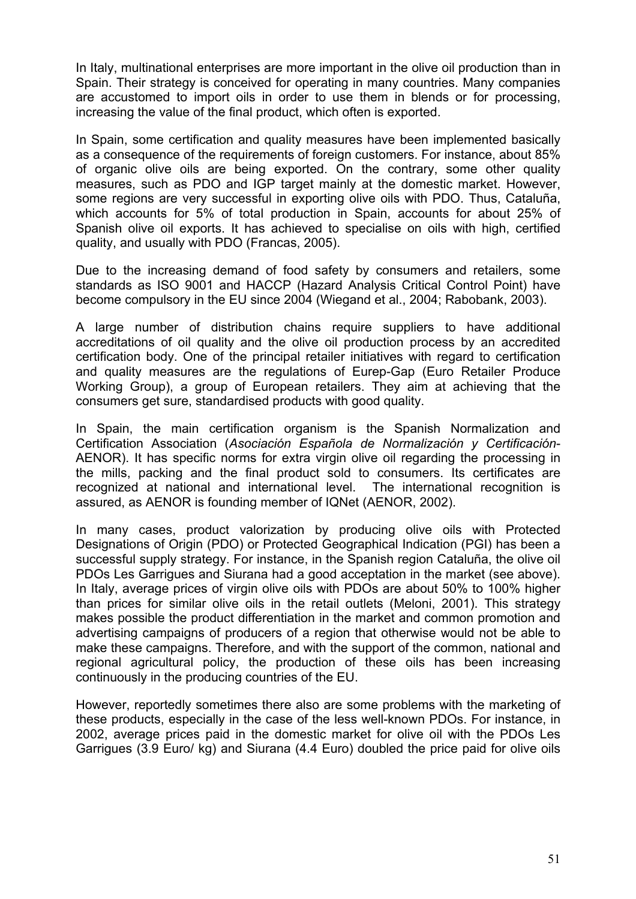In Italy, multinational enterprises are more important in the olive oil production than in Spain. Their strategy is conceived for operating in many countries. Many companies are accustomed to import oils in order to use them in blends or for processing, increasing the value of the final product, which often is exported.

In Spain, some certification and quality measures have been implemented basically as a consequence of the requirements of foreign customers. For instance, about 85% of organic olive oils are being exported. On the contrary, some other quality measures, such as PDO and IGP target mainly at the domestic market. However, some regions are very successful in exporting olive oils with PDO. Thus, Cataluña, which accounts for 5% of total production in Spain, accounts for about 25% of Spanish olive oil exports. It has achieved to specialise on oils with high, certified quality, and usually with PDO (Francas, 2005).

Due to the increasing demand of food safety by consumers and retailers, some standards as ISO 9001 and HACCP (Hazard Analysis Critical Control Point) have become compulsory in the EU since 2004 (Wiegand et al., 2004; Rabobank, 2003).

A large number of distribution chains require suppliers to have additional accreditations of oil quality and the olive oil production process by an accredited certification body. One of the principal retailer initiatives with regard to certification and quality measures are the regulations of Eurep-Gap (Euro Retailer Produce Working Group), a group of European retailers. They aim at achieving that the consumers get sure, standardised products with good quality.

In Spain, the main certification organism is the Spanish Normalization and Certification Association (*Asociación Española de Normalización y Certificación*-AENOR). It has specific norms for extra virgin olive oil regarding the processing in the mills, packing and the final product sold to consumers. Its certificates are recognized at national and international level. The international recognition is assured, as AENOR is founding member of IQNet (AENOR, 2002).

In many cases, product valorization by producing olive oils with Protected Designations of Origin (PDO) or Protected Geographical Indication (PGI) has been a successful supply strategy. For instance, in the Spanish region Cataluña, the olive oil PDOs Les Garrigues and Siurana had a good acceptation in the market (see above). In Italy, average prices of virgin olive oils with PDOs are about 50% to 100% higher than prices for similar olive oils in the retail outlets (Meloni, 2001). This strategy makes possible the product differentiation in the market and common promotion and advertising campaigns of producers of a region that otherwise would not be able to make these campaigns. Therefore, and with the support of the common, national and regional agricultural policy, the production of these oils has been increasing continuously in the producing countries of the EU.

However, reportedly sometimes there also are some problems with the marketing of these products, especially in the case of the less well-known PDOs. For instance, in 2002, average prices paid in the domestic market for olive oil with the PDOs Les Garrigues (3.9 Euro/ kg) and Siurana (4.4 Euro) doubled the price paid for olive oils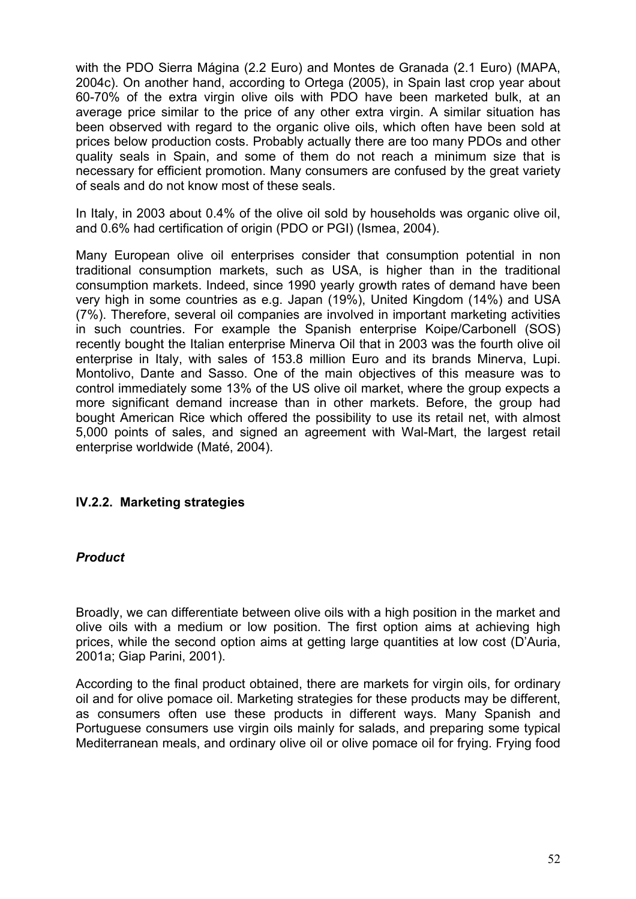with the PDO Sierra Mágina (2.2 Euro) and Montes de Granada (2.1 Euro) (MAPA, 2004c). On another hand, according to Ortega (2005), in Spain last crop year about 60-70% of the extra virgin olive oils with PDO have been marketed bulk, at an average price similar to the price of any other extra virgin. A similar situation has been observed with regard to the organic olive oils, which often have been sold at prices below production costs. Probably actually there are too many PDOs and other quality seals in Spain, and some of them do not reach a minimum size that is necessary for efficient promotion. Many consumers are confused by the great variety of seals and do not know most of these seals.

In Italy, in 2003 about 0.4% of the olive oil sold by households was organic olive oil, and 0.6% had certification of origin (PDO or PGI) (Ismea, 2004).

Many European olive oil enterprises consider that consumption potential in non traditional consumption markets, such as USA, is higher than in the traditional consumption markets. Indeed, since 1990 yearly growth rates of demand have been very high in some countries as e.g. Japan (19%), United Kingdom (14%) and USA (7%). Therefore, several oil companies are involved in important marketing activities in such countries. For example the Spanish enterprise Koipe/Carbonell (SOS) recently bought the Italian enterprise Minerva Oil that in 2003 was the fourth olive oil enterprise in Italy, with sales of 153.8 million Euro and its brands Minerva, Lupi. Montolivo, Dante and Sasso. One of the main objectives of this measure was to control immediately some 13% of the US olive oil market, where the group expects a more significant demand increase than in other markets. Before, the group had bought American Rice which offered the possibility to use its retail net, with almost 5,000 points of sales, and signed an agreement with Wal-Mart, the largest retail enterprise worldwide (Maté, 2004).

## **IV.2.2. Marketing strategies**

### *Product*

Broadly, we can differentiate between olive oils with a high position in the market and olive oils with a medium or low position. The first option aims at achieving high prices, while the second option aims at getting large quantities at low cost (D'Auria, 2001a; Giap Parini, 2001).

According to the final product obtained, there are markets for virgin oils, for ordinary oil and for olive pomace oil. Marketing strategies for these products may be different, as consumers often use these products in different ways. Many Spanish and Portuguese consumers use virgin oils mainly for salads, and preparing some typical Mediterranean meals, and ordinary olive oil or olive pomace oil for frying. Frying food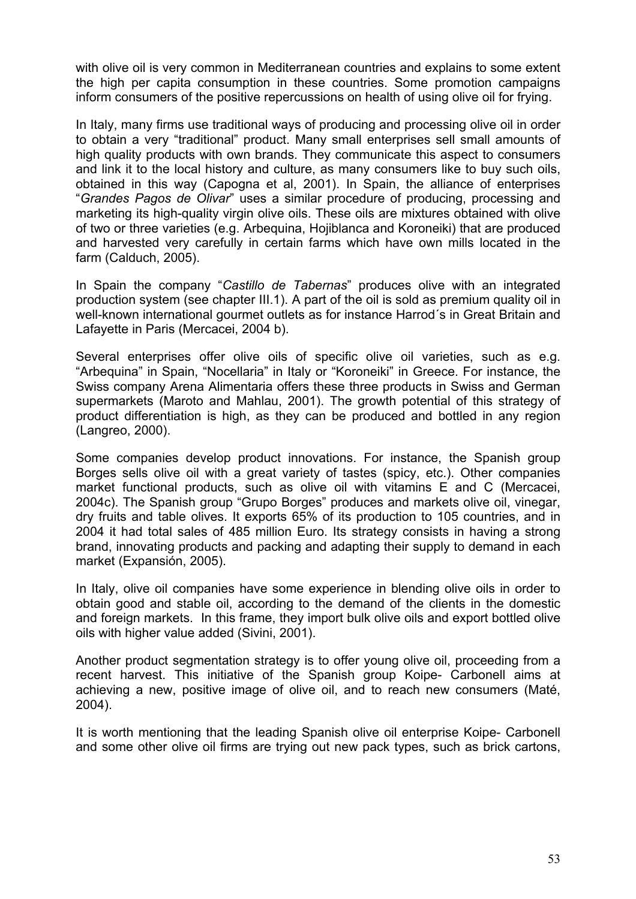with olive oil is very common in Mediterranean countries and explains to some extent the high per capita consumption in these countries. Some promotion campaigns inform consumers of the positive repercussions on health of using olive oil for frying.

In Italy, many firms use traditional ways of producing and processing olive oil in order to obtain a very "traditional" product. Many small enterprises sell small amounts of high quality products with own brands. They communicate this aspect to consumers and link it to the local history and culture, as many consumers like to buy such oils, obtained in this way (Capogna et al, 2001). In Spain, the alliance of enterprises "*Grandes Pagos de Olivar*" uses a similar procedure of producing, processing and marketing its high-quality virgin olive oils. These oils are mixtures obtained with olive of two or three varieties (e.g. Arbequina, Hojiblanca and Koroneiki) that are produced and harvested very carefully in certain farms which have own mills located in the farm (Calduch, 2005).

In Spain the company "*Castillo de Tabernas*" produces olive with an integrated production system (see chapter III.1). A part of the oil is sold as premium quality oil in well-known international gourmet outlets as for instance Harrod´s in Great Britain and Lafayette in Paris (Mercacei, 2004 b).

Several enterprises offer olive oils of specific olive oil varieties, such as e.g. "Arbequina" in Spain, "Nocellaria" in Italy or "Koroneiki" in Greece. For instance, the Swiss company Arena Alimentaria offers these three products in Swiss and German supermarkets (Maroto and Mahlau, 2001). The growth potential of this strategy of product differentiation is high, as they can be produced and bottled in any region (Langreo, 2000).

Some companies develop product innovations. For instance, the Spanish group Borges sells olive oil with a great variety of tastes (spicy, etc.). Other companies market functional products, such as olive oil with vitamins E and C (Mercacei, 2004c). The Spanish group "Grupo Borges" produces and markets olive oil, vinegar, dry fruits and table olives. It exports 65% of its production to 105 countries, and in 2004 it had total sales of 485 million Euro. Its strategy consists in having a strong brand, innovating products and packing and adapting their supply to demand in each market (Expansión, 2005).

In Italy, olive oil companies have some experience in blending olive oils in order to obtain good and stable oil, according to the demand of the clients in the domestic and foreign markets. In this frame, they import bulk olive oils and export bottled olive oils with higher value added (Sivini, 2001).

Another product segmentation strategy is to offer young olive oil, proceeding from a recent harvest. This initiative of the Spanish group Koipe- Carbonell aims at achieving a new, positive image of olive oil, and to reach new consumers (Maté, 2004).

It is worth mentioning that the leading Spanish olive oil enterprise Koipe- Carbonell and some other olive oil firms are trying out new pack types, such as brick cartons,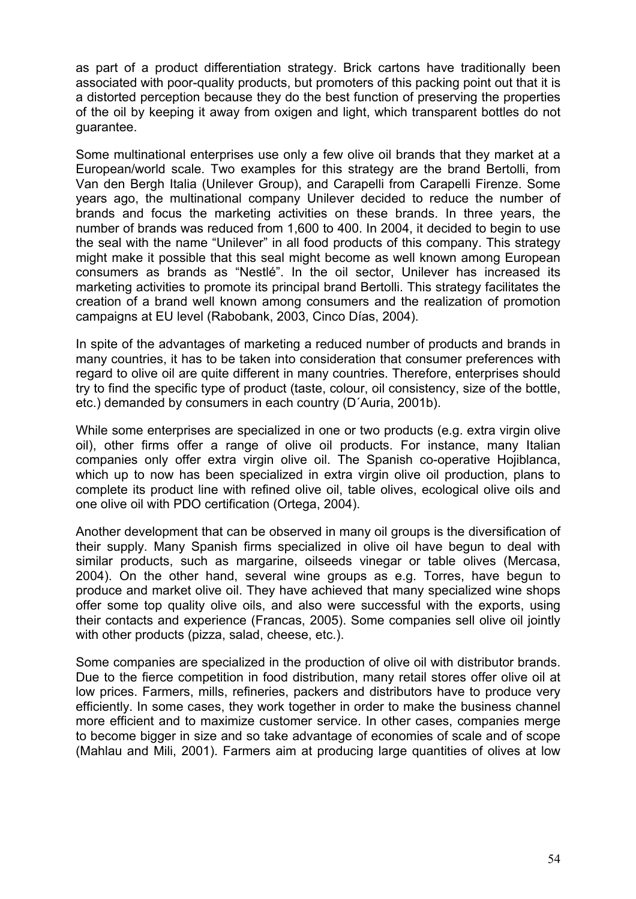as part of a product differentiation strategy. Brick cartons have traditionally been associated with poor-quality products, but promoters of this packing point out that it is a distorted perception because they do the best function of preserving the properties of the oil by keeping it away from oxigen and light, which transparent bottles do not guarantee.

Some multinational enterprises use only a few olive oil brands that they market at a European/world scale. Two examples for this strategy are the brand Bertolli, from Van den Bergh Italia (Unilever Group), and Carapelli from Carapelli Firenze. Some years ago, the multinational company Unilever decided to reduce the number of brands and focus the marketing activities on these brands. In three years, the number of brands was reduced from 1,600 to 400. In 2004, it decided to begin to use the seal with the name "Unilever" in all food products of this company. This strategy might make it possible that this seal might become as well known among European consumers as brands as "Nestlé". In the oil sector, Unilever has increased its marketing activities to promote its principal brand Bertolli. This strategy facilitates the creation of a brand well known among consumers and the realization of promotion campaigns at EU level (Rabobank, 2003, Cinco Días, 2004).

In spite of the advantages of marketing a reduced number of products and brands in many countries, it has to be taken into consideration that consumer preferences with regard to olive oil are quite different in many countries. Therefore, enterprises should try to find the specific type of product (taste, colour, oil consistency, size of the bottle, etc.) demanded by consumers in each country (D´Auria, 2001b).

While some enterprises are specialized in one or two products (e.g. extra virgin olive oil), other firms offer a range of olive oil products. For instance, many Italian companies only offer extra virgin olive oil. The Spanish co-operative Hojiblanca, which up to now has been specialized in extra virgin olive oil production, plans to complete its product line with refined olive oil, table olives, ecological olive oils and one olive oil with PDO certification (Ortega, 2004).

Another development that can be observed in many oil groups is the diversification of their supply. Many Spanish firms specialized in olive oil have begun to deal with similar products, such as margarine, oilseeds vinegar or table olives (Mercasa, 2004). On the other hand, several wine groups as e.g. Torres, have begun to produce and market olive oil. They have achieved that many specialized wine shops offer some top quality olive oils, and also were successful with the exports, using their contacts and experience (Francas, 2005). Some companies sell olive oil jointly with other products (pizza, salad, cheese, etc.).

Some companies are specialized in the production of olive oil with distributor brands. Due to the fierce competition in food distribution, many retail stores offer olive oil at low prices. Farmers, mills, refineries, packers and distributors have to produce very efficiently. In some cases, they work together in order to make the business channel more efficient and to maximize customer service. In other cases, companies merge to become bigger in size and so take advantage of economies of scale and of scope (Mahlau and Mili, 2001). Farmers aim at producing large quantities of olives at low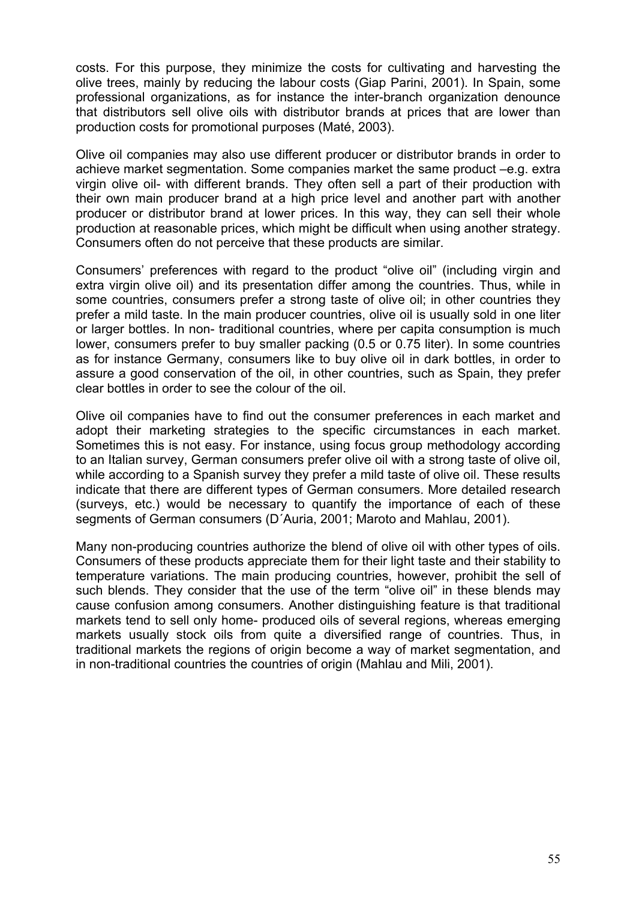costs. For this purpose, they minimize the costs for cultivating and harvesting the olive trees, mainly by reducing the labour costs (Giap Parini, 2001). In Spain, some professional organizations, as for instance the inter-branch organization denounce that distributors sell olive oils with distributor brands at prices that are lower than production costs for promotional purposes (Maté, 2003).

Olive oil companies may also use different producer or distributor brands in order to achieve market segmentation. Some companies market the same product –e.g. extra virgin olive oil- with different brands. They often sell a part of their production with their own main producer brand at a high price level and another part with another producer or distributor brand at lower prices. In this way, they can sell their whole production at reasonable prices, which might be difficult when using another strategy. Consumers often do not perceive that these products are similar.

Consumers' preferences with regard to the product "olive oil" (including virgin and extra virgin olive oil) and its presentation differ among the countries. Thus, while in some countries, consumers prefer a strong taste of olive oil; in other countries they prefer a mild taste. In the main producer countries, olive oil is usually sold in one liter or larger bottles. In non- traditional countries, where per capita consumption is much lower, consumers prefer to buy smaller packing (0.5 or 0.75 liter). In some countries as for instance Germany, consumers like to buy olive oil in dark bottles, in order to assure a good conservation of the oil, in other countries, such as Spain, they prefer clear bottles in order to see the colour of the oil.

Olive oil companies have to find out the consumer preferences in each market and adopt their marketing strategies to the specific circumstances in each market. Sometimes this is not easy. For instance, using focus group methodology according to an Italian survey, German consumers prefer olive oil with a strong taste of olive oil, while according to a Spanish survey they prefer a mild taste of olive oil. These results indicate that there are different types of German consumers. More detailed research (surveys, etc.) would be necessary to quantify the importance of each of these segments of German consumers (D´Auria, 2001; Maroto and Mahlau, 2001).

Many non-producing countries authorize the blend of olive oil with other types of oils. Consumers of these products appreciate them for their light taste and their stability to temperature variations. The main producing countries, however, prohibit the sell of such blends. They consider that the use of the term "olive oil" in these blends may cause confusion among consumers. Another distinguishing feature is that traditional markets tend to sell only home- produced oils of several regions, whereas emerging markets usually stock oils from quite a diversified range of countries. Thus, in traditional markets the regions of origin become a way of market segmentation, and in non-traditional countries the countries of origin (Mahlau and Mili, 2001).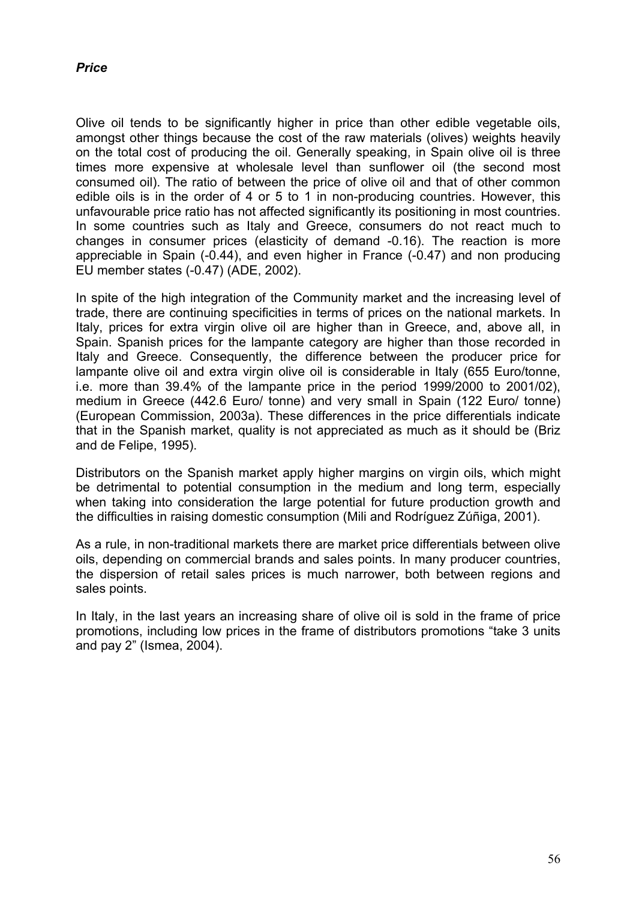## *Price*

Olive oil tends to be significantly higher in price than other edible vegetable oils, amongst other things because the cost of the raw materials (olives) weights heavily on the total cost of producing the oil. Generally speaking, in Spain olive oil is three times more expensive at wholesale level than sunflower oil (the second most consumed oil). The ratio of between the price of olive oil and that of other common edible oils is in the order of 4 or 5 to 1 in non-producing countries. However, this unfavourable price ratio has not affected significantly its positioning in most countries. In some countries such as Italy and Greece, consumers do not react much to changes in consumer prices (elasticity of demand -0.16). The reaction is more appreciable in Spain (-0.44), and even higher in France (-0.47) and non producing EU member states (-0.47) (ADE, 2002).

In spite of the high integration of the Community market and the increasing level of trade, there are continuing specificities in terms of prices on the national markets. In Italy, prices for extra virgin olive oil are higher than in Greece, and, above all, in Spain. Spanish prices for the lampante category are higher than those recorded in Italy and Greece. Consequently, the difference between the producer price for lampante olive oil and extra virgin olive oil is considerable in Italy (655 Euro/tonne, i.e. more than 39.4% of the lampante price in the period 1999/2000 to 2001/02), medium in Greece (442.6 Euro/ tonne) and very small in Spain (122 Euro/ tonne) (European Commission, 2003a). These differences in the price differentials indicate that in the Spanish market, quality is not appreciated as much as it should be (Briz and de Felipe, 1995).

Distributors on the Spanish market apply higher margins on virgin oils, which might be detrimental to potential consumption in the medium and long term, especially when taking into consideration the large potential for future production growth and the difficulties in raising domestic consumption (Mili and Rodríguez Zúñiga, 2001).

As a rule, in non-traditional markets there are market price differentials between olive oils, depending on commercial brands and sales points. In many producer countries, the dispersion of retail sales prices is much narrower, both between regions and sales points.

In Italy, in the last years an increasing share of olive oil is sold in the frame of price promotions, including low prices in the frame of distributors promotions "take 3 units and pay 2" (Ismea, 2004).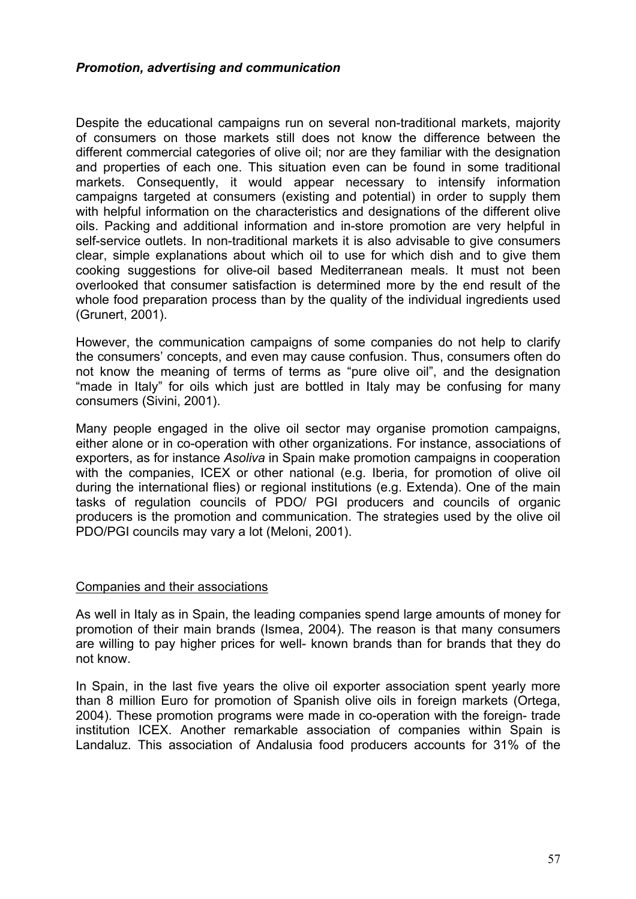### *Promotion, advertising and communication*

Despite the educational campaigns run on several non-traditional markets, majority of consumers on those markets still does not know the difference between the different commercial categories of olive oil; nor are they familiar with the designation and properties of each one. This situation even can be found in some traditional markets. Consequently, it would appear necessary to intensify information campaigns targeted at consumers (existing and potential) in order to supply them with helpful information on the characteristics and designations of the different olive oils. Packing and additional information and in-store promotion are very helpful in self-service outlets. In non-traditional markets it is also advisable to give consumers clear, simple explanations about which oil to use for which dish and to give them cooking suggestions for olive-oil based Mediterranean meals. It must not been overlooked that consumer satisfaction is determined more by the end result of the whole food preparation process than by the quality of the individual ingredients used (Grunert, 2001).

However, the communication campaigns of some companies do not help to clarify the consumers' concepts, and even may cause confusion. Thus, consumers often do not know the meaning of terms of terms as "pure olive oil", and the designation "made in Italy" for oils which just are bottled in Italy may be confusing for many consumers (Sivini, 2001).

Many people engaged in the olive oil sector may organise promotion campaigns, either alone or in co-operation with other organizations. For instance, associations of exporters, as for instance *Asoliva* in Spain make promotion campaigns in cooperation with the companies, ICEX or other national (e.g. Iberia, for promotion of olive oil during the international flies) or regional institutions (e.g. Extenda). One of the main tasks of regulation councils of PDO/ PGI producers and councils of organic producers is the promotion and communication. The strategies used by the olive oil PDO/PGI councils may vary a lot (Meloni, 2001).

### Companies and their associations

As well in Italy as in Spain, the leading companies spend large amounts of money for promotion of their main brands (Ismea, 2004). The reason is that many consumers are willing to pay higher prices for well- known brands than for brands that they do not know.

In Spain, in the last five years the olive oil exporter association spent yearly more than 8 million Euro for promotion of Spanish olive oils in foreign markets (Ortega, 2004). These promotion programs were made in co-operation with the foreign- trade institution ICEX. Another remarkable association of companies within Spain is Landaluz. This association of Andalusia food producers accounts for 31% of the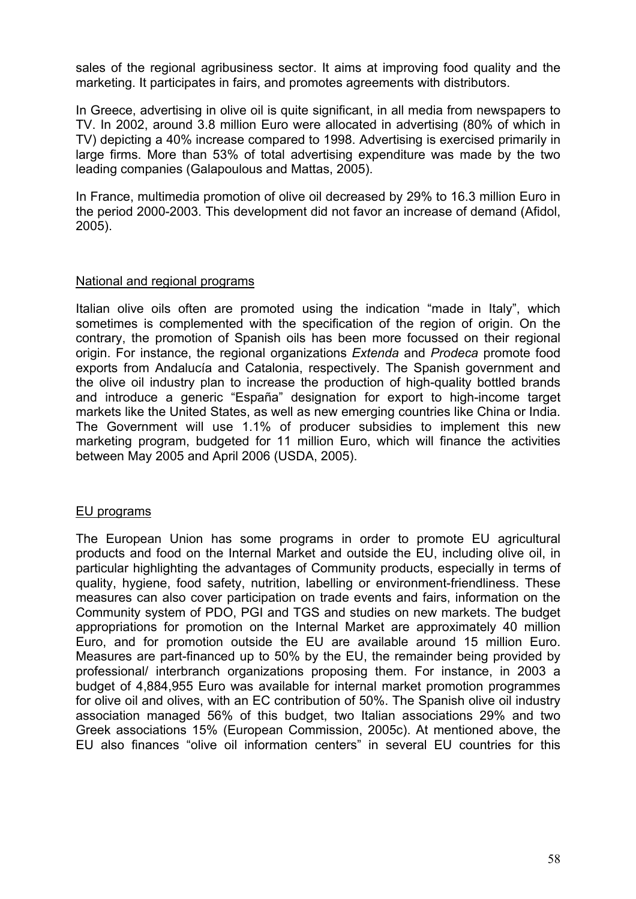sales of the regional agribusiness sector. It aims at improving food quality and the marketing. It participates in fairs, and promotes agreements with distributors.

In Greece, advertising in olive oil is quite significant, in all media from newspapers to TV. In 2002, around 3.8 million Euro were allocated in advertising (80% of which in TV) depicting a 40% increase compared to 1998. Advertising is exercised primarily in large firms. More than 53% of total advertising expenditure was made by the two leading companies (Galapoulous and Mattas, 2005).

In France, multimedia promotion of olive oil decreased by 29% to 16.3 million Euro in the period 2000-2003. This development did not favor an increase of demand (Afidol, 2005).

### National and regional programs

Italian olive oils often are promoted using the indication "made in Italy", which sometimes is complemented with the specification of the region of origin. On the contrary, the promotion of Spanish oils has been more focussed on their regional origin. For instance, the regional organizations *Extenda* and *Prodeca* promote food exports from Andalucía and Catalonia, respectively. The Spanish government and the olive oil industry plan to increase the production of high-quality bottled brands and introduce a generic "España" designation for export to high-income target markets like the United States, as well as new emerging countries like China or India. The Government will use 1.1% of producer subsidies to implement this new marketing program, budgeted for 11 million Euro, which will finance the activities between May 2005 and April 2006 (USDA, 2005).

### EU programs

The European Union has some programs in order to promote EU agricultural products and food on the Internal Market and outside the EU, including olive oil, in particular highlighting the advantages of Community products, especially in terms of quality, hygiene, food safety, nutrition, labelling or environment-friendliness. These measures can also cover participation on trade events and fairs, information on the Community system of PDO, PGI and TGS and studies on new markets. The budget appropriations for promotion on the Internal Market are approximately 40 million Euro, and for promotion outside the EU are available around 15 million Euro. Measures are part-financed up to 50% by the EU, the remainder being provided by professional/ interbranch organizations proposing them. For instance, in 2003 a budget of 4,884,955 Euro was available for internal market promotion programmes for olive oil and olives, with an EC contribution of 50%. The Spanish olive oil industry association managed 56% of this budget, two Italian associations 29% and two Greek associations 15% (European Commission, 2005c). At mentioned above, the EU also finances "olive oil information centers" in several EU countries for this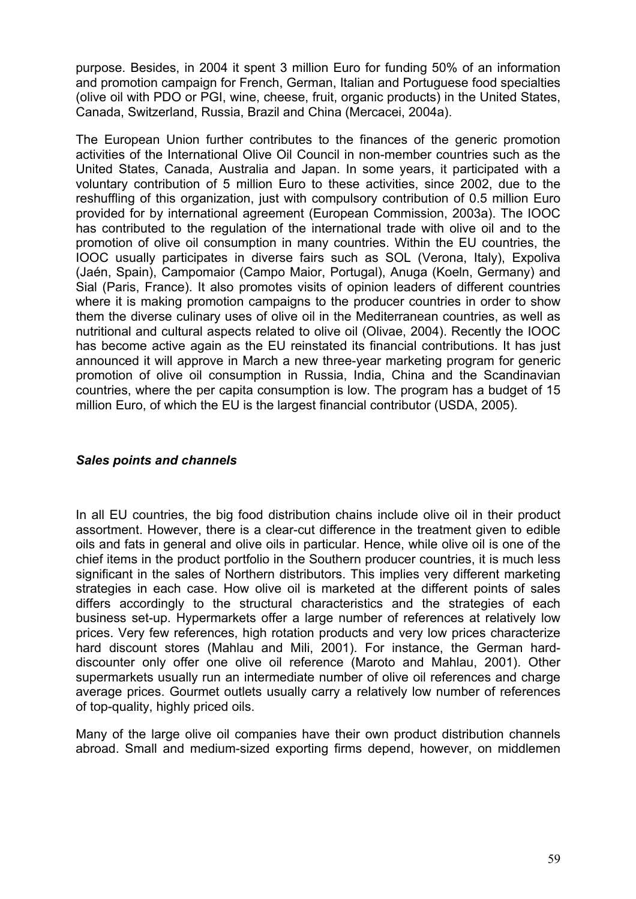purpose. Besides, in 2004 it spent 3 million Euro for funding 50% of an information and promotion campaign for French, German, Italian and Portuguese food specialties (olive oil with PDO or PGI, wine, cheese, fruit, organic products) in the United States, Canada, Switzerland, Russia, Brazil and China (Mercacei, 2004a).

The European Union further contributes to the finances of the generic promotion activities of the International Olive Oil Council in non-member countries such as the United States, Canada, Australia and Japan. In some years, it participated with a voluntary contribution of 5 million Euro to these activities, since 2002, due to the reshuffling of this organization, just with compulsory contribution of 0.5 million Euro provided for by international agreement (European Commission, 2003a). The IOOC has contributed to the regulation of the international trade with olive oil and to the promotion of olive oil consumption in many countries. Within the EU countries, the IOOC usually participates in diverse fairs such as SOL (Verona, Italy), Expoliva (Jaén, Spain), Campomaior (Campo Maior, Portugal), Anuga (Koeln, Germany) and Sial (Paris, France). It also promotes visits of opinion leaders of different countries where it is making promotion campaigns to the producer countries in order to show them the diverse culinary uses of olive oil in the Mediterranean countries, as well as nutritional and cultural aspects related to olive oil (Olivae, 2004). Recently the IOOC has become active again as the EU reinstated its financial contributions. It has just announced it will approve in March a new three-year marketing program for generic promotion of olive oil consumption in Russia, India, China and the Scandinavian countries, where the per capita consumption is low. The program has a budget of 15 million Euro, of which the EU is the largest financial contributor (USDA, 2005).

### *Sales points and channels*

In all EU countries, the big food distribution chains include olive oil in their product assortment. However, there is a clear-cut difference in the treatment given to edible oils and fats in general and olive oils in particular. Hence, while olive oil is one of the chief items in the product portfolio in the Southern producer countries, it is much less significant in the sales of Northern distributors. This implies very different marketing strategies in each case. How olive oil is marketed at the different points of sales differs accordingly to the structural characteristics and the strategies of each business set-up. Hypermarkets offer a large number of references at relatively low prices. Very few references, high rotation products and very low prices characterize hard discount stores (Mahlau and Mili, 2001). For instance, the German harddiscounter only offer one olive oil reference (Maroto and Mahlau, 2001). Other supermarkets usually run an intermediate number of olive oil references and charge average prices. Gourmet outlets usually carry a relatively low number of references of top-quality, highly priced oils.

Many of the large olive oil companies have their own product distribution channels abroad. Small and medium-sized exporting firms depend, however, on middlemen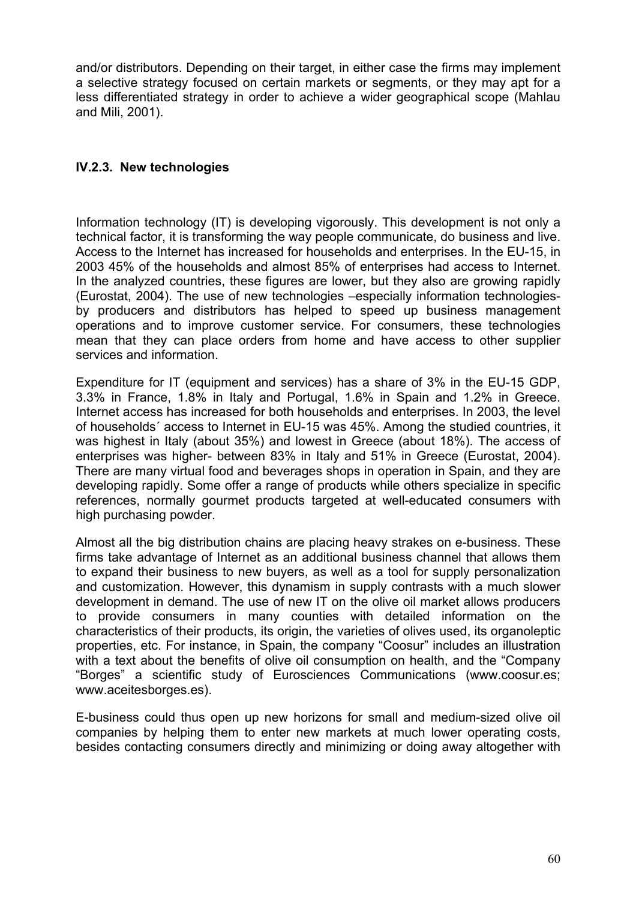and/or distributors. Depending on their target, in either case the firms may implement a selective strategy focused on certain markets or segments, or they may apt for a less differentiated strategy in order to achieve a wider geographical scope (Mahlau and Mili, 2001).

## **IV.2.3. New technologies**

Information technology (IT) is developing vigorously. This development is not only a technical factor, it is transforming the way people communicate, do business and live. Access to the Internet has increased for households and enterprises. In the EU-15, in 2003 45% of the households and almost 85% of enterprises had access to Internet. In the analyzed countries, these figures are lower, but they also are growing rapidly (Eurostat, 2004). The use of new technologies –especially information technologiesby producers and distributors has helped to speed up business management operations and to improve customer service. For consumers, these technologies mean that they can place orders from home and have access to other supplier services and information.

Expenditure for IT (equipment and services) has a share of 3% in the EU-15 GDP, 3.3% in France, 1.8% in Italy and Portugal, 1.6% in Spain and 1.2% in Greece. Internet access has increased for both households and enterprises. In 2003, the level of households´ access to Internet in EU-15 was 45%. Among the studied countries, it was highest in Italy (about 35%) and lowest in Greece (about 18%). The access of enterprises was higher- between 83% in Italy and 51% in Greece (Eurostat, 2004). There are many virtual food and beverages shops in operation in Spain, and they are developing rapidly. Some offer a range of products while others specialize in specific references, normally gourmet products targeted at well-educated consumers with high purchasing powder.

Almost all the big distribution chains are placing heavy strakes on e-business. These firms take advantage of Internet as an additional business channel that allows them to expand their business to new buyers, as well as a tool for supply personalization and customization. However, this dynamism in supply contrasts with a much slower development in demand. The use of new IT on the olive oil market allows producers to provide consumers in many counties with detailed information on the characteristics of their products, its origin, the varieties of olives used, its organoleptic properties, etc. For instance, in Spain, the company "Coosur" includes an illustration with a text about the benefits of olive oil consumption on health, and the "Company "Borges" a scientific study of Eurosciences Communications (www.coosur.es; www.aceitesborges.es).

E-business could thus open up new horizons for small and medium-sized olive oil companies by helping them to enter new markets at much lower operating costs, besides contacting consumers directly and minimizing or doing away altogether with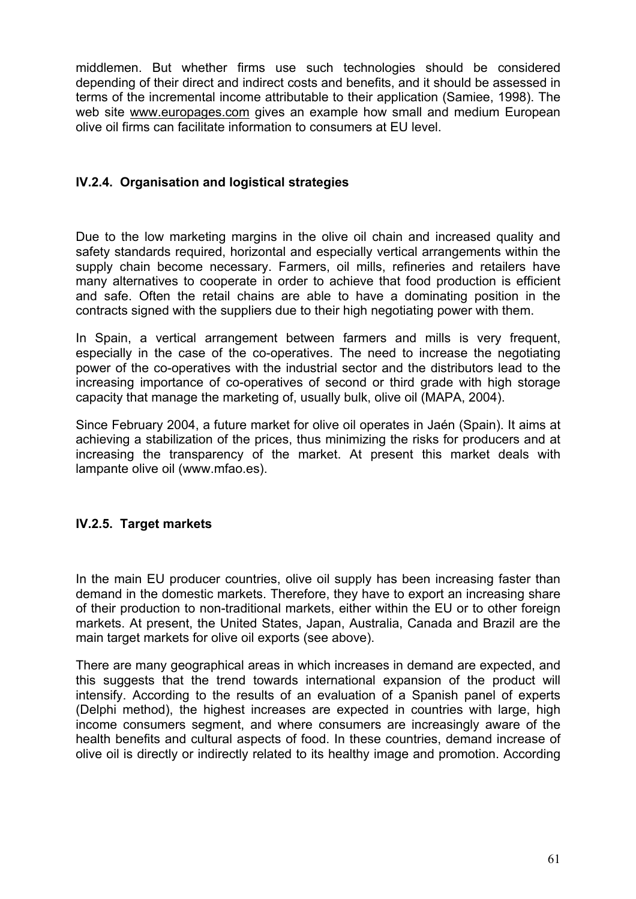middlemen. But whether firms use such technologies should be considered depending of their direct and indirect costs and benefits, and it should be assessed in terms of the incremental income attributable to their application (Samiee, 1998). The web site www.europages.com gives an example how small and medium European olive oil firms can facilitate information to consumers at EU level.

## **IV.2.4. Organisation and logistical strategies**

Due to the low marketing margins in the olive oil chain and increased quality and safety standards required, horizontal and especially vertical arrangements within the supply chain become necessary. Farmers, oil mills, refineries and retailers have many alternatives to cooperate in order to achieve that food production is efficient and safe. Often the retail chains are able to have a dominating position in the contracts signed with the suppliers due to their high negotiating power with them.

In Spain, a vertical arrangement between farmers and mills is very frequent, especially in the case of the co-operatives. The need to increase the negotiating power of the co-operatives with the industrial sector and the distributors lead to the increasing importance of co-operatives of second or third grade with high storage capacity that manage the marketing of, usually bulk, olive oil (MAPA, 2004).

Since February 2004, a future market for olive oil operates in Jaén (Spain). It aims at achieving a stabilization of the prices, thus minimizing the risks for producers and at increasing the transparency of the market. At present this market deals with lampante olive oil (www.mfao.es).

## **IV.2.5. Target markets**

In the main EU producer countries, olive oil supply has been increasing faster than demand in the domestic markets. Therefore, they have to export an increasing share of their production to non-traditional markets, either within the EU or to other foreign markets. At present, the United States, Japan, Australia, Canada and Brazil are the main target markets for olive oil exports (see above).

There are many geographical areas in which increases in demand are expected, and this suggests that the trend towards international expansion of the product will intensify. According to the results of an evaluation of a Spanish panel of experts (Delphi method), the highest increases are expected in countries with large, high income consumers segment, and where consumers are increasingly aware of the health benefits and cultural aspects of food. In these countries, demand increase of olive oil is directly or indirectly related to its healthy image and promotion. According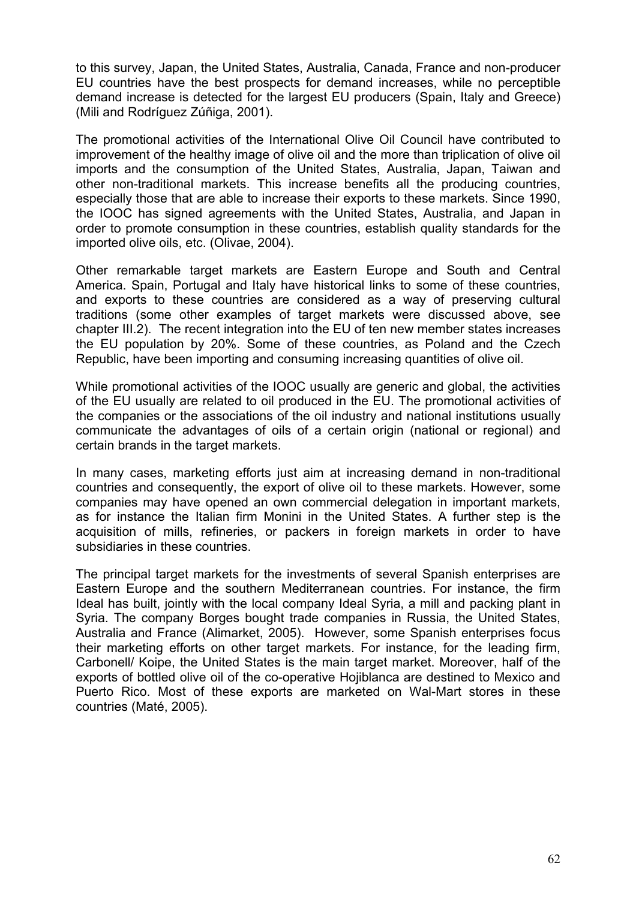to this survey, Japan, the United States, Australia, Canada, France and non-producer EU countries have the best prospects for demand increases, while no perceptible demand increase is detected for the largest EU producers (Spain, Italy and Greece) (Mili and Rodríguez Zúñiga, 2001).

The promotional activities of the International Olive Oil Council have contributed to improvement of the healthy image of olive oil and the more than triplication of olive oil imports and the consumption of the United States, Australia, Japan, Taiwan and other non-traditional markets. This increase benefits all the producing countries, especially those that are able to increase their exports to these markets. Since 1990, the IOOC has signed agreements with the United States, Australia, and Japan in order to promote consumption in these countries, establish quality standards for the imported olive oils, etc. (Olivae, 2004).

Other remarkable target markets are Eastern Europe and South and Central America. Spain, Portugal and Italy have historical links to some of these countries, and exports to these countries are considered as a way of preserving cultural traditions (some other examples of target markets were discussed above, see chapter III.2). The recent integration into the EU of ten new member states increases the EU population by 20%. Some of these countries, as Poland and the Czech Republic, have been importing and consuming increasing quantities of olive oil.

While promotional activities of the IOOC usually are generic and global, the activities of the EU usually are related to oil produced in the EU. The promotional activities of the companies or the associations of the oil industry and national institutions usually communicate the advantages of oils of a certain origin (national or regional) and certain brands in the target markets.

In many cases, marketing efforts just aim at increasing demand in non-traditional countries and consequently, the export of olive oil to these markets. However, some companies may have opened an own commercial delegation in important markets, as for instance the Italian firm Monini in the United States. A further step is the acquisition of mills, refineries, or packers in foreign markets in order to have subsidiaries in these countries.

The principal target markets for the investments of several Spanish enterprises are Eastern Europe and the southern Mediterranean countries. For instance, the firm Ideal has built, jointly with the local company Ideal Syria, a mill and packing plant in Syria. The company Borges bought trade companies in Russia, the United States, Australia and France (Alimarket, 2005). However, some Spanish enterprises focus their marketing efforts on other target markets. For instance, for the leading firm, Carbonell/ Koipe, the United States is the main target market. Moreover, half of the exports of bottled olive oil of the co-operative Hojiblanca are destined to Mexico and Puerto Rico. Most of these exports are marketed on Wal-Mart stores in these countries (Maté, 2005).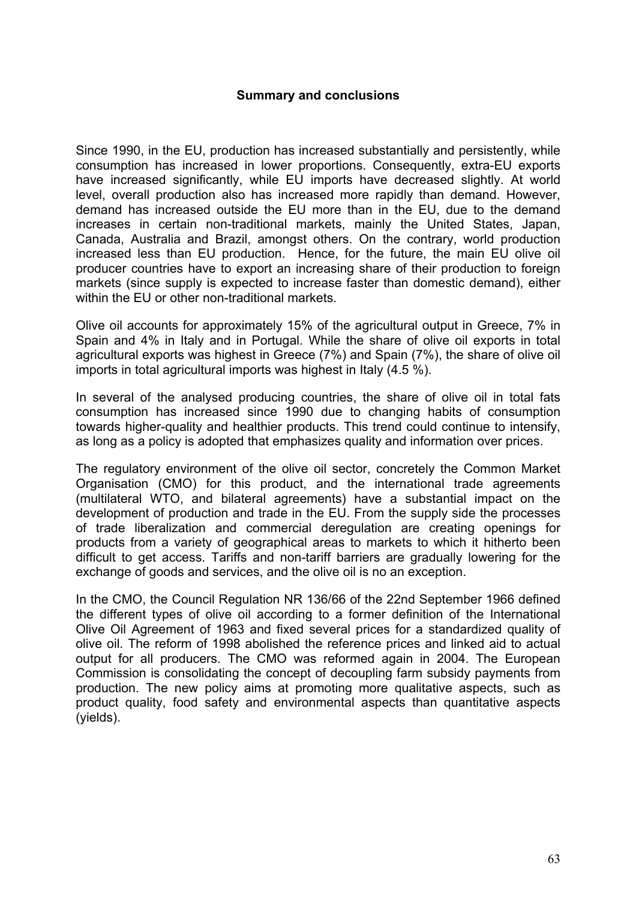### **Summary and conclusions**

Since 1990, in the EU, production has increased substantially and persistently, while consumption has increased in lower proportions. Consequently, extra-EU exports have increased significantly, while EU imports have decreased slightly. At world level, overall production also has increased more rapidly than demand. However, demand has increased outside the EU more than in the EU, due to the demand increases in certain non-traditional markets, mainly the United States, Japan, Canada, Australia and Brazil, amongst others. On the contrary, world production increased less than EU production. Hence, for the future, the main EU olive oil producer countries have to export an increasing share of their production to foreign markets (since supply is expected to increase faster than domestic demand), either within the EU or other non-traditional markets.

Olive oil accounts for approximately 15% of the agricultural output in Greece, 7% in Spain and 4% in Italy and in Portugal. While the share of olive oil exports in total agricultural exports was highest in Greece (7%) and Spain (7%), the share of olive oil imports in total agricultural imports was highest in Italy (4.5 %).

In several of the analysed producing countries, the share of olive oil in total fats consumption has increased since 1990 due to changing habits of consumption towards higher-quality and healthier products. This trend could continue to intensify, as long as a policy is adopted that emphasizes quality and information over prices.

The regulatory environment of the olive oil sector, concretely the Common Market Organisation (CMO) for this product, and the international trade agreements (multilateral WTO, and bilateral agreements) have a substantial impact on the development of production and trade in the EU. From the supply side the processes of trade liberalization and commercial deregulation are creating openings for products from a variety of geographical areas to markets to which it hitherto been difficult to get access. Tariffs and non-tariff barriers are gradually lowering for the exchange of goods and services, and the olive oil is no an exception.

In the CMO, the Council Regulation NR 136/66 of the 22nd September 1966 defined the different types of olive oil according to a former definition of the International Olive Oil Agreement of 1963 and fixed several prices for a standardized quality of olive oil. The reform of 1998 abolished the reference prices and linked aid to actual output for all producers. The CMO was reformed again in 2004. The European Commission is consolidating the concept of decoupling farm subsidy payments from production. The new policy aims at promoting more qualitative aspects, such as product quality, food safety and environmental aspects than quantitative aspects (yields).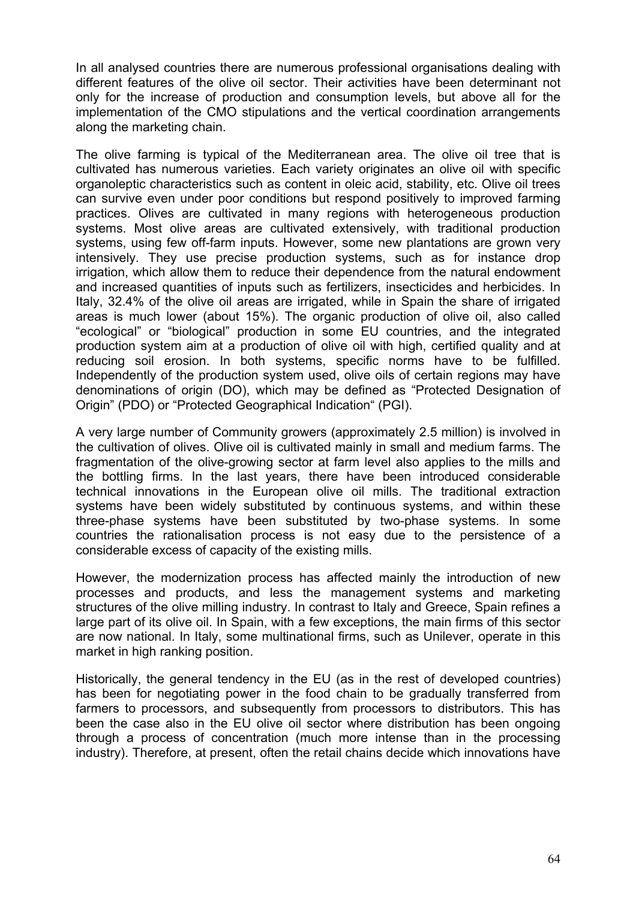In all analysed countries there are numerous professional organisations dealing with different features of the olive oil sector. Their activities have been determinant not only for the increase of production and consumption levels, but above all for the implementation of the CMO stipulations and the vertical coordination arrangements along the marketing chain.

The olive farming is typical of the Mediterranean area. The olive oil tree that is cultivated has numerous varieties. Each variety originates an olive oil with specific organoleptic characteristics such as content in oleic acid, stability, etc. Olive oil trees can survive even under poor conditions but respond positively to improved farming practices. Olives are cultivated in many regions with heterogeneous production systems. Most olive areas are cultivated extensively, with traditional production systems, using few off-farm inputs. However, some new plantations are grown very intensively. They use precise production systems, such as for instance drop irrigation, which allow them to reduce their dependence from the natural endowment and increased quantities of inputs such as fertilizers, insecticides and herbicides. In Italy, 32.4% of the olive oil areas are irrigated, while in Spain the share of irrigated areas is much lower (about 15%). The organic production of olive oil, also called "ecological" or "biological" production in some EU countries, and the integrated production system aim at a production of olive oil with high, certified quality and at reducing soil erosion. In both systems, specific norms have to be fulfilled. Independently of the production system used, olive oils of certain regions may have denominations of origin (DO), which may be defined as "Protected Designation of Origin" (PDO) or "Protected Geographical Indication" (PGI).

A very large number of Community growers (approximately 2.5 million) is involved in the cultivation of olives. Olive oil is cultivated mainly in small and medium farms. The fragmentation of the olive-growing sector at farm level also applies to the mills and the bottling firms. In the last years, there have been introduced considerable technical innovations in the European olive oil mills. The traditional extraction systems have been widely substituted by continuous systems, and within these three-phase systems have been substituted by two-phase systems. In some countries the rationalisation process is not easy due to the persistence of a considerable excess of capacity of the existing mills.

However, the modernization process has affected mainly the introduction of new processes and products, and less the management systems and marketing structures of the olive milling industry. In contrast to Italy and Greece, Spain refines a large part of its olive oil. In Spain, with a few exceptions, the main firms of this sector are now national. In Italy, some multinational firms, such as Unilever, operate in this market in high ranking position.

Historically, the general tendency in the EU (as in the rest of developed countries) has been for negotiating power in the food chain to be gradually transferred from farmers to processors, and subsequently from processors to distributors. This has been the case also in the EU olive oil sector where distribution has been ongoing through a process of concentration (much more intense than in the processing industry). Therefore, at present, often the retail chains decide which innovations have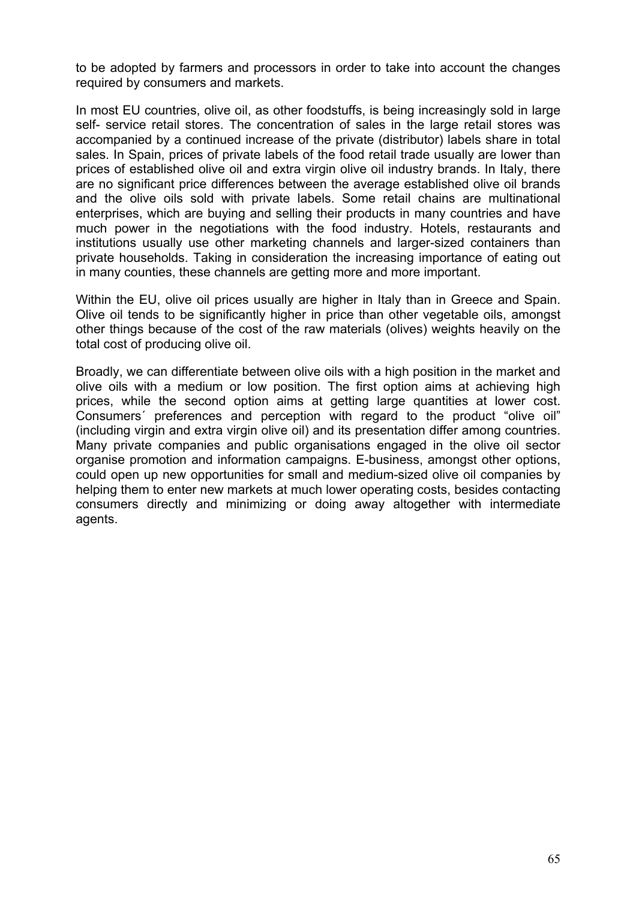to be adopted by farmers and processors in order to take into account the changes required by consumers and markets.

In most EU countries, olive oil, as other foodstuffs, is being increasingly sold in large self- service retail stores. The concentration of sales in the large retail stores was accompanied by a continued increase of the private (distributor) labels share in total sales. In Spain, prices of private labels of the food retail trade usually are lower than prices of established olive oil and extra virgin olive oil industry brands. In Italy, there are no significant price differences between the average established olive oil brands and the olive oils sold with private labels. Some retail chains are multinational enterprises, which are buying and selling their products in many countries and have much power in the negotiations with the food industry. Hotels, restaurants and institutions usually use other marketing channels and larger-sized containers than private households. Taking in consideration the increasing importance of eating out in many counties, these channels are getting more and more important.

Within the EU, olive oil prices usually are higher in Italy than in Greece and Spain. Olive oil tends to be significantly higher in price than other vegetable oils, amongst other things because of the cost of the raw materials (olives) weights heavily on the total cost of producing olive oil.

Broadly, we can differentiate between olive oils with a high position in the market and olive oils with a medium or low position. The first option aims at achieving high prices, while the second option aims at getting large quantities at lower cost. Consumers´ preferences and perception with regard to the product "olive oil" (including virgin and extra virgin olive oil) and its presentation differ among countries. Many private companies and public organisations engaged in the olive oil sector organise promotion and information campaigns. E-business, amongst other options, could open up new opportunities for small and medium-sized olive oil companies by helping them to enter new markets at much lower operating costs, besides contacting consumers directly and minimizing or doing away altogether with intermediate agents.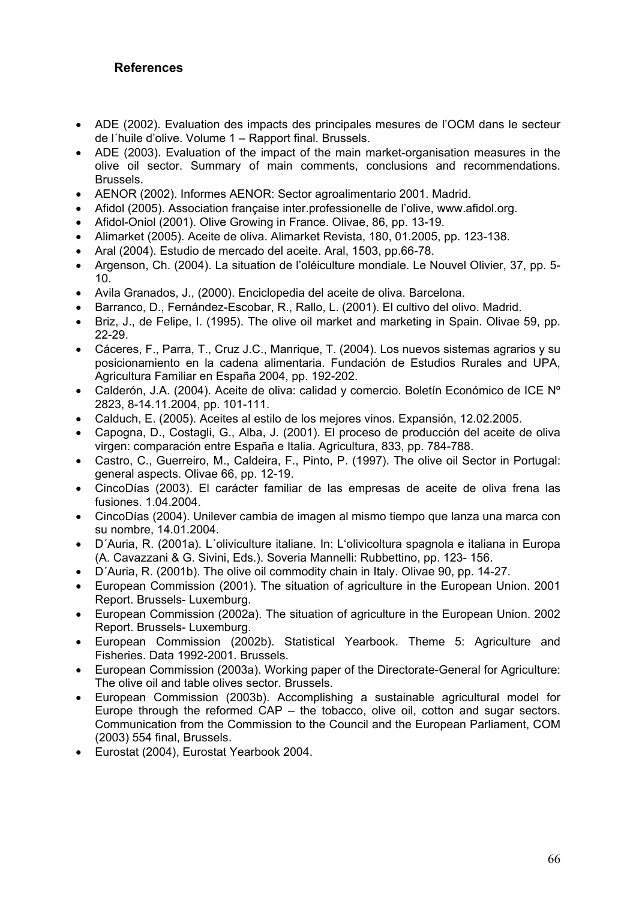## **References**

- ADE (2002). Evaluation des impacts des principales mesures de l'OCM dans le secteur de l´huile d'olive. Volume 1 – Rapport final. Brussels.
- ADE (2003). Evaluation of the impact of the main market-organisation measures in the olive oil sector. Summary of main comments, conclusions and recommendations. Brussels.
- AENOR (2002). Informes AENOR: Sector agroalimentario 2001. Madrid.
- Afidol (2005). Association française inter.professionelle de l'olive, www.afidol.org.
- Afidol-Oniol (2001). Olive Growing in France. Olivae, 86, pp. 13-19.
- Alimarket (2005). Aceite de oliva. Alimarket Revista, 180, 01.2005, pp. 123-138.
- Aral (2004). Estudio de mercado del aceite. Aral, 1503, pp.66-78.
- Argenson, Ch. (2004). La situation de l'oléiculture mondiale. Le Nouvel Olivier, 37, pp. 5- 10.
- Avila Granados, J., (2000). Enciclopedia del aceite de oliva. Barcelona.
- Barranco, D., Fernández-Escobar, R., Rallo, L. (2001). El cultivo del olivo. Madrid.
- Briz, J., de Felipe, I. (1995). The olive oil market and marketing in Spain. Olivae 59, pp. 22-29.
- Cáceres, F., Parra, T., Cruz J.C., Manrique, T. (2004). Los nuevos sistemas agrarios y su posicionamiento en la cadena alimentaria. Fundación de Estudios Rurales and UPA, Agricultura Familiar en España 2004, pp. 192-202.
- Calderón, J.A. (2004). Aceite de oliva: calidad y comercio. Boletín Económico de ICE Nº 2823, 8-14.11.2004, pp. 101-111.
- Calduch, E. (2005). Aceites al estilo de los mejores vinos. Expansión, 12.02.2005.
- Capogna, D., Costagli, G., Alba, J. (2001). El proceso de producción del aceite de oliva virgen: comparación entre España e Italia. Agricultura, 833, pp. 784-788.
- Castro, C., Guerreiro, M., Caldeira, F., Pinto, P. (1997). The olive oil Sector in Portugal: general aspects. Olivae 66, pp. 12-19.
- CincoDías (2003). El carácter familiar de las empresas de aceite de oliva frena las fusiones. 1.04.2004.
- CincoDías (2004). Unilever cambia de imagen al mismo tiempo que lanza una marca con su nombre, 14.01.2004.
- D´Auria, R. (2001a). L´oliviculture italiane. In: L'olivicoltura spagnola e italiana in Europa (A. Cavazzani & G. Sivini, Eds.). Soveria Mannelli: Rubbettino, pp. 123- 156.
- D´Auria, R. (2001b). The olive oil commodity chain in Italy. Olivae 90, pp. 14-27.
- European Commission (2001). The situation of agriculture in the European Union. 2001 Report. Brussels- Luxemburg.
- European Commission (2002a). The situation of agriculture in the European Union. 2002 Report. Brussels- Luxemburg.
- European Commission (2002b). Statistical Yearbook. Theme 5: Agriculture and Fisheries. Data 1992-2001. Brussels.
- European Commission (2003a). Working paper of the Directorate-General for Agriculture: The olive oil and table olives sector. Brussels.
- European Commission (2003b). Accomplishing a sustainable agricultural model for Europe through the reformed CAP – the tobacco, olive oil, cotton and sugar sectors. Communication from the Commission to the Council and the European Parliament, COM (2003) 554 final, Brussels.
- Eurostat (2004), Eurostat Yearbook 2004.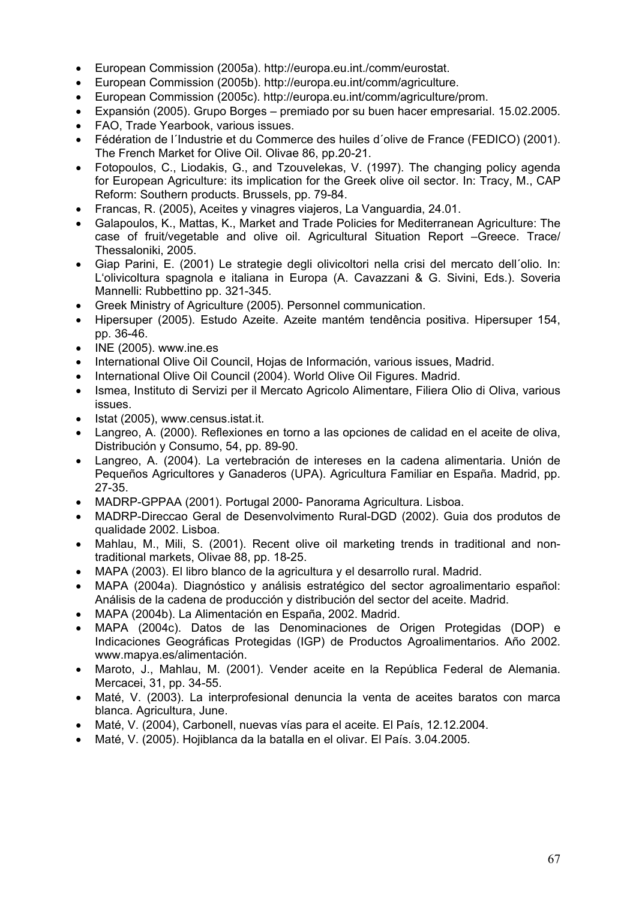- European Commission (2005a). http://europa.eu.int./comm/eurostat.
- European Commission (2005b). http://europa.eu.int/comm/agriculture.
- European Commission (2005c). http://europa.eu.int/comm/agriculture/prom.
- Expansión (2005). Grupo Borges premiado por su buen hacer empresarial. 15.02.2005.
- FAO, Trade Yearbook, various issues.
- Fédération de l´Industrie et du Commerce des huiles d´olive de France (FEDICO) (2001). The French Market for Olive Oil. Olivae 86, pp.20-21.
- Fotopoulos, C., Liodakis, G., and Tzouvelekas, V. (1997). The changing policy agenda for European Agriculture: its implication for the Greek olive oil sector. In: Tracy, M., CAP Reform: Southern products. Brussels, pp. 79-84.
- Francas, R. (2005), Aceites y vinagres viajeros, La Vanguardia, 24.01.
- Galapoulos, K., Mattas, K., Market and Trade Policies for Mediterranean Agriculture: The case of fruit/vegetable and olive oil. Agricultural Situation Report –Greece. Trace/ Thessaloniki, 2005.
- Giap Parini, E. (2001) Le strategie degli olivicoltori nella crisi del mercato dell´olio. In: L'olivicoltura spagnola e italiana in Europa (A. Cavazzani & G. Sivini, Eds.). Soveria Mannelli: Rubbettino pp. 321-345.
- Greek Ministry of Agriculture (2005). Personnel communication.
- Hipersuper (2005). Estudo Azeite. Azeite mantém tendência positiva. Hipersuper 154, pp. 36-46.
- INE (2005). www.ine.es
- International Olive Oil Council, Hojas de Información, various issues, Madrid.
- International Olive Oil Council (2004). World Olive Oil Figures, Madrid.
- Ismea, Instituto di Servizi per il Mercato Agricolo Alimentare, Filiera Olio di Oliva, various issues.
- Istat (2005), www.census.istat.it.
- Langreo, A. (2000). Reflexiones en torno a las opciones de calidad en el aceite de oliva, Distribución y Consumo, 54, pp. 89-90.
- Langreo, A. (2004). La vertebración de intereses en la cadena alimentaria. Unión de Pequeños Agricultores y Ganaderos (UPA). Agricultura Familiar en España. Madrid, pp. 27-35.
- MADRP-GPPAA (2001). Portugal 2000- Panorama Agricultura. Lisboa.
- MADRP-Direccao Geral de Desenvolvimento Rural-DGD (2002). Guia dos produtos de qualidade 2002. Lisboa.
- Mahlau, M., Mili, S. (2001). Recent olive oil marketing trends in traditional and nontraditional markets, Olivae 88, pp. 18-25.
- MAPA (2003). El libro blanco de la agricultura y el desarrollo rural. Madrid.
- MAPA (2004a). Diagnóstico y análisis estratégico del sector agroalimentario español: Análisis de la cadena de producción y distribución del sector del aceite. Madrid.
- MAPA (2004b). La Alimentación en España, 2002. Madrid.
- MAPA (2004c). Datos de las Denominaciones de Origen Protegidas (DOP) e Indicaciones Geográficas Protegidas (IGP) de Productos Agroalimentarios. Año 2002. www.mapya.es/alimentación.
- Maroto, J., Mahlau, M. (2001). Vender aceite en la República Federal de Alemania. Mercacei, 31, pp. 34-55.
- Maté, V. (2003). La interprofesional denuncia la venta de aceites baratos con marca blanca. Agricultura, June.
- Maté, V. (2004), Carbonell, nuevas vías para el aceite. El País, 12.12.2004.
- Maté, V. (2005). Hojiblanca da la batalla en el olivar. El País. 3.04.2005.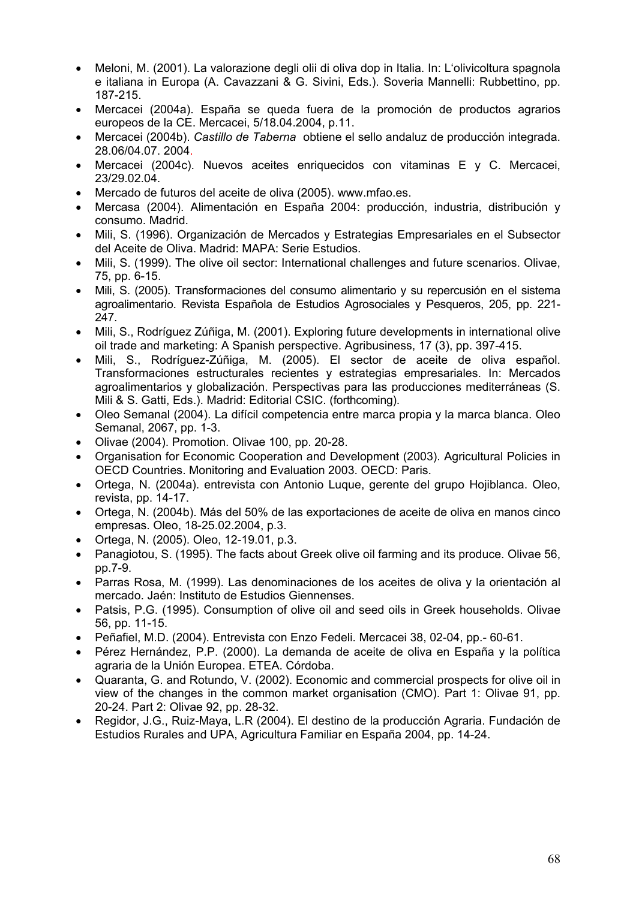- Meloni, M. (2001). La valorazione degli olii di oliva dop in Italia. In: L'olivicoltura spagnola e italiana in Europa (A. Cavazzani & G. Sivini, Eds.). Soveria Mannelli: Rubbettino, pp. 187-215.
- Mercacei (2004a). España se queda fuera de la promoción de productos agrarios europeos de la CE. Mercacei, 5/18.04.2004, p.11.
- Mercacei (2004b). *Castillo de Taberna* obtiene el sello andaluz de producción integrada. 28.06/04.07. 2004.
- Mercacei (2004c). Nuevos aceites enriquecidos con vitaminas E y C. Mercacei, 23/29.02.04.
- Mercado de futuros del aceite de oliva (2005). www.mfao.es.
- Mercasa (2004). Alimentación en España 2004: producción, industria, distribución y consumo. Madrid.
- Mili, S. (1996). Organización de Mercados y Estrategias Empresariales en el Subsector del Aceite de Oliva. Madrid: MAPA: Serie Estudios.
- Mili, S. (1999). The olive oil sector: International challenges and future scenarios. Olivae, 75, pp. 6-15.
- Mili, S. (2005). Transformaciones del consumo alimentario y su repercusión en el sistema agroalimentario. Revista Española de Estudios Agrosociales y Pesqueros, 205, pp. 221- 247.
- Mili, S., Rodríguez Zúñiga, M. (2001). Exploring future developments in international olive oil trade and marketing: A Spanish perspective. Agribusiness, 17 (3), pp. 397-415.
- Mili, S., Rodríguez-Zúñiga, M. (2005). El sector de aceite de oliva español. Transformaciones estructurales recientes y estrategias empresariales. In: Mercados agroalimentarios y globalización. Perspectivas para las producciones mediterráneas (S. Mili & S. Gatti, Eds.). Madrid: Editorial CSIC. (forthcoming).
- Oleo Semanal (2004). La difícil competencia entre marca propia y la marca blanca. Oleo Semanal, 2067, pp. 1-3.
- Olivae (2004). Promotion. Olivae 100, pp. 20-28.
- Organisation for Economic Cooperation and Development (2003). Agricultural Policies in OECD Countries. Monitoring and Evaluation 2003. OECD: Paris.
- Ortega, N. (2004a). entrevista con Antonio Luque, gerente del grupo Hojiblanca. Oleo, revista, pp. 14-17.
- Ortega, N. (2004b). Más del 50% de las exportaciones de aceite de oliva en manos cinco empresas. Oleo, 18-25.02.2004, p.3.
- Ortega, N. (2005). Oleo, 12-19.01, p.3.
- Panagiotou, S. (1995). The facts about Greek olive oil farming and its produce. Olivae 56, pp.7-9.
- Parras Rosa, M. (1999). Las denominaciones de los aceites de oliva y la orientación al mercado. Jaén: Instituto de Estudios Giennenses.
- Patsis, P.G. (1995). Consumption of olive oil and seed oils in Greek households. Olivae 56, pp. 11-15.
- Peñafiel, M.D. (2004). Entrevista con Enzo Fedeli. Mercacei 38, 02-04, pp.- 60-61.
- Pérez Hernández, P.P. (2000). La demanda de aceite de oliva en España y la política agraria de la Unión Europea. ETEA. Córdoba.
- Quaranta, G. and Rotundo, V. (2002). Economic and commercial prospects for olive oil in view of the changes in the common market organisation (CMO). Part 1: Olivae 91, pp. 20-24. Part 2: Olivae 92, pp. 28-32.
- Regidor, J.G., Ruiz-Maya, L.R (2004). El destino de la producción Agraria. Fundación de Estudios Rurales and UPA, Agricultura Familiar en España 2004, pp. 14-24.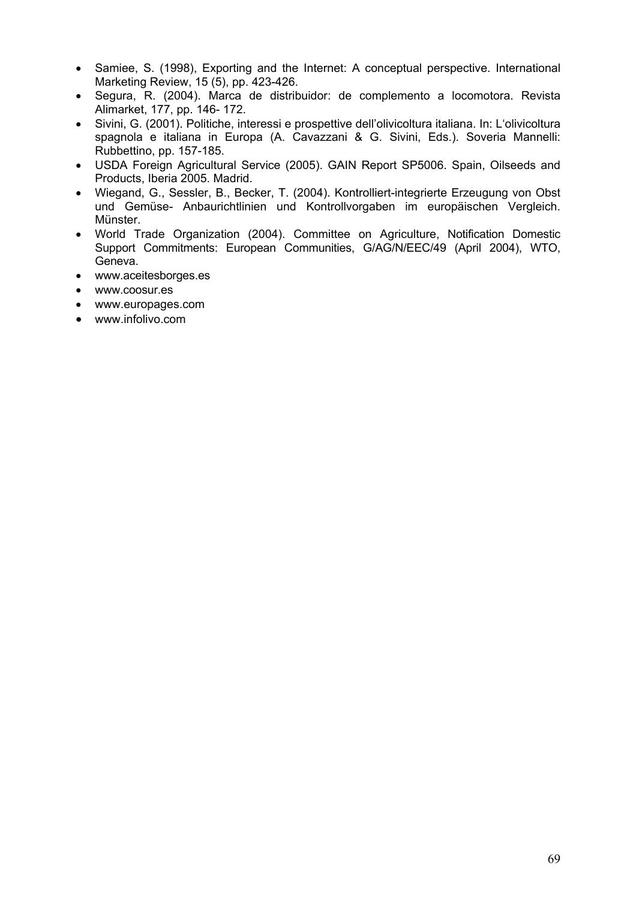- Samiee, S. (1998), Exporting and the Internet: A conceptual perspective. International Marketing Review, 15 (5), pp. 423-426.
- Segura, R. (2004). Marca de distribuidor: de complemento a locomotora. Revista Alimarket, 177, pp. 146- 172.
- Sivini, G. (2001). Politiche, interessi e prospettive dell'olivicoltura italiana. In: L'olivicoltura spagnola e italiana in Europa (A. Cavazzani & G. Sivini, Eds.). Soveria Mannelli: Rubbettino, pp. 157-185.
- USDA Foreign Agricultural Service (2005). GAIN Report SP5006. Spain, Oilseeds and Products, Iberia 2005. Madrid.
- Wiegand, G., Sessler, B., Becker, T. (2004). Kontrolliert-integrierte Erzeugung von Obst und Gemüse- Anbaurichtlinien und Kontrollvorgaben im europäischen Vergleich. Münster.
- World Trade Organization (2004). Committee on Agriculture, Notification Domestic Support Commitments: European Communities, G/AG/N/EEC/49 (April 2004), WTO, Geneva.
- www.aceitesborges.es
- www.coosur.es
- www.europages.com
- www.infolivo.com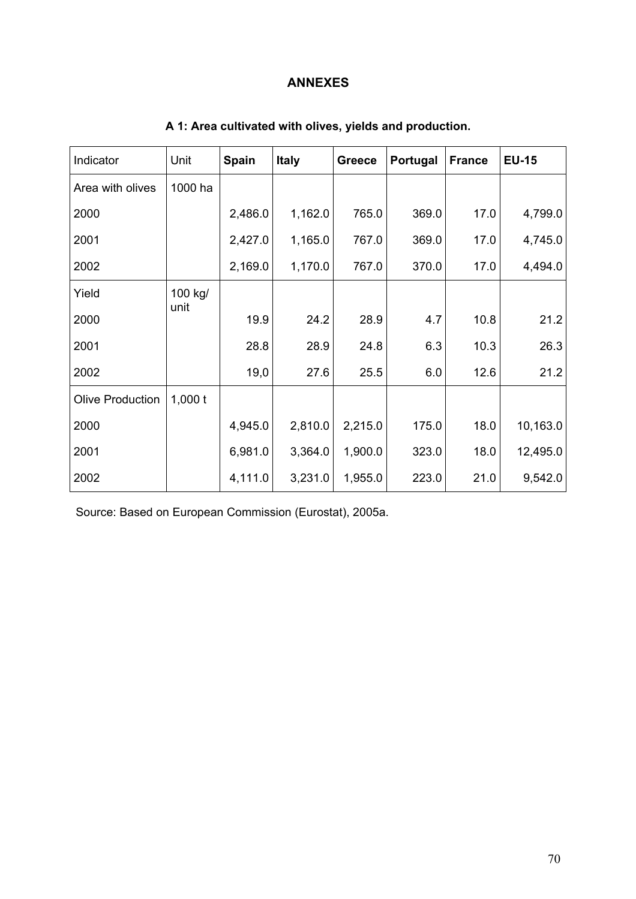## **ANNEXES**

| Indicator               | Unit            | <b>Spain</b> | <b>Italy</b> | <b>Greece</b> | Portugal | <b>France</b> | <b>EU-15</b> |
|-------------------------|-----------------|--------------|--------------|---------------|----------|---------------|--------------|
| Area with olives        | 1000 ha         |              |              |               |          |               |              |
| 2000                    |                 | 2,486.0      | 1,162.0      | 765.0         | 369.0    | 17.0          | 4,799.0      |
| 2001                    |                 | 2,427.0      | 1,165.0      | 767.0         | 369.0    | 17.0          | 4,745.0      |
| 2002                    |                 | 2,169.0      | 1,170.0      | 767.0         | 370.0    | 17.0          | 4,494.0      |
| Yield                   | 100 kg/<br>unit |              |              |               |          |               |              |
| 2000                    |                 | 19.9         | 24.2         | 28.9          | 4.7      | 10.8          | 21.2         |
| 2001                    |                 | 28.8         | 28.9         | 24.8          | 6.3      | 10.3          | 26.3         |
| 2002                    |                 | 19,0         | 27.6         | 25.5          | 6.0      | 12.6          | 21.2         |
| <b>Olive Production</b> | $1,000$ t       |              |              |               |          |               |              |
| 2000                    |                 | 4,945.0      | 2,810.0      | 2,215.0       | 175.0    | 18.0          | 10,163.0     |
| 2001                    |                 | 6,981.0      | 3,364.0      | 1,900.0       | 323.0    | 18.0          | 12,495.0     |
| 2002                    |                 | 4,111.0      | 3,231.0      | 1,955.0       | 223.0    | 21.0          | 9,542.0      |

# **A 1: Area cultivated with olives, yields and production.**

Source: Based on European Commission (Eurostat), 2005a.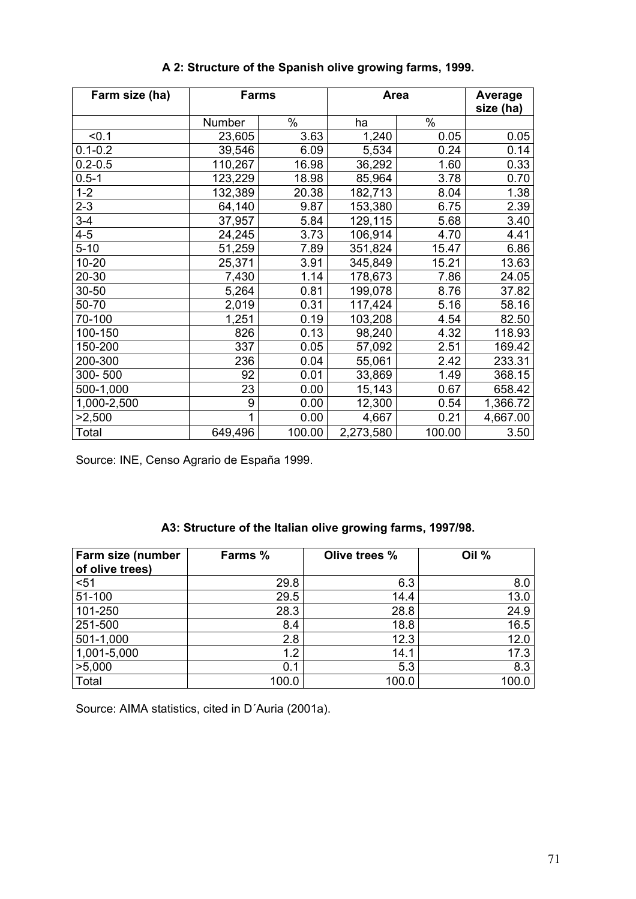| Farm size (ha) | <b>Farms</b> |        | Area      |        | <b>Average</b><br>size (ha) |
|----------------|--------------|--------|-----------|--------|-----------------------------|
|                | Number       | $\%$   | ha        | %      |                             |
| < 0.1          | 23,605       | 3.63   | 1,240     | 0.05   | 0.05                        |
| $0.1 - 0.2$    | 39,546       | 6.09   | 5,534     | 0.24   | 0.14                        |
| $0.2 - 0.5$    | 110,267      | 16.98  | 36,292    | 1.60   | 0.33                        |
| $0.5 - 1$      | 123,229      | 18.98  | 85,964    | 3.78   | 0.70                        |
| $1 - 2$        | 132,389      | 20.38  | 182,713   | 8.04   | 1.38                        |
| $2 - 3$        | 64,140       | 9.87   | 153,380   | 6.75   | 2.39                        |
| $3-4$          | 37,957       | 5.84   | 129,115   | 5.68   | 3.40                        |
| $4 - 5$        | 24,245       | 3.73   | 106,914   | 4.70   | 4.41                        |
| $5 - 10$       | 51,259       | 7.89   | 351,824   | 15.47  | 6.86                        |
| $10 - 20$      | 25,371       | 3.91   | 345,849   | 15.21  | 13.63                       |
| 20-30          | 7,430        | 1.14   | 178,673   | 7.86   | 24.05                       |
| 30-50          | 5,264        | 0.81   | 199,078   | 8.76   | 37.82                       |
| 50-70          | 2,019        | 0.31   | 117,424   | 5.16   | 58.16                       |
| 70-100         | 1,251        | 0.19   | 103,208   | 4.54   | 82.50                       |
| 100-150        | 826          | 0.13   | 98,240    | 4.32   | 118.93                      |
| 150-200        | 337          | 0.05   | 57,092    | 2.51   | 169.42                      |
| 200-300        | 236          | 0.04   | 55,061    | 2.42   | 233.31                      |
| 300-500        | 92           | 0.01   | 33,869    | 1.49   | 368.15                      |
| 500-1,000      | 23           | 0.00   | 15,143    | 0.67   | 658.42                      |
| 1,000-2,500    | 9            | 0.00   | 12,300    | 0.54   | 1,366.72                    |
| >2,500         | 1            | 0.00   | 4,667     | 0.21   | 4,667.00                    |
| Total          | 649,496      | 100.00 | 2,273,580 | 100.00 | 3.50                        |

## **A 2: Structure of the Spanish olive growing farms, 1999.**

Source: INE, Censo Agrario de España 1999.

## **A3: Structure of the Italian olive growing farms, 1997/98.**

| Farm size (number<br>of olive trees) | Farms % | Olive trees % | Oil % |
|--------------------------------------|---------|---------------|-------|
| $51$                                 | 29.8    | 6.3           | 8.0   |
| 51-100                               | 29.5    | 14.4          | 13.0  |
| 101-250                              | 28.3    | 28.8          | 24.9  |
| 251-500                              | 8.4     | 18.8          | 16.5  |
| $ 501 - 1,000 $                      | 2.8     | 12.3          | 12.0  |
| $1,001 - 5,000$                      | 1.2     | 14.1          | 17.3  |
| >5,000                               | 0.1     | 5.3           | 8.3   |
| Total                                | 100.0   | 100.0         | 100.0 |

Source: AIMA statistics, cited in D´Auria (2001a).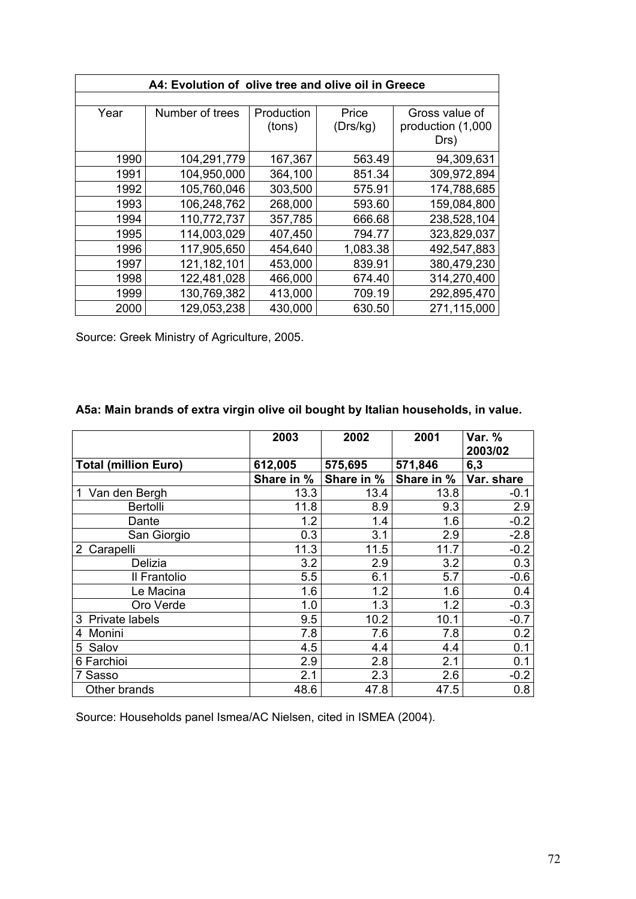| A4: Evolution of olive tree and olive oil in Greece |                 |            |          |                   |  |  |
|-----------------------------------------------------|-----------------|------------|----------|-------------------|--|--|
|                                                     |                 |            |          |                   |  |  |
| Year                                                | Number of trees | Production | Price    | Gross value of    |  |  |
|                                                     |                 | (tons)     | (Drs/kg) | production (1,000 |  |  |
|                                                     |                 |            |          | Drs)              |  |  |
| 1990                                                | 104,291,779     | 167,367    | 563.49   | 94,309,631        |  |  |
| 1991                                                | 104,950,000     | 364,100    | 851.34   | 309,972,894       |  |  |
| 1992                                                | 105,760,046     | 303,500    | 575.91   | 174,788,685       |  |  |
| 1993                                                | 106,248,762     | 268,000    | 593.60   | 159,084,800       |  |  |
| 1994                                                | 110,772,737     | 357,785    | 666.68   | 238,528,104       |  |  |
| 1995                                                | 114,003,029     | 407,450    | 794.77   | 323,829,037       |  |  |
| 1996                                                | 117,905,650     | 454,640    | 1,083.38 | 492,547,883       |  |  |
| 1997                                                | 121, 182, 101   | 453,000    | 839.91   | 380,479,230       |  |  |
| 1998                                                | 122,481,028     | 466,000    | 674.40   | 314,270,400       |  |  |
| 1999                                                | 130,769,382     | 413,000    | 709.19   | 292,895,470       |  |  |
| 2000                                                | 129,053,238     | 430,000    | 630.50   | 271,115,000       |  |  |

Source: Greek Ministry of Agriculture, 2005.

## **A5a: Main brands of extra virgin olive oil bought by Italian households, in value.**

|                             | 2003       | 2002       | 2001       | Var. %<br>2003/02 |
|-----------------------------|------------|------------|------------|-------------------|
| <b>Total (million Euro)</b> | 612,005    | 575,695    | 571,846    | 6,3               |
|                             | Share in % | Share in % | Share in % | Var. share        |
| 1 Van den Bergh             | 13.3       | 13.4       | 13.8       | $-0.1$            |
| <b>Bertolli</b>             | 11.8       | 8.9        | 9.3        | 2.9               |
| Dante                       | 1.2        | 1.4        | 1.6        | $-0.2$            |
| San Giorgio                 | 0.3        | 3.1        | 2.9        | $-2.8$            |
| 2<br>Carapelli              | 11.3       | 11.5       | 11.7       | $-0.2$            |
| Delizia                     | 3.2        | 2.9        | 3.2        | 0.3               |
| Il Frantolio                | 5.5        | 6.1        | 5.7        | $-0.6$            |
| Le Macina                   | 1.6        | 1.2        | 1.6        | 0.4               |
| Oro Verde                   | 1.0        | 1.3        | 1.2        | $-0.3$            |
| Private labels<br>3         | 9.5        | 10.2       | 10.1       | $-0.7$            |
| Monini<br>4                 | 7.8        | 7.6        | 7.8        | 0.2               |
| Salov<br>5                  | 4.5        | 4.4        | 4.4        | 0.1               |
| 6 Farchioi                  | 2.9        | 2.8        | 2.1        | 0.1               |
| 7 Sasso                     | 2.1        | 2.3        | 2.6        | $-0.2$            |
| Other brands                | 48.6       | 47.8       | 47.5       | 0.8               |

Source: Households panel Ismea/AC Nielsen, cited in ISMEA (2004).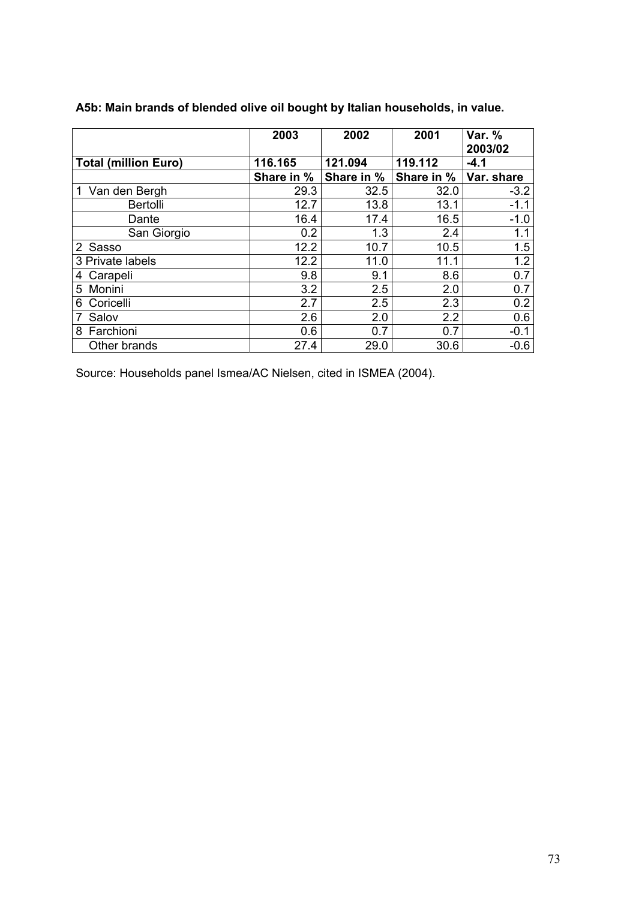|                             | 2003       | 2002       | 2001       | Var. %<br>2003/02 |
|-----------------------------|------------|------------|------------|-------------------|
| <b>Total (million Euro)</b> | 116.165    | 121.094    | 119.112    | $-4.1$            |
|                             | Share in % | Share in % | Share in % | Var. share        |
| Van den Bergh               | 29.3       | 32.5       | 32.0       | $-3.2$            |
| <b>Bertolli</b>             | 12.7       | 13.8       | 13.1       | $-1.1$            |
| Dante                       | 16.4       | 17.4       | 16.5       | $-1.0$            |
| San Giorgio                 | 0.2        | 1.3        | 2.4        | 1.1               |
| Sasso<br>2                  | 12.2       | 10.7       | 10.5       | 1.5               |
| 3 Private labels            | 12.2       | 11.0       | 11.1       | 1.2               |
| Carapeli<br>4               | 9.8        | 9.1        | 8.6        | 0.7               |
| Monini<br>5                 | 3.2        | 2.5        | 2.0        | 0.7               |
| Coricelli<br>6              | 2.7        | 2.5        | 2.3        | 0.2               |
| Salov                       | 2.6        | 2.0        | 2.2        | 0.6               |
| Farchioni<br>8              | 0.6        | 0.7        | 0.7        | $-0.1$            |
| Other brands                | 27.4       | 29.0       | 30.6       | $-0.6$            |

## **A5b: Main brands of blended olive oil bought by Italian households, in value.**

Source: Households panel Ismea/AC Nielsen, cited in ISMEA (2004).